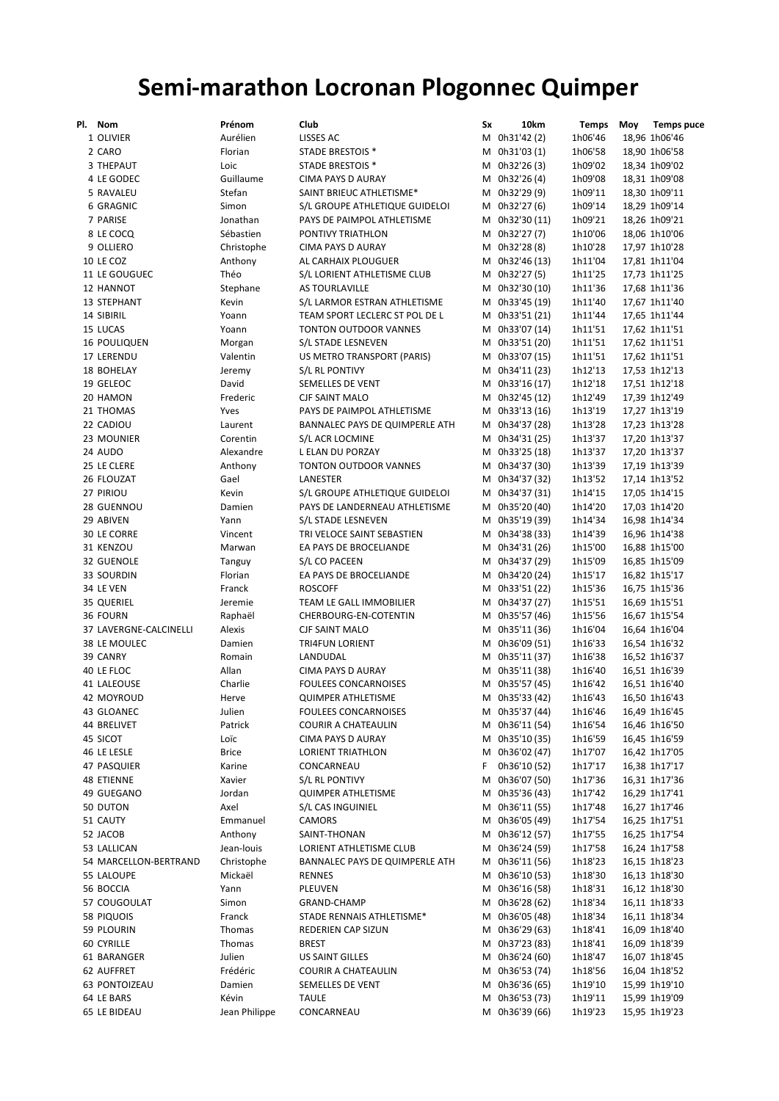## Semi-marathon Locronan Plogonnec Quimper

| PI. | <b>Nom</b>             | Prénom        | Club                           | Sx | 10km           | Temps   | Moy | <b>Temps puce</b> |
|-----|------------------------|---------------|--------------------------------|----|----------------|---------|-----|-------------------|
|     | 1 OLIVIER              | Aurélien      | LISSES AC                      |    | M 0h31'42 (2)  | 1h06'46 |     | 18,96 1h06'46     |
|     | 2 CARO                 | Florian       | STADE BRESTOIS *               |    | M 0h31'03 (1)  | 1h06'58 |     | 18,90 1h06'58     |
|     | 3 THEPAUT              | Loic          | <b>STADE BRESTOIS *</b>        |    | M 0h32'26 (3)  | 1h09'02 |     | 18,34 1h09'02     |
|     | 4 LE GODEC             | Guillaume     | <b>CIMA PAYS D AURAY</b>       |    | M 0h32'26 (4)  | 1h09'08 |     | 18,31 1h09'08     |
|     | 5 RAVALEU              | Stefan        | SAINT BRIEUC ATHLETISME*       |    | M 0h32'29 (9)  | 1h09'11 |     | 18,30 1h09'11     |
|     | 6 GRAGNIC              | Simon         | S/L GROUPE ATHLETIQUE GUIDELOI |    | M 0h32'27 (6)  | 1h09'14 |     | 18,29 1h09'14     |
|     | 7 PARISE               | Jonathan      |                                |    |                |         |     |                   |
|     |                        |               | PAYS DE PAIMPOL ATHLETISME     |    | M 0h32'30 (11) | 1h09'21 |     | 18,26 1h09'21     |
|     | 8 LE COCQ              | Sébastien     | PONTIVY TRIATHLON              |    | M 0h32'27 (7)  | 1h10'06 |     | 18,06 1h10'06     |
|     | 9 OLLIERO              | Christophe    | <b>CIMA PAYS D AURAY</b>       |    | M 0h32'28 (8)  | 1h10'28 |     | 17,97 1h10'28     |
|     | 10 LE COZ              | Anthony       | AL CARHAIX PLOUGUER            |    | M 0h32'46 (13) | 1h11'04 |     | 17,81 1h11'04     |
|     | 11 LE GOUGUEC          | Théo          | S/L LORIENT ATHLETISME CLUB    |    | M 0h32'27 (5)  | 1h11'25 |     | 17,73 1h11'25     |
|     | 12 HANNOT              | Stephane      | AS TOURLAVILLE                 |    | M 0h32'30 (10) | 1h11'36 |     | 17,68 1h11'36     |
|     | 13 STEPHANT            | Kevin         | S/L LARMOR ESTRAN ATHLETISME   |    | M 0h33'45 (19) | 1h11'40 |     | 17,67 1h11'40     |
|     | 14 SIBIRIL             | Yoann         | TEAM SPORT LECLERC ST POL DE L |    | M 0h33'51 (21) | 1h11'44 |     | 17,65 1h11'44     |
|     | 15 LUCAS               | Yoann         | <b>TONTON OUTDOOR VANNES</b>   |    | M 0h33'07 (14) | 1h11'51 |     | 17,62 1h11'51     |
|     | <b>16 POULIQUEN</b>    | Morgan        | S/L STADE LESNEVEN             |    | M 0h33'51 (20) | 1h11'51 |     | 17,62 1h11'51     |
|     | 17 LERENDU             | Valentin      | US METRO TRANSPORT (PARIS)     |    | M 0h33'07 (15) | 1h11'51 |     | 17,62 1h11'51     |
|     | <b>18 BOHELAY</b>      | Jeremy        | S/L RL PONTIVY                 |    | M 0h34'11 (23) | 1h12'13 |     | 17,53 1h12'13     |
|     | 19 GELEOC              | David         | SEMELLES DE VENT               |    | M 0h33'16 (17) | 1h12'18 |     | 17,51 1h12'18     |
|     | 20 HAMON               | Frederic      | <b>CJF SAINT MALO</b>          |    | M 0h32'45 (12) | 1h12'49 |     | 17,39 1h12'49     |
|     |                        |               |                                |    |                |         |     | 17,27 1h13'19     |
|     | 21 THOMAS              | Yves          | PAYS DE PAIMPOL ATHLETISME     |    | M 0h33'13 (16) | 1h13'19 |     |                   |
|     | 22 CADIOU              | Laurent       | BANNALEC PAYS DE QUIMPERLE ATH |    | M 0h34'37 (28) | 1h13'28 |     | 17,23 1h13'28     |
|     | 23 MOUNIER             | Corentin      | S/L ACR LOCMINE                |    | M 0h34'31 (25) | 1h13'37 |     | 17,20 1h13'37     |
|     | 24 AUDO                | Alexandre     | <b>LELAN DU PORZAY</b>         | М  | 0h33'25 (18)   | 1h13'37 |     | 17,20 1h13'37     |
|     | 25 LE CLERE            | Anthony       | <b>TONTON OUTDOOR VANNES</b>   |    | M 0h34'37 (30) | 1h13'39 |     | 17,19 1h13'39     |
|     | 26 FLOUZAT             | Gael          | LANESTER                       | м  | 0h34'37 (32)   | 1h13'52 |     | 17,14 1h13'52     |
|     | 27 PIRIOU              | Kevin         | S/L GROUPE ATHLETIQUE GUIDELOI |    | M 0h34'37 (31) | 1h14'15 |     | 17,05 1h14'15     |
|     | 28 GUENNOU             | Damien        | PAYS DE LANDERNEAU ATHLETISME  |    | M 0h35'20 (40) | 1h14'20 |     | 17,03 1h14'20     |
|     | 29 ABIVEN              | Yann          | S/L STADE LESNEVEN             |    | M 0h35'19 (39) | 1h14'34 |     | 16,98 1h14'34     |
|     | 30 LE CORRE            | Vincent       | TRI VELOCE SAINT SEBASTIEN     |    | M 0h34'38 (33) | 1h14'39 |     | 16,96 1h14'38     |
|     | 31 KENZOU              | Marwan        | EA PAYS DE BROCELIANDE         |    | M 0h34'31 (26) | 1h15'00 |     | 16,88 1h15'00     |
|     | 32 GUENOLE             | Tanguy        | S/L CO PACEEN                  |    | M 0h34'37 (29) | 1h15'09 |     | 16,85 1h15'09     |
|     | 33 SOURDIN             | Florian       | EA PAYS DE BROCELIANDE         |    | M 0h34'20 (24) | 1h15'17 |     | 16,82 1h15'17     |
|     | 34 LE VEN              | Franck        | <b>ROSCOFF</b>                 |    | M 0h33'51 (22) | 1h15'36 |     | 16,75 1h15'36     |
|     |                        | Jeremie       | TEAM LE GALL IMMOBILIER        |    | M 0h34'37 (27) |         |     |                   |
|     | 35 QUERIEL             |               |                                |    |                | 1h15'51 |     | 16,69 1h15'51     |
|     | 36 FOURN               | Raphaël       | CHERBOURG-EN-COTENTIN          |    | M 0h35'57 (46) | 1h15'56 |     | 16,67 1h15'54     |
|     | 37 LAVERGNE-CALCINELLI | Alexis        | <b>CJF SAINT MALO</b>          |    | M 0h35'11 (36) | 1h16'04 |     | 16,64 1h16'04     |
|     | 38 LE MOULEC           | Damien        | <b>TRI4FUN LORIENT</b>         |    | M 0h36'09 (51) | 1h16'33 |     | 16,54 1h16'32     |
|     | 39 CANRY               | Romain        | LANDUDAL                       |    | M 0h35'11 (37) | 1h16'38 |     | 16,52 1h16'37     |
|     | 40 LE FLOC             | Allan         | <b>CIMA PAYS D AURAY</b>       |    | M 0h35'11 (38) | 1h16'40 |     | 16,51 1h16'39     |
|     | 41 LALEOUSE            | Charlie       | <b>FOULEES CONCARNOISES</b>    | М  | 0h35'57 (45)   | 1h16'42 |     | 16,51 1h16'40     |
|     | 42 MOYROUD             | Herve         | <b>QUIMPER ATHLETISME</b>      |    | M 0h35'33 (42) | 1h16'43 |     | 16,50 1h16'43     |
|     | 43 GLOANEC             | Julien        | FOULEES CONCARNOISES           |    | M 0h35'37 (44) | 1h16'46 |     | 16,49 1h16'45     |
|     | 44 BRELIVET            | Patrick       | <b>COURIR A CHATEAULIN</b>     |    | M 0h36'11 (54) | 1h16'54 |     | 16,46 1h16'50     |
|     | 45 SICOT               | Loïc          | CIMA PAYS D AURAY              |    | M 0h35'10 (35) | 1h16'59 |     | 16,45 1h16'59     |
|     | 46 LE LESLE            | <b>Brice</b>  | <b>LORIENT TRIATHLON</b>       |    | M 0h36'02 (47) | 1h17'07 |     | 16,42 1h17'05     |
|     | 47 PASQUIER            | Karine        | CONCARNEAU                     | F  | 0h36'10 (52)   | 1h17'17 |     | 16,38 1h17'17     |
|     | <b>48 ETIENNE</b>      | Xavier        | S/L RL PONTIVY                 |    | M 0h36'07 (50) | 1h17'36 |     | 16,31 1h17'36     |
|     | 49 GUEGANO             | Jordan        | <b>QUIMPER ATHLETISME</b>      |    | M 0h35'36 (43) | 1h17'42 |     | 16,29 1h17'41     |
|     | 50 DUTON               | Axel          | S/L CAS INGUINIEL              |    | M 0h36'11 (55) | 1h17'48 |     | 16,27 1h17'46     |
|     |                        | Emmanuel      | CAMORS                         |    | M 0h36'05 (49) |         |     |                   |
|     | 51 CAUTY               |               |                                |    |                | 1h17'54 |     | 16,25 1h17'51     |
|     | 52 JACOB               | Anthony       | SAINT-THONAN                   |    | M 0h36'12 (57) | 1h17'55 |     | 16,25 1h17'54     |
|     | 53 LALLICAN            | Jean-louis    | LORIENT ATHLETISME CLUB        |    | M 0h36'24 (59) | 1h17'58 |     | 16,24 1h17'58     |
|     | 54 MARCELLON-BERTRAND  | Christophe    | BANNALEC PAYS DE QUIMPERLE ATH |    | M 0h36'11 (56) | 1h18'23 |     | 16,15 1h18'23     |
|     | 55 LALOUPE             | Mickaël       | RENNES                         | M  | 0h36'10 (53)   | 1h18'30 |     | 16,13 1h18'30     |
|     | 56 BOCCIA              | Yann          | PLEUVEN                        |    | M 0h36'16 (58) | 1h18'31 |     | 16,12 1h18'30     |
|     | 57 COUGOULAT           | Simon         | GRAND-CHAMP                    | M  | 0h36'28 (62)   | 1h18'34 |     | 16,11 1h18'33     |
|     | 58 PIQUOIS             | Franck        | STADE RENNAIS ATHLETISME*      |    | M 0h36'05 (48) | 1h18'34 |     | 16,11 1h18'34     |
|     | 59 PLOURIN             | Thomas        | REDERIEN CAP SIZUN             |    | M 0h36'29 (63) | 1h18'41 |     | 16,09 1h18'40     |
|     | 60 CYRILLE             | Thomas        | <b>BREST</b>                   |    | M 0h37'23 (83) | 1h18'41 |     | 16,09 1h18'39     |
|     | 61 BARANGER            | Julien        | US SAINT GILLES                |    | M 0h36'24 (60) | 1h18'47 |     | 16,07 1h18'45     |
|     | 62 AUFFRET             | Frédéric      | <b>COURIR A CHATEAULIN</b>     |    | M 0h36'53 (74) | 1h18'56 |     | 16,04 1h18'52     |
|     | 63 PONTOIZEAU          | Damien        | SEMELLES DE VENT               |    | M 0h36'36 (65) | 1h19'10 |     | 15,99 1h19'10     |
|     | 64 LE BARS             | Kévin         | <b>TAULE</b>                   |    | M 0h36'53 (73) | 1h19'11 |     | 15,99 1h19'09     |
|     | 65 LE BIDEAU           | Jean Philippe | CONCARNEAU                     |    | M 0h36'39 (66) | 1h19'23 |     | 15,95 1h19'23     |
|     |                        |               |                                |    |                |         |     |                   |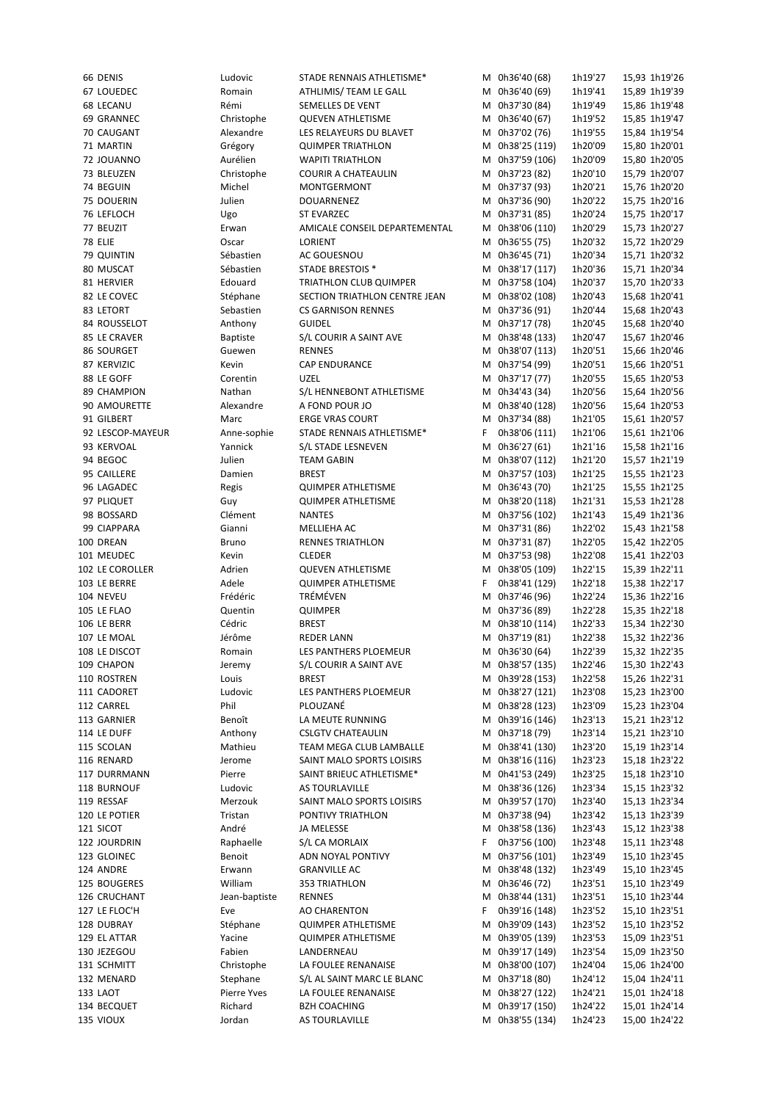| 66 DENIS                 | Ludovic            | STADE RENNAIS ATHLETISME*             |   | M 0h36'40 (68)                     | 1h19'27            | 15,93 1h19'26                  |
|--------------------------|--------------------|---------------------------------------|---|------------------------------------|--------------------|--------------------------------|
| 67 LOUEDEC               | Romain             | ATHLIMIS/ TEAM LE GALL                |   | M 0h36'40 (69)                     | 1h19'41            | 15,89 1h19'39                  |
| <b>68 LECANU</b>         | Rémi               | SEMELLES DE VENT                      |   | M 0h37'30 (84)                     | 1h19'49            | 15,86 1h19'48                  |
| 69 GRANNEC               | Christophe         | <b>QUEVEN ATHLETISME</b>              | м | 0h36'40 (67)                       | 1h19'52            | 15,85 1h19'47                  |
| 70 CAUGANT               | Alexandre          | LES RELAYEURS DU BLAVET               |   | M 0h37'02 (76)                     | 1h19'55            | 15,84 1h19'54                  |
| 71 MARTIN                | Grégory            | <b>QUIMPER TRIATHLON</b>              | м | 0h38'25 (119)                      | 1h20'09            | 15,80 1h20'01                  |
|                          | Aurélien           | <b>WAPITI TRIATHLON</b>               |   | M 0h37'59 (106)                    |                    | 15,80 1h20'05                  |
| 72 JOUANNO               |                    |                                       |   |                                    | 1h20'09            |                                |
| 73 BLEUZEN               | Christophe         | <b>COURIR A CHATEAULIN</b>            |   | M 0h37'23 (82)                     | 1h20'10            | 15,79 1h20'07                  |
| 74 BEGUIN                | Michel             | <b>MONTGERMONT</b>                    |   | M 0h37'37 (93)                     | 1h20'21            | 15,76 1h20'20                  |
| 75 DOUERIN               | Julien             | DOUARNENEZ                            | М | 0h37'36 (90)                       | 1h20'22            | 15,75 1h20'16                  |
| 76 LEFLOCH               | Ugo                | <b>ST EVARZEC</b>                     |   | M 0h37'31 (85)                     | 1h20'24            | 15,75 1h20'17                  |
| 77 BEUZIT                | Erwan              | AMICALE CONSEIL DEPARTEMENTAL         | М | 0h38'06 (110)                      | 1h20'29            | 15,73 1h20'27                  |
| 78 ELIE                  | Oscar              | LORIENT                               |   | M 0h36'55 (75)                     | 1h20'32            | 15,72 1h20'29                  |
| 79 QUINTIN               | Sébastien          | AC GOUESNOU                           | м | 0h36'45 (71)                       | 1h20'34            | 15,71 1h20'32                  |
| 80 MUSCAT                | Sébastien          | <b>STADE BRESTOIS *</b>               | м | 0h38'17 (117)                      | 1h20'36            | 15,71 1h20'34                  |
| 81 HERVIER               | Edouard            | <b>TRIATHLON CLUB QUIMPER</b>         | м | 0h37'58 (104)                      | 1h20'37            | 15,70 1h20'33                  |
| 82 LE COVEC              | Stéphane           | SECTION TRIATHLON CENTRE JEAN         | м | 0h38'02 (108)                      | 1h20'43            | 15,68 1h20'41                  |
| 83 LETORT                | Sebastien          | <b>CS GARNISON RENNES</b>             | М | 0h37'36 (91)                       | 1h20'44            | 15,68 1h20'43                  |
| 84 ROUSSELOT             | Anthony            | <b>GUIDEL</b>                         | м | 0h37'17 (78)                       | 1h20'45            | 15,68 1h20'40                  |
| 85 LE CRAVER             | <b>Baptiste</b>    | S/L COURIR A SAINT AVE                | м | 0h38'48 (133)                      | 1h20'47            | 15,67 1h20'46                  |
| 86 SOURGET               | Guewen             | <b>RENNES</b>                         | М | 0h38'07 (113)                      | 1h20'51            | 15,66 1h20'46                  |
| 87 KERVIZIC              | Kevin              | <b>CAP ENDURANCE</b>                  | М | 0h37'54 (99)                       | 1h20'51            | 15,66 1h20'51                  |
| 88 LE GOFF               | Corentin           | <b>UZEL</b>                           | М | 0h37'17 (77)                       | 1h20'55            | 15,65 1h20'53                  |
| 89 CHAMPION              | Nathan             | S/L HENNEBONT ATHLETISME              | м | 0h34'43 (34)                       | 1h20'56            | 15,64 1h20'56                  |
| 90 AMOURETTE             | Alexandre          | A FOND POUR JO                        | М | 0h38'40 (128)                      | 1h20'56            | 15,64 1h20'53                  |
| 91 GILBERT               | Marc               | <b>ERGE VRAS COURT</b>                | М | 0h37'34 (88)                       | 1h21'05            | 15,61 1h20'57                  |
| 92 LESCOP-MAYEUR         |                    | STADE RENNAIS ATHLETISME*             | F | 0h38'06 (111)                      | 1h21'06            |                                |
|                          | Anne-sophie        |                                       |   |                                    |                    | 15,61 1h21'06                  |
| 93 KERVOAL               | Yannick            | S/L STADE LESNEVEN                    | М | 0h36'27 (61)                       | 1h21'16            | 15,58 1h21'16                  |
| 94 BEGOC                 | Julien             | <b>TEAM GABIN</b>                     | М | 0h38'07 (112)                      | 1h21'20            | 15,57 1h21'19                  |
| 95 CAILLERE              | Damien             | <b>BREST</b>                          | м | 0h37'57 (103)                      | 1h21'25            | 15,55 1h21'23                  |
| 96 LAGADEC               | Regis              | <b>QUIMPER ATHLETISME</b>             | м | 0h36'43 (70)                       | 1h21'25            | 15,55 1h21'25                  |
| 97 PLIQUET               | Guy                | <b>QUIMPER ATHLETISME</b>             | м | 0h38'20 (118)                      | 1h21'31            | 15,53 1h21'28                  |
| 98 BOSSARD               | Clément            | <b>NANTES</b>                         |   | M 0h37'56 (102)                    | 1h21'43            | 15,49 1h21'36                  |
| 99 CIAPPARA              | Gianni             | MELLIEHA AC                           |   | M 0h37'31 (86)                     | 1h22'02            | 15,43 1h21'58                  |
| 100 DREAN                | <b>Bruno</b>       | <b>RENNES TRIATHLON</b>               |   | M 0h37'31 (87)                     | 1h22'05            | 15,42 1h22'05                  |
| 101 MEUDEC               | Kevin              | <b>CLEDER</b>                         |   | M 0h37'53 (98)                     | 1h22'08            | 15,41 1h22'03                  |
| 102 LE COROLLER          | Adrien             | <b>QUEVEN ATHLETISME</b>              |   | M 0h38'05 (109)                    | 1h22'15            | 15,39 1h22'11                  |
| 103 LE BERRE             | Adele              | <b>QUIMPER ATHLETISME</b>             | F | 0h38'41 (129)                      | 1h22'18            | 15,38 1h22'17                  |
|                          |                    |                                       |   | 0h37'46 (96)                       |                    |                                |
|                          | Frédéric           |                                       | М |                                    |                    |                                |
| 104 NEVEU                |                    | TRÉMÉVEN                              |   |                                    | 1h22'24            | 15,36 1h22'16                  |
| 105 LE FLAO              | Quentin            | QUIMPER                               | м | 0h37'36 (89)                       | 1h22'28            | 15,35 1h22'18                  |
| 106 LE BERR              | Cédric             | <b>BREST</b>                          | м | 0h38'10 (114)                      | 1h22'33            | 15,34 1h22'30                  |
| 107 LE MOAL              | Jérôme             | <b>REDER LANN</b>                     |   | M 0h37'19 (81)                     | 1h22'38            | 15,32 1h22'36                  |
| 108 LE DISCOT            | Romain             | LES PANTHERS PLOEMEUR                 |   | M 0h36'30 (64)                     | 1h22'39            | 15,32 1h22'35                  |
| 109 CHAPON               | Jeremy             | S/L COURIR A SAINT AVE                |   | M 0h38'57 (135)                    | 1h22'46            | 15,30 1h22'43                  |
| 110 ROSTREN              | Louis              | <b>BREST</b>                          |   | M 0h39'28 (153)                    | 1h22'58            | 15,26 1h22'31                  |
| 111 CADORET              | Ludovic            | LES PANTHERS PLOEMEUR                 |   | M 0h38'27 (121)                    | 1h23'08            | 15,23 1h23'00                  |
| 112 CARREL               | Phil               | PLOUZANÉ                              |   | M 0h38'28 (123)                    | 1h23'09            | 15,23 1h23'04                  |
| 113 GARNIER              | Benoît             | LA MEUTE RUNNING                      |   | M 0h39'16 (146)                    | 1h23'13            | 15,21 1h23'12                  |
| 114 LE DUFF              | Anthony            | <b>CSLGTV CHATEAULIN</b>              |   | M 0h37'18 (79)                     | 1h23'14            | 15,21 1h23'10                  |
| 115 SCOLAN               | Mathieu            | TEAM MEGA CLUB LAMBALLE               |   | M 0h38'41 (130)                    | 1h23'20            | 15,19 1h23'14                  |
| 116 RENARD               | Jerome             | SAINT MALO SPORTS LOISIRS             |   | M 0h38'16 (116)                    | 1h23'23            | 15,18 1h23'22                  |
| 117 DURRMANN             | Pierre             | SAINT BRIEUC ATHLETISME*              |   | M 0h41'53 (249)                    | 1h23'25            | 15,18 1h23'10                  |
| 118 BURNOUF              | Ludovic            | AS TOURLAVILLE                        |   | M 0h38'36 (126)                    | 1h23'34            | 15,15 1h23'32                  |
| 119 RESSAF               | Merzouk            | SAINT MALO SPORTS LOISIRS             |   | M 0h39'57 (170)                    | 1h23'40            | 15,13 1h23'34                  |
| 120 LE POTIER            | Tristan            | PONTIVY TRIATHLON                     |   | M 0h37'38 (94)                     | 1h23'42            | 15,13 1h23'39                  |
| 121 SICOT                | André              | JA MELESSE                            |   | M 0h38'58 (136)                    | 1h23'43            | 15,12 1h23'38                  |
| 122 JOURDRIN             | Raphaelle          | S/L CA MORLAIX                        | F | 0h37'56 (100)                      | 1h23'48            | 15,11 1h23'48                  |
| 123 GLOINEC              | Benoit             | ADN NOYAL PONTIVY                     | M |                                    | 1h23'49            | 15,10 1h23'45                  |
| 124 ANDRE                | Erwann             | <b>GRANVILLE AC</b>                   |   | 0h37'56 (101)<br>M 0h38'48 (132)   | 1h23'49            |                                |
| 125 BOUGERES             | William            | 353 TRIATHLON                         |   | M 0h36'46 (72)                     | 1h23'51            | 15,10 1h23'45<br>15,10 1h23'49 |
|                          |                    | <b>RENNES</b>                         |   |                                    |                    |                                |
| 126 CRUCHANT             | Jean-baptiste      |                                       |   | M 0h38'44 (131)                    | 1h23'51            | 15,10 1h23'44                  |
| 127 LE FLOC'H            | Eve                | AO CHARENTON                          | F | 0h39'16 (148)                      | 1h23'52            | 15,10 1h23'51                  |
| 128 DUBRAY               | Stéphane           | <b>QUIMPER ATHLETISME</b>             | м | 0h39'09 (143)                      | 1h23'52            | 15,10 1h23'52                  |
| 129 EL ATTAR             | Yacine             | <b>QUIMPER ATHLETISME</b>             |   | M 0h39'05 (139)                    | 1h23'53            | 15,09 1h23'51                  |
| 130 JEZEGOU              | Fabien             | LANDERNEAU                            |   | M 0h39'17 (149)                    | 1h23'54            | 15,09 1h23'50                  |
| 131 SCHMITT              | Christophe         | LA FOULEE RENANAISE                   |   | M 0h38'00 (107)                    | 1h24'04            | 15,06 1h24'00                  |
| 132 MENARD               | Stephane           | S/L AL SAINT MARC LE BLANC            |   | M 0h37'18 (80)                     | 1h24'12            | 15,04 1h24'11                  |
| 133 LAOT                 | <b>Pierre Yves</b> | LA FOULEE RENANAISE                   |   | M 0h38'27 (122)                    | 1h24'21            | 15,01 1h24'18                  |
| 134 BECQUET<br>135 VIOUX | Richard<br>Jordan  | <b>BZH COACHING</b><br>AS TOURLAVILLE |   | M 0h39'17 (150)<br>M 0h38'55 (134) | 1h24'22<br>1h24'23 | 15,01 1h24'14<br>15,00 1h24'22 |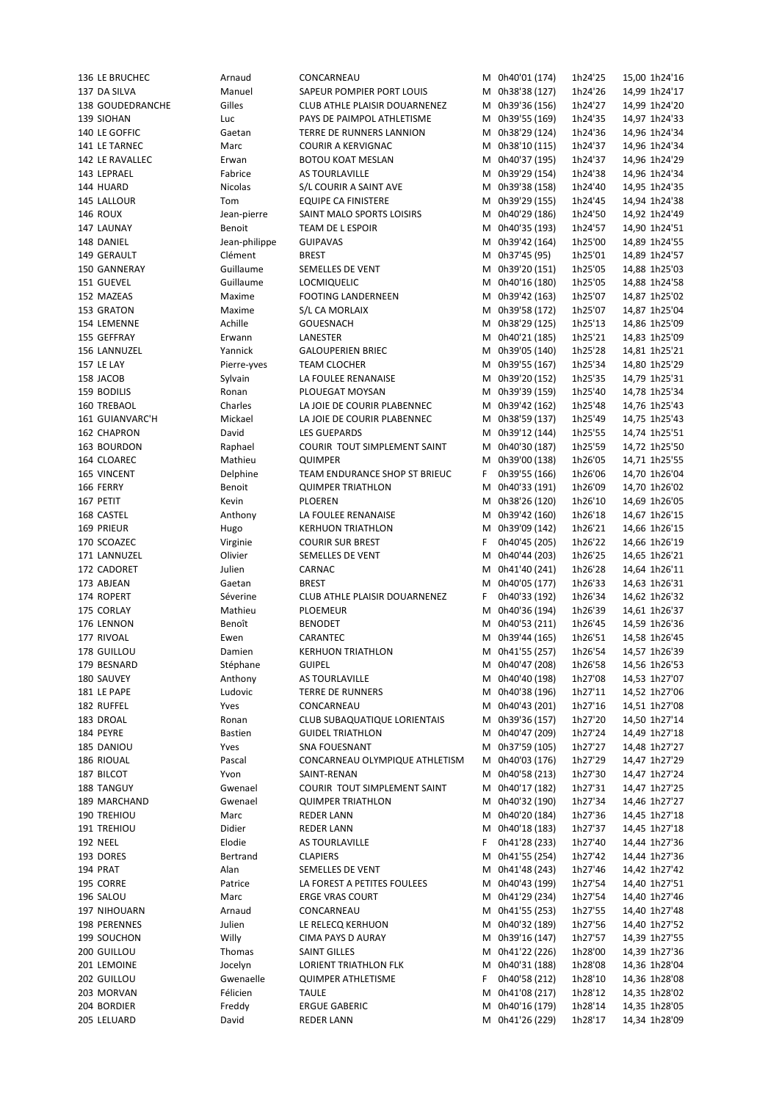| 136 LE BRUCHEC     | Arnaud         | CONCARNEAU                          |    | M 0h40'01 (174) | 1h24'25 | 15,00 1h24'16 |
|--------------------|----------------|-------------------------------------|----|-----------------|---------|---------------|
| 137 DA SILVA       | Manuel         | SAPEUR POMPIER PORT LOUIS           |    | M 0h38'38 (127) | 1h24'26 | 14,99 1h24'17 |
| 138 GOUDEDRANCHE   | Gilles         | CLUB ATHLE PLAISIR DOUARNENEZ       |    | M 0h39'36 (156) | 1h24'27 | 14,99 1h24'20 |
| 139 SIOHAN         | Luc            | PAYS DE PAIMPOL ATHLETISME          |    | M 0h39'55 (169) | 1h24'35 | 14,97 1h24'33 |
|                    |                |                                     |    |                 |         |               |
| 140 LE GOFFIC      | Gaetan         | TERRE DE RUNNERS LANNION            |    | M 0h38'29 (124) | 1h24'36 | 14,96 1h24'34 |
| 141 LE TARNEC      | Marc           | COURIR A KERVIGNAC                  |    | M 0h38'10 (115) | 1h24'37 | 14,96 1h24'34 |
| 142 LE RAVALLEC    | Erwan          | <b>BOTOU KOAT MESLAN</b>            |    | M 0h40'37 (195) | 1h24'37 | 14,96 1h24'29 |
| 143 LEPRAEL        | Fabrice        | AS TOURLAVILLE                      |    | M 0h39'29 (154) | 1h24'38 | 14,96 1h24'34 |
| 144 HUARD          | <b>Nicolas</b> | S/L COURIR A SAINT AVE              |    | M 0h39'38 (158) | 1h24'40 | 14,95 1h24'35 |
| 145 LALLOUR        | Tom            | <b>EQUIPE CA FINISTERE</b>          |    | M 0h39'29 (155) | 1h24'45 | 14,94 1h24'38 |
| 146 ROUX           | Jean-pierre    | SAINT MALO SPORTS LOISIRS           |    | M 0h40'29 (186) | 1h24'50 | 14,92 1h24'49 |
| 147 LAUNAY         | Benoit         | TEAM DE L ESPOIR                    |    | M 0h40'35 (193) | 1h24'57 | 14,90 1h24'51 |
| 148 DANIEL         | Jean-philippe  | <b>GUIPAVAS</b>                     |    | M 0h39'42 (164) | 1h25'00 | 14,89 1h24'55 |
|                    |                |                                     |    |                 |         |               |
| 149 GERAULT        | Clément        | <b>BREST</b>                        |    | M 0h37'45 (95)  | 1h25'01 | 14,89 1h24'57 |
| 150 GANNERAY       | Guillaume      | SEMELLES DE VENT                    |    | M 0h39'20 (151) | 1h25'05 | 14,88 1h25'03 |
| 151 GUEVEL         | Guillaume      | <b>LOCMIQUELIC</b>                  |    | M 0h40'16 (180) | 1h25'05 | 14,88 1h24'58 |
| 152 MAZEAS         | Maxime         | <b>FOOTING LANDERNEEN</b>           |    | M 0h39'42 (163) | 1h25'07 | 14,87 1h25'02 |
| 153 GRATON         | Maxime         | S/L CA MORLAIX                      |    | M 0h39'58 (172) | 1h25'07 | 14,87 1h25'04 |
| 154 LEMENNE        | Achille        | GOUESNACH                           |    | M 0h38'29 (125) | 1h25'13 | 14,86 1h25'09 |
| 155 GEFFRAY        | Erwann         | LANESTER                            |    | M 0h40'21 (185) | 1h25'21 | 14,83 1h25'09 |
| 156 LANNUZEL       | Yannick        | <b>GALOUPERIEN BRIEC</b>            |    | M 0h39'05 (140) | 1h25'28 | 14,81 1h25'21 |
|                    |                |                                     |    |                 |         |               |
| <b>157 LE LAY</b>  | Pierre-yves    | TEAM CLOCHER                        |    | M 0h39'55 (167) | 1h25'34 | 14,80 1h25'29 |
| 158 JACOB          | Sylvain        | LA FOULEE RENANAISE                 |    | M 0h39'20 (152) | 1h25'35 | 14,79 1h25'31 |
| 159 BODILIS        | Ronan          | PLOUEGAT MOYSAN                     |    | M 0h39'39 (159) | 1h25'40 | 14,78 1h25'34 |
| 160 TREBAOL        | Charles        | LA JOIE DE COURIR PLABENNEC         |    | M 0h39'42 (162) | 1h25'48 | 14,76 1h25'43 |
| 161 GUIANVARC'H    | Mickael        | LA JOIE DE COURIR PLABENNEC         |    | M 0h38'59 (137) | 1h25'49 | 14,75 1h25'43 |
| 162 CHAPRON        | David          | <b>LES GUEPARDS</b>                 |    | M 0h39'12 (144) | 1h25'55 | 14,74 1h25'51 |
|                    |                |                                     |    |                 |         |               |
| 163 BOURDON        | Raphael        | COURIR TOUT SIMPLEMENT SAINT        |    | M 0h40'30 (187) | 1h25'59 | 14,72 1h25'50 |
| 164 CLOAREC        | Mathieu        | <b>QUIMPER</b>                      |    | M 0h39'00 (138) | 1h26'05 | 14,71 1h25'55 |
| <b>165 VINCENT</b> | Delphine       | TEAM ENDURANCE SHOP ST BRIEUC       | F. | 0h39'55 (166)   | 1h26'06 | 14,70 1h26'04 |
| 166 FERRY          | Benoit         | <b>QUIMPER TRIATHLON</b>            | м  | 0h40'33 (191)   | 1h26'09 | 14,70 1h26'02 |
| 167 PETIT          | Kevin          | PLOEREN                             |    | M 0h38'26 (120) | 1h26'10 | 14,69 1h26'05 |
| 168 CASTEL         | Anthony        | LA FOULEE RENANAISE                 |    | M 0h39'42 (160) | 1h26'18 | 14,67 1h26'15 |
|                    |                |                                     |    |                 |         |               |
| 169 PRIEUR         | Hugo           | <b>KERHUON TRIATHLON</b>            |    | M 0h39'09 (142) | 1h26'21 | 14,66 1h26'15 |
| 170 SCOAZEC        | Virginie       | <b>COURIR SUR BREST</b>             | F. | 0h40'45 (205)   | 1h26'22 | 14,66 1h26'19 |
| 171 LANNUZEL       | Olivier        | SEMELLES DE VENT                    | м  | 0h40'44 (203)   | 1h26'25 | 14,65 1h26'21 |
| 172 CADORET        | Julien         | CARNAC                              |    | M 0h41'40 (241) | 1h26'28 | 14,64 1h26'11 |
| 173 ABJEAN         | Gaetan         | <b>BREST</b>                        | м  | 0h40'05 (177)   | 1h26'33 | 14,63 1h26'31 |
| 174 ROPERT         | Séverine       | CLUB ATHLE PLAISIR DOUARNENEZ       | F  | 0h40'33 (192)   | 1h26'34 | 14,62 1h26'32 |
| 175 CORLAY         | Mathieu        | PLOEMEUR                            | М  | 0h40'36 (194)   | 1h26'39 | 14,61 1h26'37 |
|                    |                |                                     |    |                 |         |               |
| 176 LENNON         | Benoît         | <b>BENODET</b>                      |    | M 0h40'53 (211) | 1h26'45 | 14,59 1h26'36 |
| 177 RIVOAL         | Ewen           | CARANTEC                            |    | M 0h39'44 (165) | 1h26'51 | 14,58 1h26'45 |
| 178 GUILLOU        | Damien         | <b>KERHUON TRIATHLON</b>            |    | M 0h41'55 (257) | 1h26'54 | 14,57 1h26'39 |
| 179 BESNARD        | Stéphane       | <b>GUIPEL</b>                       |    | M 0h40'47 (208) | 1h26'58 | 14,56 1h26'53 |
| 180 SAUVEY         | Anthony        | AS TOURLAVILLE                      |    | M 0h40'40 (198) | 1h27'08 | 14,53 1h27'07 |
| 181 LE PAPE        | Ludovic        | <b>TERRE DE RUNNERS</b>             | M  | 0h40'38 (196)   | 1h27'11 | 14,52 1h27'06 |
|                    |                |                                     |    |                 |         |               |
| 182 RUFFEL         | Yves           | CONCARNEAU                          | м  | 0h40'43 (201)   | 1h27'16 | 14,51 1h27'08 |
| 183 DROAL          | Ronan          | <b>CLUB SUBAQUATIQUE LORIENTAIS</b> | M  | 0h39'36 (157)   | 1h27'20 | 14,50 1h27'14 |
| 184 PEYRE          | <b>Bastien</b> | <b>GUIDEL TRIATHLON</b>             | М  | 0h40'47 (209)   | 1h27'24 | 14,49 1h27'18 |
| 185 DANIOU         | Yves           | <b>SNA FOUESNANT</b>                | М  | 0h37'59 (105)   | 1h27'27 | 14,48 1h27'27 |
| 186 RIOUAL         | Pascal         | CONCARNEAU OLYMPIQUE ATHLETISM      | М  | 0h40'03 (176)   | 1h27'29 | 14,47 1h27'29 |
| 187 BILCOT         | Yvon           | SAINT-RENAN                         | м  | 0h40'58 (213)   | 1h27'30 | 14,47 1h27'24 |
| 188 TANGUY         | Gwenael        | COURIR TOUT SIMPLEMENT SAINT        | м  | 0h40'17 (182)   | 1h27'31 | 14,47 1h27'25 |
|                    |                |                                     |    | 0h40'32 (190)   |         |               |
| 189 MARCHAND       | Gwenael        | <b>QUIMPER TRIATHLON</b>            | М  |                 | 1h27'34 | 14,46 1h27'27 |
| 190 TREHIOU        | Marc           | <b>REDER LANN</b>                   | м  | 0h40'20 (184)   | 1h27'36 | 14,45 1h27'18 |
| 191 TREHIOU        | Didier         | <b>REDER LANN</b>                   | M  | 0h40'18 (183)   | 1h27'37 | 14,45 1h27'18 |
| <b>192 NEEL</b>    | Elodie         | AS TOURLAVILLE                      | F  | 0h41'28 (233)   | 1h27'40 | 14,44 1h27'36 |
| 193 DORES          | Bertrand       | <b>CLAPIERS</b>                     | М  | 0h41'55 (254)   | 1h27'42 | 14,44 1h27'36 |
| 194 PRAT           | Alan           | SEMELLES DE VENT                    | M  | 0h41'48 (243)   | 1h27'46 | 14,42 1h27'42 |
| 195 CORRE          | Patrice        | LA FOREST A PETITES FOULEES         |    | M 0h40'43 (199) | 1h27'54 | 14,40 1h27'51 |
| 196 SALOU          | Marc           | <b>ERGE VRAS COURT</b>              | м  | 0h41'29 (234)   | 1h27'54 | 14,40 1h27'46 |
|                    |                |                                     |    |                 |         |               |
| 197 NIHOUARN       | Arnaud         | CONCARNEAU                          |    | M 0h41'55 (253) | 1h27'55 | 14,40 1h27'48 |
| 198 PERENNES       | Julien         | LE RELECQ KERHUON                   |    | M 0h40'32 (189) | 1h27'56 | 14,40 1h27'52 |
| 199 SOUCHON        | Willy          | CIMA PAYS D AURAY                   | м  | 0h39'16 (147)   | 1h27'57 | 14,39 1h27'55 |
| 200 GUILLOU        | Thomas         | <b>SAINT GILLES</b>                 | м  | 0h41'22 (226)   | 1h28'00 | 14,39 1h27'36 |
| 201 LEMOINE        | Jocelyn        | LORIENT TRIATHLON FLK               | M  | 0h40'31 (188)   | 1h28'08 | 14,36 1h28'04 |
| 202 GUILLOU        | Gwenaelle      | <b>QUIMPER ATHLETISME</b>           | F. | 0h40'58 (212)   | 1h28'10 | 14,36 1h28'08 |
| 203 MORVAN         | Félicien       | <b>TAULE</b>                        |    | M 0h41'08 (217) |         |               |
|                    |                |                                     |    |                 | 1h28'12 | 14,35 1h28'02 |
| 204 BORDIER        | Freddy         | <b>ERGUE GABERIC</b>                |    | M 0h40'16 (179) | 1h28'14 | 14,35 1h28'05 |
| 205 LELUARD        | David          | <b>REDER LANN</b>                   |    | M 0h41'26 (229) | 1h28'17 | 14,34 1h28'09 |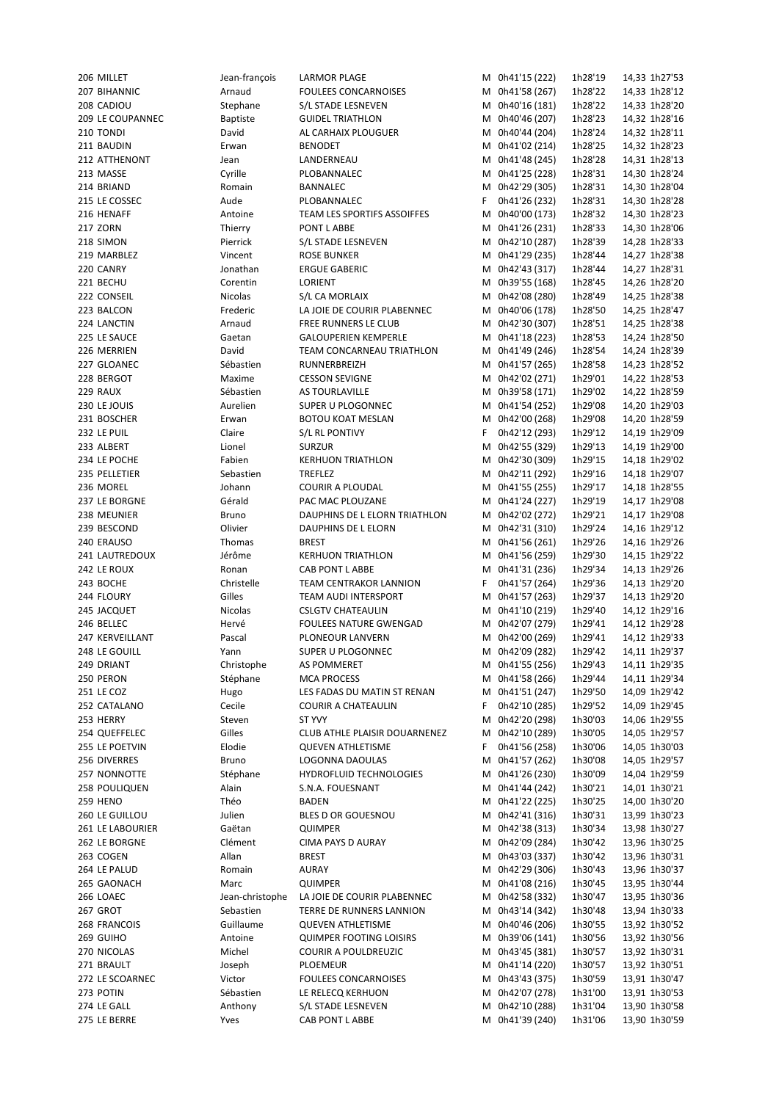| 206 MILLET       | Jean-françois   | LARMOR PLAGE                   |    | M 0h41'15 (222) | 1h28'19 | 14,33 1h27'53 |
|------------------|-----------------|--------------------------------|----|-----------------|---------|---------------|
| 207 BIHANNIC     | Arnaud          | <b>FOULEES CONCARNOISES</b>    |    | M 0h41'58 (267) | 1h28'22 | 14,33 1h28'12 |
| 208 CADIOU       | Stephane        | S/L STADE LESNEVEN             |    | M 0h40'16 (181) | 1h28'22 | 14,33 1h28'20 |
| 209 LE COUPANNEC | <b>Baptiste</b> | <b>GUIDEL TRIATHLON</b>        |    | M 0h40'46 (207) | 1h28'23 | 14,32 1h28'16 |
| 210 TONDI        | David           | AL CARHAIX PLOUGUER            | М  | 0h40'44 (204)   | 1h28'24 | 14,32 1h28'11 |
| 211 BAUDIN       | Erwan           | BENODET                        |    | M 0h41'02 (214) | 1h28'25 | 14,32 1h28'23 |
| 212 ATTHENONT    | Jean            | LANDERNEAU                     |    | M 0h41'48 (245) | 1h28'28 | 14,31 1h28'13 |
| 213 MASSE        | Cyrille         | PLOBANNALEC                    |    | M 0h41'25 (228) | 1h28'31 | 14,30 1h28'24 |
| 214 BRIAND       | Romain          | BANNALEC                       | м  | 0h42'29 (305)   | 1h28'31 | 14,30 1h28'04 |
| 215 LE COSSEC    | Aude            | PLOBANNALEC                    | F. | 0h41'26 (232)   | 1h28'31 | 14,30 1h28'28 |
| 216 HENAFF       | Antoine         | TEAM LES SPORTIFS ASSOIFFES    | М  | 0h40'00 (173)   | 1h28'32 | 14,30 1h28'23 |
| 217 ZORN         | Thierry         | PONT L ABBE                    | М  | 0h41'26 (231)   | 1h28'33 | 14,30 1h28'06 |
| 218 SIMON        | Pierrick        | S/L STADE LESNEVEN             |    | M 0h42'10 (287) | 1h28'39 | 14,28 1h28'33 |
| 219 MARBLEZ      | Vincent         | <b>ROSE BUNKER</b>             |    | M 0h41'29 (235) | 1h28'44 | 14,27 1h28'38 |
| 220 CANRY        | Jonathan        | <b>ERGUE GABERIC</b>           |    | M 0h42'43 (317) | 1h28'44 | 14,27 1h28'31 |
| 221 BECHU        | Corentin        | LORIENT                        | М  | 0h39'55 (168)   | 1h28'45 | 14,26 1h28'20 |
| 222 CONSEIL      | Nicolas         | S/L CA MORLAIX                 | м  | 0h42'08 (280)   | 1h28'49 | 14,25 1h28'38 |
| 223 BALCON       | Frederic        | LA JOIE DE COURIR PLABENNEC    | м  | 0h40'06 (178)   | 1h28'50 | 14,25 1h28'47 |
| 224 LANCTIN      | Arnaud          | FREE RUNNERS LE CLUB           |    | M 0h42'30 (307) | 1h28'51 | 14,25 1h28'38 |
| 225 LE SAUCE     |                 | <b>GALOUPERIEN KEMPERLE</b>    |    | 0h41'18 (223)   |         |               |
|                  | Gaetan          |                                | м  | 0h41'49 (246)   | 1h28'53 | 14,24 1h28'50 |
| 226 MERRIEN      | David           | TEAM CONCARNEAU TRIATHLON      | М  |                 | 1h28'54 | 14,24 1h28'39 |
| 227 GLOANEC      | Sébastien       | RUNNERBREIZH                   | М  | 0h41'57 (265)   | 1h28'58 | 14,23 1h28'52 |
| 228 BERGOT       | Maxime          | <b>CESSON SEVIGNE</b>          |    | M 0h42'02 (271) | 1h29'01 | 14,22 1h28'53 |
| 229 RAUX         | Sébastien       | AS TOURLAVILLE                 | М  | 0h39'58 (171)   | 1h29'02 | 14,22 1h28'59 |
| 230 LE JOUIS     | Aurelien        | SUPER U PLOGONNEC              |    | M 0h41'54 (252) | 1h29'08 | 14,20 1h29'03 |
| 231 BOSCHER      | Erwan           | <b>BOTOU KOAT MESLAN</b>       |    | M 0h42'00 (268) | 1h29'08 | 14,20 1h28'59 |
| 232 LE PUIL      | Claire          | S/L RL PONTIVY                 | F. | 0h42'12 (293)   | 1h29'12 | 14,19 1h29'09 |
| 233 ALBERT       | Lionel          | <b>SURZUR</b>                  | м  | 0h42'55 (329)   | 1h29'13 | 14,19 1h29'00 |
| 234 LE POCHE     | Fabien          | <b>KERHUON TRIATHLON</b>       | M  | 0h42'30 (309)   | 1h29'15 | 14,18 1h29'02 |
| 235 PELLETIER    | Sebastien       | TREFLEZ                        | М  | 0h42'11 (292)   | 1h29'16 | 14,18 1h29'07 |
| 236 MOREL        | Johann          | COURIR A PLOUDAL               | м  | 0h41'55 (255)   | 1h29'17 | 14,18 1h28'55 |
| 237 LE BORGNE    | Gérald          | PAC MAC PLOUZANE               |    | M 0h41'24 (227) | 1h29'19 | 14,17 1h29'08 |
| 238 MEUNIER      | Bruno           | DAUPHINS DE L ELORN TRIATHLON  |    | M 0h42'02 (272) | 1h29'21 | 14,17 1h29'08 |
| 239 BESCOND      | Olivier         | DAUPHINS DE L ELORN            |    | M 0h42'31 (310) | 1h29'24 | 14,16 1h29'12 |
| 240 ERAUSO       | Thomas          | BREST                          | м  | 0h41'56 (261)   | 1h29'26 | 14,16 1h29'26 |
| 241 LAUTREDOUX   | Jérôme          | <b>KERHUON TRIATHLON</b>       | М  | 0h41'56 (259)   | 1h29'30 | 14,15 1h29'22 |
| 242 LE ROUX      | Ronan           | CAB PONT L ABBE                |    | M 0h41'31 (236) | 1h29'34 | 14,13 1h29'26 |
| 243 BOCHE        | Christelle      | <b>TEAM CENTRAKOR LANNION</b>  | F. | 0h41'57 (264)   | 1h29'36 | 14,13 1h29'20 |
| 244 FLOURY       | Gilles          | TEAM AUDI INTERSPORT           | М  | 0h41'57 (263)   | 1h29'37 | 14,13 1h29'20 |
| 245 JACQUET      | Nicolas         | <b>CSLGTV CHATEAULIN</b>       | М  | 0h41'10 (219)   | 1h29'40 | 14,12 1h29'16 |
| 246 BELLEC       | Hervé           | <b>FOULEES NATURE GWENGAD</b>  | М  | 0h42'07 (279)   | 1h29'41 | 14,12 1h29'28 |
| 247 KERVEILLANT  | Pascal          | PLONEOUR LANVERN               |    | M 0h42'00 (269) | 1h29'41 | 14,12 1h29'33 |
| 248 LE GOUILL    | Yann            | <b>SUPER U PLOGONNEC</b>       |    | M 0h42'09 (282) | 1h29'42 | 14,11 1h29'37 |
| 249 DRIANT       | Christophe      | <b>AS POMMERET</b>             | М  | 0h41'55 (256)   | 1h29'43 | 14,11 1h29'35 |
| 250 PERON        | Stéphane        | <b>MCA PROCESS</b>             | М  | 0h41'58 (266)   | 1h29'44 | 14,11 1h29'34 |
| 251 LE COZ       | Hugo            | LES FADAS DU MATIN ST RENAN    | M  | 0h41'51 (247)   | 1h29'50 | 14,09 1h29'42 |
| 252 CATALANO     | Cecile          | <b>COURIR A CHATEAULIN</b>     | F  | 0h42'10 (285)   | 1h29'52 | 14,09 1h29'45 |
|                  |                 |                                |    | 0h42'20 (298)   |         |               |
| 253 HERRY        | Steven          | ST YVY                         | М  |                 | 1h30'03 | 14,06 1h29'55 |
| 254 QUEFFELEC    | Gilles          | CLUB ATHLE PLAISIR DOUARNENEZ  | м  | 0h42'10 (289)   | 1h30'05 | 14,05 1h29'57 |
| 255 LE POETVIN   | Elodie          | <b>QUEVEN ATHLETISME</b>       | F. | 0h41'56 (258)   | 1h30'06 | 14,05 1h30'03 |
| 256 DIVERRES     | Bruno           | LOGONNA DAOULAS                | M  | 0h41'57 (262)   | 1h30'08 | 14,05 1h29'57 |
| 257 NONNOTTE     | Stéphane        | <b>HYDROFLUID TECHNOLOGIES</b> | м  | 0h41'26 (230)   | 1h30'09 | 14,04 1h29'59 |
| 258 POULIQUEN    | Alain           | S.N.A. FOUESNANT               |    | M 0h41'44 (242) | 1h30'21 | 14,01 1h30'21 |
| <b>259 HENO</b>  | Théo            | BADEN                          |    | M 0h41'22 (225) | 1h30'25 | 14,00 1h30'20 |
| 260 LE GUILLOU   | Julien          | BLES D OR GOUESNOU             | М  | 0h42'41 (316)   | 1h30'31 | 13,99 1h30'23 |
| 261 LE LABOURIER | Gaëtan          | QUIMPER                        | M  | 0h42'38 (313)   | 1h30'34 | 13,98 1h30'27 |
| 262 LE BORGNE    | Clément         | CIMA PAYS D AURAY              |    | M 0h42'09 (284) | 1h30'42 | 13,96 1h30'25 |
| 263 COGEN        | Allan           | BREST                          |    | M 0h43'03 (337) | 1h30'42 | 13,96 1h30'31 |
| 264 LE PALUD     | Romain          | AURAY                          | М  | 0h42'29 (306)   | 1h30'43 | 13,96 1h30'37 |
| 265 GAONACH      | Marc            | QUIMPER                        | M  | 0h41'08 (216)   | 1h30'45 | 13,95 1h30'44 |
| 266 LOAEC        | Jean-christophe | LA JOIE DE COURIR PLABENNEC    |    | M 0h42'58 (332) | 1h30'47 | 13,95 1h30'36 |
| 267 GROT         | Sebastien       | TERRE DE RUNNERS LANNION       | м  | 0h43'14 (342)   | 1h30'48 | 13,94 1h30'33 |
| 268 FRANCOIS     | Guillaume       | <b>QUEVEN ATHLETISME</b>       | м  | 0h40'46 (206)   | 1h30'55 | 13,92 1h30'52 |
| 269 GUIHO        | Antoine         | <b>QUIMPER FOOTING LOISIRS</b> | M  | 0h39'06 (141)   | 1h30'56 | 13,92 1h30'56 |
| 270 NICOLAS      | Michel          | COURIR A POULDREUZIC           | М  | 0h43'45 (381)   | 1h30'57 | 13,92 1h30'31 |
| 271 BRAULT       | Joseph          | PLOEMEUR                       | м  | 0h41'14 (220)   | 1h30'57 | 13,92 1h30'51 |
| 272 LE SCOARNEC  | Victor          | <b>FOULEES CONCARNOISES</b>    | М  | 0h43'43 (375)   | 1h30'59 | 13,91 1h30'47 |
| 273 POTIN        | Sébastien       | LE RELECQ KERHUON              | М  | 0h42'07 (278)   | 1h31'00 | 13,91 1h30'53 |
| 274 LE GALL      | Anthony         | S/L STADE LESNEVEN             | м  | 0h42'10 (288)   | 1h31'04 | 13,90 1h30'58 |
| 275 LE BERRE     | Yves            | CAB PONT L ABBE                |    | M 0h41'39 (240) | 1h31'06 | 13,90 1h30'59 |
|                  |                 |                                |    |                 |         |               |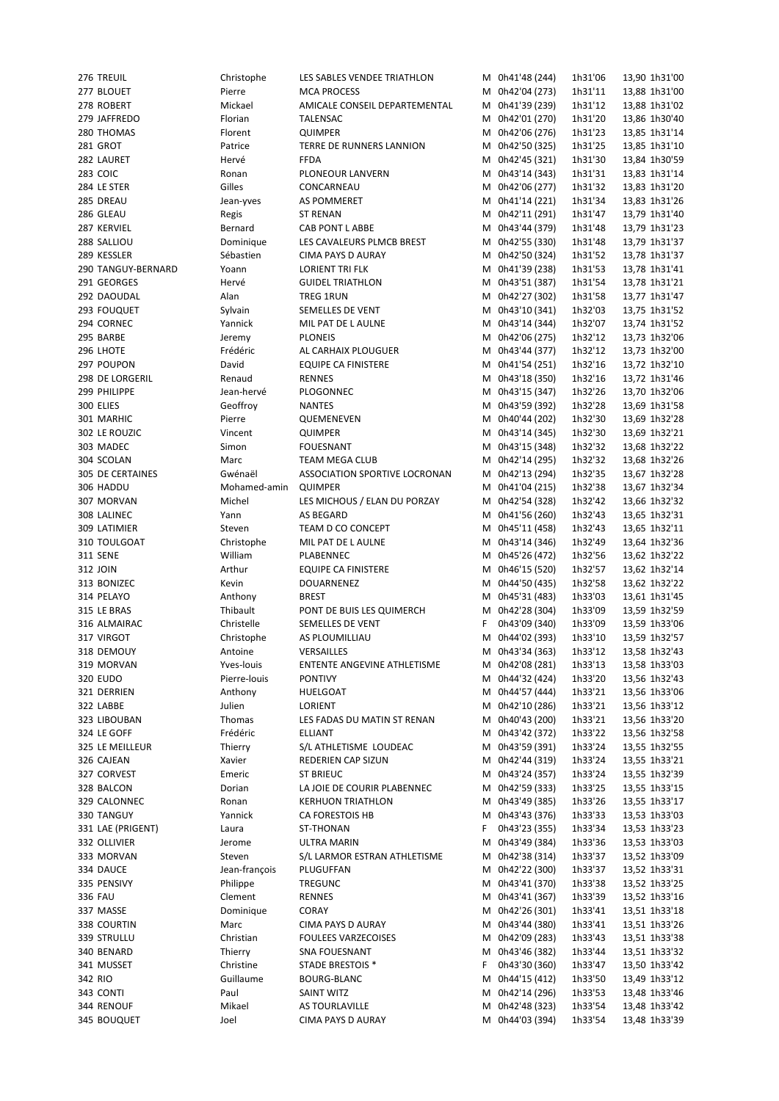Thierry SNA FOUESNANT M 0h43'46 (382) 1h33'44

276 TREUIL Christophe LES SABLES VENDEE TRIATHLON M 0h41'48 (244) 1h31'06 13,90 1h31'00 277 BLOUET Pierre MCA PROCESS M 0h42'04 (273) 1h31'11 13,88 1h31'00 278 ROBERT Mickael AMICALE CONSEIL DEPARTEMENTAL M 0h41'39 (239) 1h31'12 13,88 1h31'02 279 JAFFREDO Florian TALENSAC M 0h42'01 (270) 1h31'20 13,86 1h30'40 280 THOMAS Florent QUIMPER M 0h42'06 (276) 1h31'23 13,85 1h31'14 281 GROT Patrice TERRE DE RUNNERS LANNION M 0h42'50 (325) 1h31'25 13,85 1h31'10 282 LAURET Hervé FFDA M 0h42'45 (321) 1h31'30 13,84 1h30'59 283 COIC Ronan PLONEOUR LANVERN M 0h43'14 (343) 1h31'31 13,83 1h31'14 284 LE STER Gilles CONCARNEAU M 0h42'06 (277) 1h31'32 13,83 1h31'20 285 DREAU Jean-yves AS POMMERET M 0h41'14 (221) 1h31'34 13,83 1h31'26 286 GLEAU Regis ST RENAN M 211 (291) 1h31'47 13,79 1h31'40 287 KERVIEL Bernard CAB PONT L ABBE M 0h43'44 (379) 1h31'48 13,79 1h31'23 288 SALLIOU Dominique LES CAVALEURS PLMCB BREST M 0h42'55 (330) 1h31'48 13,79 1h31'37 289 KESSLER Sébastien CIMA PAYS D AURAY M 0h42'50 (324) 1h31'52 13,78 1h31'37 290 TANGUY-BERNARD Yoann LORIENT TRI FLK M 0h41'39 (238) 1h31'53 13,78 1h31'41 291 GEORGES Hervé GUIDEL TRIATHLON M 0h43'51 (387) 1h31'54 13,78 1h31'21 292 DAOUDAL Alan TREG 1RUN M 0h42'27 (302) 1h31'58 13,77 1h31'47 293 FOUQUET Sylvain SEMELLES DE VENT M 0h43'10 (341) 1h32'03 13,75 1h31'52 294 CORNEC Yannick MIL PAT DE L AULNE M 0h43'14 (344) 1h32'07 13,74 1h31'52 295 BARBE Jeremy PLONEIS M 0h42'06 (275) 1h32'12 13,73 1h32'06 296 LHOTE Frédéric AL CARHAIX PLOUGUER M 0h43'44 (377) 1h32'12 13,73 1h32'00 297 POUPON David EQUIPE CA FINISTERE M 0h41'54 (251) 1h32'16 13,72 1h32'10 298 DE LORGERIL Renaud RENNES M 0h43'18 (350) 1h32'16 13,72 1h31'46 299 PHILIPPE Jean-hervé PLOGONNEC M 0h43'15 (347) 1h32'26 13,70 1h32'06 300 ELIES Geoffroy NANTES M 0h43'59 (392) 1h32'28 13,69 1h31'58 301 MARHIC Pierre QUEMENEVEN M 0h40'44 (202) 1h32'30 13,69 1h32'28 302 LE ROUZIC Vincent QUIMPER M 0h43'14 (345) 1h32'30 13,69 1h32'21 303 MADEC Simon FOUESNANT M 0h43'15 (348) 1h32'32 13,68 1h32'22 304 SCOLAN Marc TEAM MEGA CLUB M 0h42'14 (295) 1h32'32 13,68 1h32'26 305 DE CERTAINES Gwénaël ASSOCIATION SPORTIVE LOCRONAN M 0h42'13 (294) 1h32'35 13,67 1h32'28 306 HADDU Mohamed-amin QUIMPER M 0h41'04 (215) 1h32'38 13,67 1h32'34 307 MORVAN Michel LES MICHOUS / ELAN DU PORZAY M 0h42'54 (328) 1h32'42 13,66 1h32'32 308 LALINEC Yann AS BEGARD M 0h41'56 (260) 1h32'43 13,65 1h32'31 309 LATIMIER Steven TEAM D CO CONCEPT M 0h45'11 (458) 1h32'43 13,65 1h32'11 310 TOULGOAT Christophe MIL PAT DE L AULNE M 0h43'14 (346) 1h32'49 13,64 1h32'36 311 SENE William PLABENNEC M 0h45'26 (472) 1h32'56 13,62 1h32'22 312 JOIN 1032'57 13,62 1h32'14 313 BONIZEC Kevin DOUARNENEZ M 0h44'50 (435) 1h32'58 13,62 1h32'22 314 PELAYO Anthony BREST M 0h45'31 (483) 1h33'03 13,61 1h31'45 315 LE BRAS Thibault PONT DE BUIS LES QUIMERCH M 0h42'28 (304) 1h33'09 13,59 1h32'59 316 ALMAIRAC Christelle SEMELLES DE VENT F 0h43'09 (340) 1h33'09 13,59 1h33'06 317 VIRGOT Christophe AS PLOUMILLIAU M 0h44'02 (393) 1h33'10 13,59 1h32'57 318 DEMOUY **Antoine** VERSAILLES M 0h43'34 (363) 1h33'12 13,58 1h32'43 319 MORVAN Yves-louis ENTENTE ANGEVINE ATHLETISME M 0h42'08 (281) 1h33'13 13,58 1h33'03 320 EUDO Pierre-louis PONTIVY M 0h44'32 (424) 1h33'20 13,56 1h32'43 321 DERRIEN Anthony HUELGOAT M 0h44'57 (444) 1h33'21 13,56 1h33'06 322 LABBE Julien LORIENT M 0h42'10 (286) 1h33'21 13,56 1h33'12 323 LIBOUBAN Thomas LES FADAS DU MATIN ST RENAN M 0h40'43 (200) 1h33'21 13,56 1h33'20 324 LE GOFF Frédéric ELLIANT M 0h43'42 (372) 1h33'22 13,56 1h32'58 325 LE MEILLEUR Thierry S/L ATHLETISME LOUDEAC M 0h43'59 (391) 1h33'24 13,55 1h32'55 326 CAJEAN Xavier REDERIEN CAP SIZUN M 0h42'44 (319) 1h33'24 13,55 1h33'21 327 CORVEST Emeric ST BRIEUC M 0h43'24 (357) 1h33'24 13,55 1h32'39 328 BALCON Dorian LA JOIE DE COURIR PLABENNEC M 0h42'59 (333) 1h33'25 13,55 1h33'15 329 CALONNEC Ronan KERHUON TRIATHLON M 0h43'49 (385) 1h33'26 13,55 1h33'17 330 TANGUY Yannick CA FORESTOIS HB M 0h43'43 (376) 1h33'33 13,53 1h33'03 331 LAE (PRIGENT) Laura ST-THONAN F 0h43'23 (355) 1h33'34 13,53 1h33'23 332 OLLIVIER Jerome ULTRA MARIN M 0h43'49 (384) 1h33'36 13,53 1h33'03 333 MORVAN Steven S/L LARMOR ESTRAN ATHLETISME M 0h42'38 (314) 1h33'37 13,52 1h33'09 334 DAUCE Jean-françois PLUGUFFAN M 0h42'22 (300) 1h33'37 13,52 1h33'31 335 PENSIVY Philippe TREGUNC M 0h43'41 (370) 1h33'38 13,52 1h33'25 336 FAU Clement RENNES M 0h43'41 (367) 1h33'39 13,52 1h33'16 337 MASSE 2010 Dominique CORAY 2010 CORAY M 0h42'26 (301) 1h33'41 13,51 1h33'18 338 COURTIN Marc CIMA PAYS D AURAY M 0h43'44 (380) 1h33'41 13,51 1h33'26 339 STRULLU Christian FOULEES VARZECOISES M 0h42'09 (283) 1h33'43 13,51 1h33'38 341 MUSSET Christine STADE BRESTOIS \* F 0h43'30 (360) 1h33'47 13,50 1h33'42 342 RIO Guillaume BOURG-BLANC M 0h44'15 (412) 1h33'50 13,49 1h33'12 343 CONTI Paul SAINT WITZ M 0h42'14 (296) 1h33'53 13,48 1h33'46 344 RENOUF Mikael AS TOURLAVILLE M 0h42'48 (323) 1h33'54 13,48 1h33'42 345 BOUQUET Joel CIMA PAYS D AURAY M 0h44'03 (394) 1h33'54 13,48 1h33'39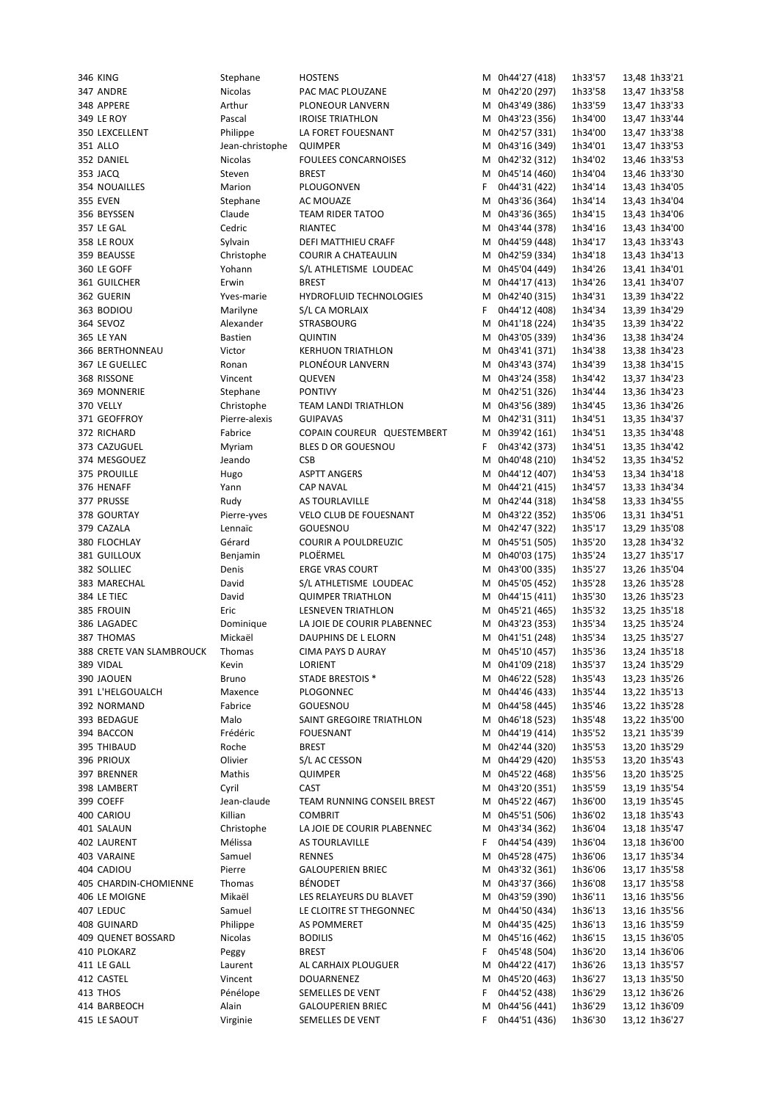| <b>346 KING</b>           | Stephane        | <b>HOSTENS</b>              |   | M 0h44'27 (418) | 1h33'57 | 13,48 1h33'21 |
|---------------------------|-----------------|-----------------------------|---|-----------------|---------|---------------|
| 347 ANDRE                 | Nicolas         | PAC MAC PLOUZANE            | М | 0h42'20 (297)   | 1h33'58 | 13,47 1h33'58 |
| 348 APPERE                | Arthur          | PLONEOUR LANVERN            |   | M 0h43'49 (386) | 1h33'59 | 13,47 1h33'33 |
| 349 LE ROY                | Pascal          | <b>IROISE TRIATHLON</b>     | M | 0h43'23 (356)   | 1h34'00 | 13,47 1h33'44 |
| 350 LEXCELLENT            | Philippe        | LA FORET FOUESNANT          | М | 0h42'57 (331)   | 1h34'00 | 13,47 1h33'38 |
| 351 ALLO                  | Jean-christophe | <b>QUIMPER</b>              | M | 0h43'16 (349)   | 1h34'01 | 13,47 1h33'53 |
| 352 DANIEL                | <b>Nicolas</b>  | FOULEES CONCARNOISES        | м | 0h42'32 (312)   | 1h34'02 | 13,46 1h33'53 |
| 353 JACQ                  | Steven          | <b>BREST</b>                | М | 0h45'14 (460)   | 1h34'04 | 13,46 1h33'30 |
| 354 NOUAILLES             | Marion          | PLOUGONVEN                  | F | 0h44'31 (422)   | 1h34'14 | 13,43 1h34'05 |
| <b>355 EVEN</b>           | Stephane        | AC MOUAZE                   | М | 0h43'36 (364)   | 1h34'14 | 13,43 1h34'04 |
| 356 BEYSSEN               | Claude          | <b>TEAM RIDER TATOO</b>     | м | 0h43'36 (365)   | 1h34'15 | 13,43 1h34'06 |
| 357 LE GAL                | Cedric          | <b>RIANTEC</b>              | М | 0h43'44 (378)   | 1h34'16 | 13,43 1h34'00 |
| 358 LE ROUX               | Sylvain         | <b>DEFI MATTHIEU CRAFF</b>  | М | 0h44'59 (448)   | 1h34'17 | 13,43 1h33'43 |
| 359 BEAUSSE               | Christophe      | <b>COURIR A CHATEAULIN</b>  | М | 0h42'59 (334)   | 1h34'18 | 13,43 1h34'13 |
| 360 LE GOFF               | Yohann          | S/L ATHLETISME LOUDEAC      | м | 0h45'04 (449)   | 1h34'26 | 13,41 1h34'01 |
| 361 GUILCHER              | Erwin           | <b>BREST</b>                | M | 0h44'17 (413)   | 1h34'26 | 13,41 1h34'07 |
| 362 GUERIN                | Yves-marie      | HYDROFLUID TECHNOLOGIES     | M | 0h42'40 (315)   | 1h34'31 | 13,39 1h34'22 |
| 363 BODIOU                | Marilyne        | S/L CA MORLAIX              | F | 0h44'12 (408)   | 1h34'34 | 13,39 1h34'29 |
| 364 SEVOZ                 | Alexander       | <b>STRASBOURG</b>           | M | 0h41'18 (224)   | 1h34'35 | 13,39 1h34'22 |
| <b>365 LE YAN</b>         | <b>Bastien</b>  | <b>QUINTIN</b>              | M | 0h43'05 (339)   | 1h34'36 | 13,38 1h34'24 |
| <b>366 BERTHONNEAU</b>    | Victor          | <b>KERHUON TRIATHLON</b>    | М | 0h43'41 (371)   | 1h34'38 | 13,38 1h34'23 |
| 367 LE GUELLEC            | Ronan           | PLONÉOUR LANVERN            | M | 0h43'43 (374)   | 1h34'39 | 13,38 1h34'15 |
| 368 RISSONE               | Vincent         | QUEVEN                      | М | 0h43'24 (358)   | 1h34'42 | 13,37 1h34'23 |
| 369 MONNERIE              | Stephane        | <b>PONTIVY</b>              | M | 0h42'51 (326)   | 1h34'44 | 13,36 1h34'23 |
| 370 VELLY                 | Christophe      | <b>TEAM LANDI TRIATHLON</b> | М | 0h43'56 (389)   | 1h34'45 | 13,36 1h34'26 |
| 371 GEOFFROY              | Pierre-alexis   | <b>GUIPAVAS</b>             | М | 0h42'31 (311)   | 1h34'51 | 13,35 1h34'37 |
| 372 RICHARD               | Fabrice         | COPAIN COUREUR QUESTEMBERT  | М | 0h39'42 (161)   | 1h34'51 | 13,35 1h34'48 |
| 373 CAZUGUEL              |                 | BLES D OR GOUESNOU          | F | 0h43'42 (373)   | 1h34'51 |               |
|                           | Myriam          |                             |   |                 |         | 13,35 1h34'42 |
| 374 MESGOUEZ              | Jeando          | <b>CSB</b>                  | М | 0h40'48 (210)   | 1h34'52 | 13,35 1h34'52 |
| 375 PROUILLE              | Hugo            | <b>ASPTT ANGERS</b>         | М | 0h44'12 (407)   | 1h34'53 | 13,34 1h34'18 |
| 376 HENAFF                | Yann            | <b>CAP NAVAL</b>            | M | 0h44'21 (415)   | 1h34'57 | 13,33 1h34'34 |
| 377 PRUSSE                | Rudy            | AS TOURLAVILLE              | М | 0h42'44 (318)   | 1h34'58 | 13,33 1h34'55 |
| 378 GOURTAY               | Pierre-yves     | VELO CLUB DE FOUESNANT      | М | 0h43'22 (352)   | 1h35'06 | 13,31 1h34'51 |
| 379 CAZALA                | Lennaïc         | <b>GOUESNOU</b>             | м | 0h42'47 (322)   | 1h35'17 | 13,29 1h35'08 |
| 380 FLOCHLAY              | Gérard          | <b>COURIR A POULDREUZIC</b> | М | 0h45'51 (505)   | 1h35'20 | 13,28 1h34'32 |
| 381 GUILLOUX              | Benjamin        | PLOËRMEL                    | M | 0h40'03 (175)   | 1h35'24 | 13,27 1h35'17 |
| 382 SOLLIEC               | Denis           | <b>ERGE VRAS COURT</b>      | M | 0h43'00 (335)   | 1h35'27 | 13,26 1h35'04 |
| 383 MARECHAL              | David           | S/L ATHLETISME LOUDEAC      | М | 0h45'05 (452)   | 1h35'28 | 13,26 1h35'28 |
| 384 LE TIEC               | David           | <b>QUIMPER TRIATHLON</b>    | M | 0h44'15 (411)   | 1h35'30 | 13,26 1h35'23 |
| 385 FROUIN                | Eric            | <b>LESNEVEN TRIATHLON</b>   | M | 0h45'21 (465)   | 1h35'32 | 13,25 1h35'18 |
| 386 LAGADEC               | Dominique       | LA JOIE DE COURIR PLABENNEC | М | 0h43'23 (353)   | 1h35'34 | 13,25 1h35'24 |
| 387 THOMAS                | Mickaël         | <b>DAUPHINS DE L ELORN</b>  |   | M 0h41'51 (248) | 1h35'34 | 13,25 1h35'27 |
| 388 CRETE VAN SLAMBROUCK  | Thomas          | <b>CIMA PAYS D AURAY</b>    |   | M 0h45'10 (457) | 1h35'36 | 13,24 1h35'18 |
| 389 VIDAL                 | Kevin           | LORIENT                     |   | M 0h41'09 (218) | 1h35'37 | 13,24 1h35'29 |
| 390 JAOUEN                | <b>Bruno</b>    | <b>STADE BRESTOIS *</b>     |   | M 0h46'22 (528) | 1h35'43 | 13,23 1h35'26 |
| 391 L'HELGOUALCH          | Maxence         | PLOGONNEC                   | м | 0h44'46 (433)   | 1h35'44 | 13,22 1h35'13 |
| 392 NORMAND               | Fabrice         | GOUESNOU                    | М | 0h44'58 (445)   | 1h35'46 | 13,22 1h35'28 |
| 393 BEDAGUE               | Malo            | SAINT GREGOIRE TRIATHLON    | M | 0h46'18 (523)   | 1h35'48 | 13,22 1h35'00 |
| 394 BACCON                | Frédéric        | <b>FOUESNANT</b>            | М | 0h44'19 (414)   | 1h35'52 | 13,21 1h35'39 |
| 395 THIBAUD               | Roche           | <b>BREST</b>                | м | 0h42'44 (320)   | 1h35'53 | 13,20 1h35'29 |
|                           | Olivier         | S/L AC CESSON               | М | 0h44'29 (420)   | 1h35'53 | 13,20 1h35'43 |
| 396 PRIOUX<br>397 BRENNER | Mathis          |                             |   |                 |         |               |
|                           |                 | <b>QUIMPER</b>              | М | 0h45'22 (468)   | 1h35'56 | 13,20 1h35'25 |
| 398 LAMBERT               | Cyril           | <b>CAST</b>                 |   | M 0h43'20 (351) | 1h35'59 | 13,19 1h35'54 |
| 399 COEFF                 | Jean-claude     | TEAM RUNNING CONSEIL BREST  |   | M 0h45'22 (467) | 1h36'00 | 13,19 1h35'45 |
| 400 CARIOU                | Killian         | <b>COMBRIT</b>              | М | 0h45'51 (506)   | 1h36'02 | 13,18 1h35'43 |
| 401 SALAUN                | Christophe      | LA JOIE DE COURIR PLABENNEC | М | 0h43'34 (362)   | 1h36'04 | 13,18 1h35'47 |
| 402 LAURENT               | Mélissa         | AS TOURLAVILLE              | F | 0h44'54 (439)   | 1h36'04 | 13,18 1h36'00 |
| 403 VARAINE               | Samuel          | RENNES                      | М | 0h45'28 (475)   | 1h36'06 | 13,17 1h35'34 |
| 404 CADIOU                | Pierre          | <b>GALOUPERIEN BRIEC</b>    | м | 0h43'32 (361)   | 1h36'06 | 13,17 1h35'58 |
| 405 CHARDIN-CHOMIENNE     | Thomas          | <b>BÉNODET</b>              | м | 0h43'37 (366)   | 1h36'08 | 13,17 1h35'58 |
| 406 LE MOIGNE             | Mikaël          | LES RELAYEURS DU BLAVET     |   | M 0h43'59 (390) | 1h36'11 | 13,16 1h35'56 |
| 407 LEDUC                 | Samuel          | LE CLOITRE ST THEGONNEC     | М | 0h44'50 (434)   | 1h36'13 | 13,16 1h35'56 |
| 408 GUINARD               | Philippe        | AS POMMERET                 | М | 0h44'35 (425)   | 1h36'13 | 13,16 1h35'59 |
| 409 QUENET BOSSARD        | Nicolas         | <b>BODILIS</b>              | М | 0h45'16 (462)   | 1h36'15 | 13,15 1h36'05 |
| 410 PLOKARZ               | Peggy           | <b>BREST</b>                | F | 0h45'48 (504)   | 1h36'20 | 13,14 1h36'06 |
| 411 LE GALL               | Laurent         | AL CARHAIX PLOUGUER         | M | 0h44'22 (417)   | 1h36'26 | 13,13 1h35'57 |
| 412 CASTEL                | Vincent         | DOUARNENEZ                  | м | 0h45'20 (463)   | 1h36'27 | 13,13 1h35'50 |
| 413 THOS                  |                 |                             |   |                 |         |               |
|                           | Pénélope        | SEMELLES DE VENT            | F | 0h44'52 (438)   | 1h36'29 | 13,12 1h36'26 |
| 414 BARBEOCH              | Alain           | <b>GALOUPERIEN BRIEC</b>    | M | 0h44'56 (441)   | 1h36'29 | 13,12 1h36'09 |
| 415 LE SAOUT              | Virginie        | SEMELLES DE VENT            | F | 0h44'51 (436)   | 1h36'30 | 13,12 1h36'27 |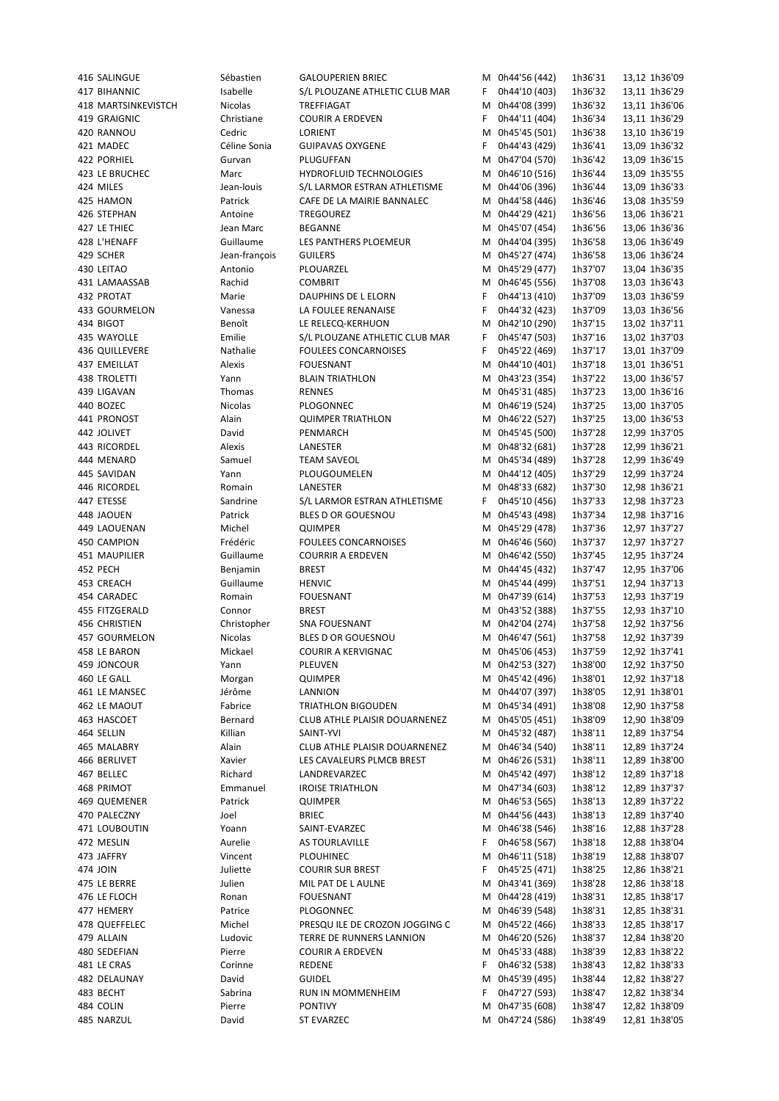416 SALINGUE Sébastien GALOUPERIEN BRIEC M 0h44'56 (442) 1h36'31 13,12 1h36'09 417 BIHANNIC Isabelle S/L PLOUZANE ATHLETIC CLUB MAR F 0h44'10 (403) 1h36'32 13,11 1h36'29 418 MARTSINKEVISTCH Nicolas TREFFIAGAT M 0h44'08 (399) 1h36'32 13,11 1h36'06 419 GRAIGNIC Christiane COURIR A ERDEVEN F 0h44'11 (404) 1h36'34 13,11 1h36'29 420 RANNOU Cedric LORIENT M 0h45'45 (501) 1h36'38 13,10 1h36'19 421 MADEC Céline Sonia GUIPAVAS OXYGENE F 0h44'43 (429) 1h36'41 13,09 1h36'32 422 PORHIEL Gurvan PLUGUFFAN M 0h47'04 (570) 1h36'42 13,09 1h36'15 423 LE BRUCHEC Marc HYDROFLUID TECHNOLOGIES M 0h46'10 (516) 1h36'44 13,09 1h35'55 424 MILES Jean-louis S/L LARMOR ESTRAN ATHLETISME M 0h44'06 (396) 1h36'44 13,09 1h36'33 425 HAMON Patrick CAFE DE LA MAIRIE BANNALEC M 0h44'58 (446) 1h36'46 13,08 1h35'59<br>426 STEPHAN Antoine TREGOUREZ M 0h44'29 (421) 1h36'56 13,06 1h36'21 426 STEPHAN Antoine TREGOUREZ M 0h44'29 (421) 1h36'56 13,06 1h36'21 427 LE THIEC Jean Marc BEGANNE M 0h45'07 (454) 1h36'56 13,06 1h36'36 428 L'HENAFF Guillaume LES PANTHERS PLOEMEUR M 0h44'04 (395) 1h36'58 13,06 1h36'49 429 SCHER Jean-françois GUILERS M 0h45'27 (474) 1h36'58 13,06 1h36'24 430 LEITAO Antonio PLOUARZEL M 0h45'29 (477) 1h37'07 13,04 1h36'35 431 LAMAASSAB Rachid COMBRIT M 0h46'45 (556) 1h37'08 13,03 1h36'43 432 PROTAT Marie DAUPHINS DE L ELORN F 0h44'13 (410) 1h37'09 13,03 1h36'59 433 GOURMELON Vanessa LA FOULEE RENANAISE F 0h44'32 (423) 1h37'09 13,03 1h36'56 434 BIGOT Benoît LE RELECQ-KERHUON M 0h42'10 (290) 1h37'15 13,02 1h37'11 435 WAYOLLE Emilie S/L PLOUZANE ATHLETIC CLUB MAR F 0h45'47 (503) 1h37'16 13,02 1h37'03 436 QUILLEVERE Nathalie FOULEES CONCARNOISES F 0h45'22 (469) 1h37'17 13,01 1h37'09 437 EMEILLAT Alexis FOUESNANT M 0h44'10 (401) 1h37'18 13,01 1h36'51 438 TROLETTI Yann BLAIN TRIATHLON M 0h43'23 (354) 1h37'22 13,00 1h36'57 439 LIGAVAN Thomas RENNES M 0h45'31 (485) 1h37'23 13,00 1h36'16 440 BOZEC Nicolas PLOGONNEC M 0h46'19 (524) 1h37'25 13,00 1h37'05 441 PRONOST Alain QUIMPER TRIATHLON M 0h46'22 (527) 1h37'25 13,00 1h36'53 442 JOLIVET David PENMARCH M 0h45'45 (500) 1h37'28 12,99 1h37'05 443 RICORDEL Alexis LANESTER M 0h48'32 (681) 1h37'28 12,99 1h36'21 444 MENARD Samuel TEAM SAVEOL M 0h45'34 (489) 1h37'28 12,99 1h36'49 445 SAVIDAN Yann PLOUGOUMELEN M 0h44'12 (405) 1h37'29 12,99 1h37'24 446 RICORDEL Romain LANESTER M 0h48'33 (682) 1h37'30 12,98 1h36'21 447 ETESSE Sandrine S/L LARMOR ESTRAN ATHLETISME F 0h45'10 (456) 1h37'33 12,98 1h37'23 448 JAOUEN Patrick BLES D OR GOUESNOU M 0h45'43 (498) 1h37'34 12,98 1h37'16 449 LAOUENAN Michel QUIMPER M 0h45'29 (478) 1h37'36 12,97 1h37'27 450 CAMPION Frédéric FOULEES CONCARNOISES M 0h46'46 (560) 1h37'37 12,97 1h37'27 451 MAUPILIER Guillaume COURRIR A ERDEVEN M 0h46'42 (550) 1h37'45 12,95 1h37'24 452 PECH Benjamin BREST BREST M 0h44'45 (432) 1h37'47 12,95 1h37'06 453 CREACH Guillaume HENVIC M 0h45'44 (499) 1h37'51 12,94 1h37'13 454 CARADEC Romain FOUESNANT M 0h47'39 (614) 1h37'53 12,93 1h37'19 455 FITZGERALD Connor BREST M 0h43'52 (388) 1h37'55 12,93 1h37'10 456 CHRISTIEN Christopher SNA FOUESNANT M 0h42'04 (274) 1h37'58 12,92 1h37'56 457 GOURMELON Nicolas BLES D OR GOUESNOU M 0h46'47 (561) 1h37'58 12,92 1h37'39 458 LE BARON Mickael COURIR A KERVIGNAC M 0h45'06 (453) 1h37'59 12,92 1h37'41 459 JONCOUR Yann PLEUVEN M 0h42'53 (327) 1h38'00 12,92 1h37'50 460 LE GALL Morgan QUIMPER M 0h45'42 (496) 1h38'01 12,92 1h37'18 461 LE MANSEC Jérôme LANNION M 0h44'07 (397) 1h38'05 12,91 1h38'01 462 LE MAOUT Fabrice TRIATHLON BIGOUDEN M 0h45'34 (491) 1h38'08 12,90 1h37'58 463 HASCOET Bernard CLUB ATHLE PLAISIR DOUARNENEZ M 0h45'05 (451) 1h38'09 12,90 1h38'09 464 SELLIN Killian SAINT-YVI M 0h45'32 (487) 1h38'11 12,89 1h37'54 465 MALABRY Alain CLUB ATHLE PLAISIR DOUARNENEZ M 0h46'34 (540) 1h38'11 12,89 1h37'24 466 BERLIVET Xavier LES CAVALEURS PLMCB BREST M 0h46'26 (531) 1h38'11 12,89 1h38'00 467 BELLEC Richard LANDREVARZEC M 0h45'42 (497) 1h38'12 12,89 1h37'18 468 PRIMOT Emmanuel IROISE TRIATHLON M 0h47'34 (603) 1h38'12 12,89 1h37'37 469 QUEMENER Patrick QUIMPER M 0h46'53 (565) 1h38'13 12,89 1h37'22 470 PALECZNY Joel BRIEC M 0h44'56 (443) 1h38'13 12,89 1h37'40 471 LOUBOUTIN Yoann SAINT-EVARZEC M 0h46'38 (546) 1h38'16 12,88 1h37'28 472 MESLIN AURELIE AS TOURLAVILLE **AS TOUR ALLA AUGENE ARELA EN 1999 EN 1999** 1111 12,88 1h38'04 473 JAFFRY Vincent PLOUHINEC M 0h46'11 (518) 1h38'19 12,88 1h38'07 474 JOIN Juliette COURIR SUR BREST F 0h45'25 (471) 1h38'25 12,86 1h38'21 475 LE BERRE Julien MIL PAT DE L AULNE M 0h43'41 (369) 1h38'28 12,86 1h38'18 476 LE FLOCH Ronan FOUESNANT M 0h44'28 (419) 1h38'31 12,85 1h38'17 477 HEMERY Patrice PLOGONNEC M 0h46'39 (548) 1h38'31 12,85 1h38'31 478 QUEFFELEC Michel PRESQU ILE DE CROZON JOGGING C M 0h45'22 (466) 1h38'33 12,85 1h38'17 479 ALLAIN Ludovic TERRE DE RUNNERS LANNION M 0h46'20 (526) 1h38'37 12,84 1h38'20 480 SEDEFIAN Pierre COURIR A ERDEVEN M 0h45'33 (488) 1h38'39 12,83 1h38'22 481 LE CRAS Corinne REDENE F 0h46'32 (538) 1h38'43 12,82 1h38'33 482 DELAUNAY David GUIDEL M 0h45'39 (495) 1h38'44 12,82 1h38'27 483 BECHT Sabrina RUN IN MOMMENHEIM F 0h47'27 (593) 1h38'47 12,82 1h38'34 484 COLIN Pierre PONTIVY M 0h47'35 (608) 1h38'47 12,82 1h38'09 485 NARZUL David ST EVARZEC M 0h47'24 (586) 1h38'49 12,81 1h38'05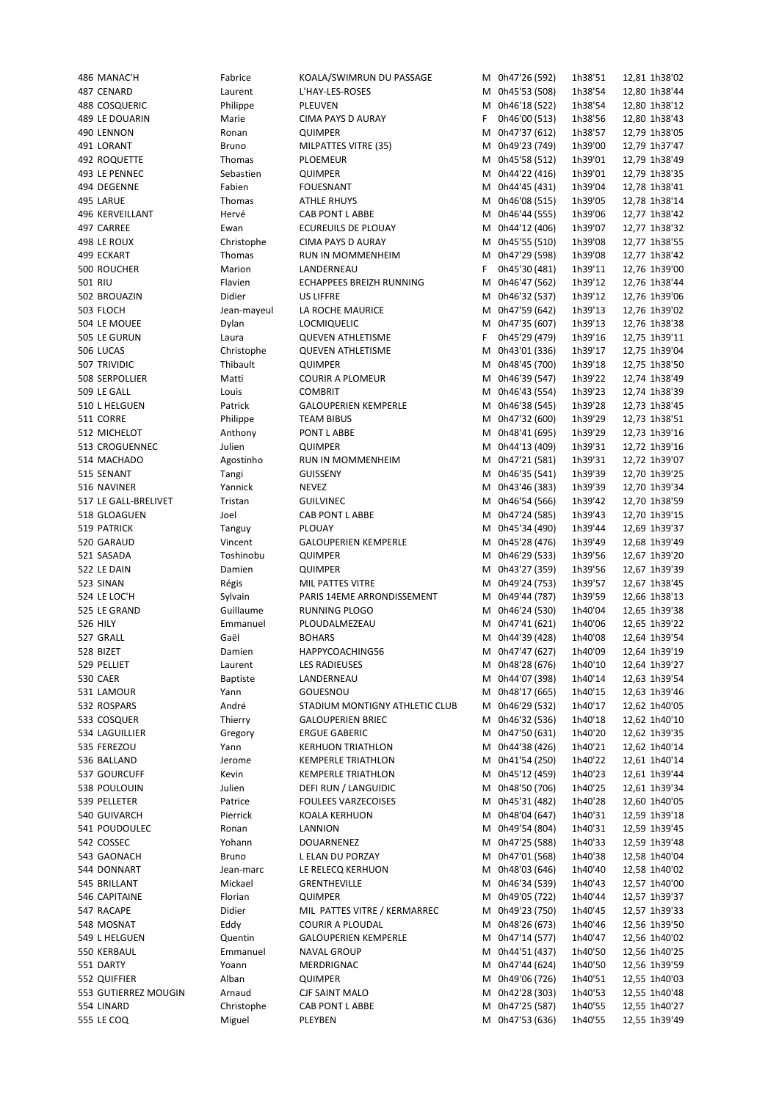525 LE GRAND Guillaume RUNNING PLOGO M 0h46'24 (530)<br>1996 THE STATE MODEL SEMINAGE RELATED BY A 12-67 11-67 11-67 12,662 11-662 11-662 11-662 11-662 11-662 11-662

486 MANAC'H Fabrice KOALA/SWIMRUN DU PASSAGE M 0h47'26 (592) 1h38'51 12,81 1h38'02 487 CENARD Laurent L'HAY-LES-ROSES M 0h45'53 (508) 1h38'54 12,80 1h38'44 488 COSQUERIC Philippe PLEUVEN M 0h46'18 (522) 1h38'54 12,80 1h38'12 489 LE DOUARIN Marie CIMA PAYS D AURAY F 0h46'00 (513) 1h38'56 12,80 1h38'43 490 LENNON Ronan QUIMPER M 0h47'37 (612) 1h38'57 12,79 1h38'05 491 LORANT Bruno MILPATTES VITRE (35) M 0h49'23 (749) 1h39'00 12,79 1h37'47 492 ROQUETTE Thomas PLOEMEUR M 0h45'58 (512) 1h39'01 12,79 1h38'49 493 LE PENNEC Sebastien QUIMPER M 0h44'22 (416) 1h39'01 12,79 1h38'35 494 DEGENNE Fabien FOUESNANT M 0h44'45 (431) 1h39'04 12,78 1h38'41 495 LARUE Thomas ATHLE RHUYS M 0h46'08 (515) 1h39'05 12,78 1h38'14 496 KERVEILLANT Hervé CAB PONT L ABBE M 0h46'44 (555) 1h39'06 12,77 1h38'42 497 CARREE Ewan ECUREUILS DE PLOUAY M 0h44'12 (406) 1h39'07 12,77 1h38'32 498 LE ROUX Christophe CIMA PAYS D AURAY M 0h45'55 (510) 1h39'08 12,77 1h38'55 499 ECKART Thomas RUN IN MOMMENHEIM M 0h47'29 (598) 1h39'08 12,77 1h38'42 500 ROUCHER Marion LANDERNEAU F 0h45'30 (481) 1h39'11 12,76 1h39'00 501 RIU Flavien ECHAPPEES BREIZH RUNNING M 0h46'47 (562) 1h39'12 12,76 1h38'44 502 BROUAZIN Didier US LIFFRE M 0h46'32 (537) 1h39'12 12,76 1h39'06 503 FLOCH Jean-mayeul LA ROCHE MAURICE M 0h47'59 (642) 1h39'13 12,76 1h39'02 504 LE MOUEE Dylan LOCMIQUELIC M 0h47'35 (607) 1h39'13 12,76 1h38'38 505 LE GURUN Laura QUEVEN ATHLETISME F 0h45'29 (479) 1h39'16 12,75 1h39'11 506 LUCAS Christophe QUEVEN ATHLETISME M 0h43'01 (336) 1h39'17 12,75 1h39'04 507 TRIVIDIC Thibault QUIMPER M 0h48'45 (700) 1h39'18 12,75 1h38'50 508 SERPOLLIER Matti COURIR A PLOMEUR M 0h46'39 (547) 1h39'22 12,74 1h38'49 509 LE GALL Louis COMBRIT M 0h46'43 (554) 1h39'23 12,74 1h38'39 510 L HELGUEN Patrick GALOUPERIEN KEMPERLE M 0h46'38 (545) 1h39'28 12,73 1h38'45 511 CORRE Philippe TEAM BIBUS M 0h47'32 (600) 1h39'29 12,73 1h38'51 512 MICHELOT Anthony PONT L ABBE M 0h48'41 (695) 1h39'29 12,73 1h39'16 513 CROGUENNEC Julien QUIMPER M 0h44'13 (409) 1h39'31 12,72 1h39'16 514 MACHADO Agostinho RUN IN MOMMENHEIM M 0h47'21 (581) 1h39'31 12.72 1h39'07 515 SENANT Tangi GUISSENY M 0h46'35 (541) 1h39'39 12,70 1h39'25 516 NAVINER Yannick NEVEZ M 0h43'46 (383) 1h39'39 12,70 1h39'34 517 LE GALL-BRELIVET Tristan GUILVINEC M 0h46'54 (566) 1h39'42 12,70 1h38'59 518 GLOAGUEN Joel CAB PONT L ABBE M 0h47'24 (585) 1h39'43 12,70 1h39'15 519 PATRICK Tanguy PLOUAY M 0h45'34 (490) 1h39'44 12,69 1h39'37 520 GARAUD Vincent GALOUPERIEN KEMPERLE M 0h45'28 (476) 1h39'49 12,68 1h39'49 521 SASADA Toshinobu QUIMPER M 0h46'29 (533) 1h39'56 12,67 1h39'20 522 LE DAIN **Damien** QUIMPER M M 0h43'27 (359) 1h39'56 12,67 1h39'39 523 SINAN Régis MIL PATTES VITRE M 0h49'24 (753) 1h39'57 12,67 1h38'45 524 LE LOC'H Sylvain PARIS 14EME ARRONDISSEMENT M 0h49'44 (787) 1h39'59 12,66 1h38'13 526 HILY Emmanuel PLOUDALMEZEAU M 0h47'41 (621) 1h40'06 12,65 1h39'22 527 GRALL Gaël BOHARS M 0h44'39 (428) 1h40'08 12,64 1h39'54 528 BIZET Damien HAPPYCOACHING56 M 0h47'47 (627) 1h40'09 12,64 1h39'19 529 PELLIET CHAURENT LES RADIEUSES CHAUGH CHAUSES MEDIAEUSES AN OHAB'28 (676) 1h40'10 12,64 1h39'27 530 CAER Baptiste LANDERNEAU M 0h44'07 (398) 1h40'14 12,63 1h39'54 531 LAMOUR Yann GOUESNOU M 0h48'17 (665) 1h40'15 12,63 1h39'46 532 ROSPARS André STADIUM MONTIGNY ATHLETIC CLUB M 0h46'29 (532) 1h40'17 12,62 1h40'05 533 COSQUER Thierry GALOUPERIEN BRIEC M 0h46'32 (536) 1h40'18 12,62 1h40'10 534 LAGUILLIER Gregory ERGUE GABERIC M 0h47'50 (631) 1h40'20 12,62 1h39'35 535 FEREZOU Yann KERHUON TRIATHLON M 0h44'38 (426) 1h40'21 12,62 1h40'14 536 BALLAND Jerome KEMPERLE TRIATHLON M 0h41'54 (250) 1h40'22 12,61 1h40'14 537 GOURCUFF Kevin KEMPERLE TRIATHLON M 0h45'12 (459) 1h40'23 12,61 1h39'44 538 POULOUIN Julien DEFI RUN / LANGUIDIC M 0h48'50 (706) 1h40'25 12,61 1h39'34 539 PELLETER **Patrice FOULEES VARZECOISES** M 0h45'31 (482) 1h40'28 12,60 1h40'05 540 GUIVARCH Pierrick KOALA KERHUON M 0h48'04 (647) 1h40'31 12,59 1h39'18 541 POUDOULEC Ronan LANNION M 0h49'54 (804) 1h40'31 12,59 1h39'45 542 COSSEC 6 6 Yohann DOUARNENEZ M 0h47'25 (588) 1h40'33 12,59 1h39'48 543 GAONACH Bruno L ELAN DU PORZAY M 0h47'01 (568) 1h40'38 12,58 1h40'04 544 DONNART 31,58 1h40'02 Jean-marc LE RELECQ KERHUON M 0h48'03 (646) 1h40'40 12,58 1h40'02 545 BRILLANT Mickael GRENTHEVILLE M 0h46'34 (539) 1h40'43 12,57 1h40'00 546 CAPITAINE Florian QUIMPER M 0h49'05 (722) 1h40'44 12,57 1h39'37 547 RACAPE Didier MIL PATTES VITRE / KERMARREC M 0h49'23 (750) 1h40'45 12,57 1h39'33 548 MOSNAT Eddy COURIR A PLOUDAL M 0h48'26 (673) 1h40'46 12,56 1h39'50 549 L HELGUEN Cuentin GALOUPERIEN KEMPERLE M 0h47'14 (577) 1h40'47 12,56 1h40'02<br>12.56 SSO KERBAUL CHARA EMMANUEL NAVAL GROUP 550 KERBAUL Emmanuel NAVAL GROUP M 0h44'51 (437) 1h40'50 12,56 1h40'25 551 DARTY Yoann MERDRIGNAC M 0h47'44 (624) 1h40'50 12,56 1h39'59 552 QUIFFIER Alban QUIMPER M 0h49'06 (726) 1h40'51 12,55 1h40'03 553 GUTIERREZ MOUGIN Arnaud CJF SAINT MALO M 0h42'28 (303) 1h40'53 12,55 1h40'48<br>554 LINARD Christophe CAB PONT LABBE M 0h47'25 (587) 1h40'55 12,55 1h40'27 554 LINARD Christophe CAB PONT L ABBE M 0h47'25 (587) 1h40'55 12,55 1h40'27 555 LE COQ Miguel PLEYBEN M 0h47'53 (636) 1h40'55 12,55 1h39'49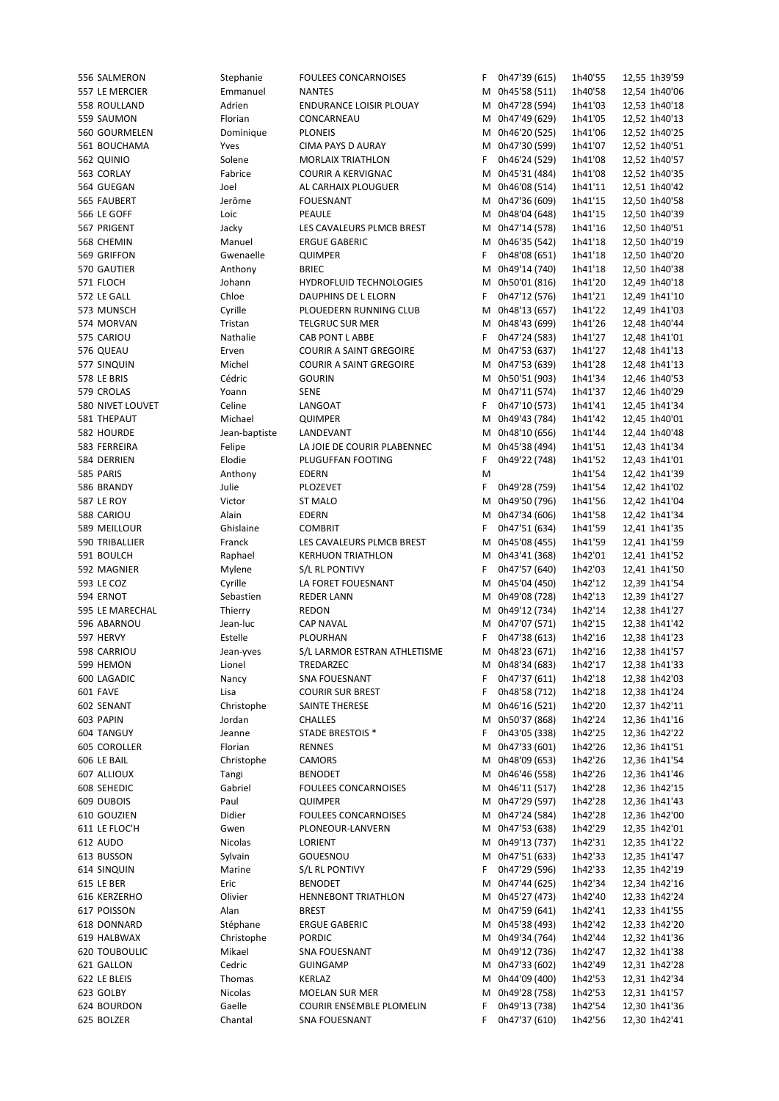| 556 SALMERON     | Stephanie     | <b>FOULEES CONCARNOISES</b>    | F. | 0h47'39 (615)   | 1h40'55 | 12,55 1h39'59 |
|------------------|---------------|--------------------------------|----|-----------------|---------|---------------|
| 557 LE MERCIER   | Emmanuel      | <b>NANTES</b>                  |    | M 0h45'58 (511) | 1h40'58 | 12,54 1h40'06 |
| 558 ROULLAND     | Adrien        | <b>ENDURANCE LOISIR PLOUAY</b> |    | M 0h47'28 (594) | 1h41'03 | 12,53 1h40'18 |
| 559 SAUMON       | Florian       | CONCARNEAU                     |    | M 0h47'49 (629) | 1h41'05 | 12,52 1h40'13 |
| 560 GOURMELEN    | Dominique     | <b>PLONEIS</b>                 |    | M 0h46'20 (525) | 1h41'06 | 12,52 1h40'25 |
|                  |               |                                |    |                 |         |               |
| 561 BOUCHAMA     | Yves          | CIMA PAYS D AURAY              |    | M 0h47'30 (599) | 1h41'07 | 12,52 1h40'51 |
| 562 QUINIO       | Solene        | <b>MORLAIX TRIATHLON</b>       | F. | 0h46'24 (529)   | 1h41'08 | 12,52 1h40'57 |
| 563 CORLAY       | Fabrice       | <b>COURIR A KERVIGNAC</b>      |    | M 0h45'31 (484) | 1h41'08 | 12,52 1h40'35 |
| 564 GUEGAN       | Joel          | AL CARHAIX PLOUGUER            |    | M 0h46'08 (514) | 1h41'11 | 12,51 1h40'42 |
| 565 FAUBERT      | Jerôme        | <b>FOUESNANT</b>               |    | M 0h47'36 (609) | 1h41'15 | 12,50 1h40'58 |
|                  |               |                                |    |                 |         |               |
| 566 LE GOFF      | Loic          | PEAULE                         |    | M 0h48'04 (648) | 1h41'15 | 12,50 1h40'39 |
| 567 PRIGENT      | Jacky         | LES CAVALEURS PLMCB BREST      |    | M 0h47'14 (578) | 1h41'16 | 12,50 1h40'51 |
| 568 CHEMIN       | Manuel        | <b>ERGUE GABERIC</b>           |    | M 0h46'35 (542) | 1h41'18 | 12,50 1h40'19 |
| 569 GRIFFON      | Gwenaelle     | <b>QUIMPER</b>                 | F  | 0h48'08 (651)   | 1h41'18 | 12,50 1h40'20 |
|                  |               | <b>BRIEC</b>                   |    |                 |         |               |
| 570 GAUTIER      | Anthony       |                                |    | M 0h49'14 (740) | 1h41'18 | 12,50 1h40'38 |
| 571 FLOCH        | Johann        | HYDROFLUID TECHNOLOGIES        |    | M 0h50'01 (816) | 1h41'20 | 12,49 1h40'18 |
| 572 LE GALL      | Chloe         | DAUPHINS DE L ELORN            | F. | 0h47'12 (576)   | 1h41'21 | 12,49 1h41'10 |
| 573 MUNSCH       | Cyrille       | PLOUEDERN RUNNING CLUB         | М  | 0h48'13 (657)   | 1h41'22 | 12,49 1h41'03 |
| 574 MORVAN       | Tristan       | <b>TELGRUC SUR MER</b>         |    | M 0h48'43 (699) | 1h41'26 | 12,48 1h40'44 |
|                  |               |                                |    |                 |         |               |
| 575 CARIOU       | Nathalie      | CAB PONT L ABBE                | F. | 0h47'24 (583)   | 1h41'27 | 12,48 1h41'01 |
| 576 QUEAU        | Erven         | <b>COURIR A SAINT GREGOIRE</b> |    | M 0h47'53 (637) | 1h41'27 | 12,48 1h41'13 |
| 577 SINQUIN      | Michel        | <b>COURIR A SAINT GREGOIRE</b> |    | M 0h47'53 (639) | 1h41'28 | 12,48 1h41'13 |
| 578 LE BRIS      | Cédric        | <b>GOURIN</b>                  |    | M 0h50'51 (903) | 1h41'34 | 12,46 1h40'53 |
|                  |               |                                |    |                 | 1h41'37 |               |
| 579 CROLAS       | Yoann         | <b>SENE</b>                    |    | M 0h47'11 (574) |         | 12,46 1h40'29 |
| 580 NIVET LOUVET | Celine        | LANGOAT                        | F. | 0h47'10 (573)   | 1h41'41 | 12,45 1h41'34 |
| 581 THEPAUT      | Michael       | <b>QUIMPER</b>                 | м  | 0h49'43 (784)   | 1h41'42 | 12,45 1h40'01 |
| 582 HOURDE       | Jean-baptiste | LANDEVANT                      |    | M 0h48'10 (656) | 1h41'44 | 12,44 1h40'48 |
| 583 FERREIRA     | Felipe        | LA JOIE DE COURIR PLABENNEC    |    | M 0h45'38 (494) | 1h41'51 | 12,43 1h41'34 |
|                  |               |                                |    |                 |         |               |
| 584 DERRIEN      | Elodie        | PLUGUFFAN FOOTING              | F. | 0h49'22 (748)   | 1h41'52 | 12,43 1h41'01 |
| 585 PARIS        | Anthony       | <b>EDERN</b>                   | M  |                 | 1h41'54 | 12,42 1h41'39 |
| 586 BRANDY       | Julie         | PLOZEVET                       | F. | 0h49'28 (759)   | 1h41'54 | 12,42 1h41'02 |
| 587 LE ROY       | Victor        | <b>ST MALO</b>                 |    | M 0h49'50 (796) | 1h41'56 | 12,42 1h41'04 |
| 588 CARIOU       | Alain         | <b>EDERN</b>                   |    | M 0h47'34 (606) | 1h41'58 | 12,42 1h41'34 |
|                  |               |                                |    |                 |         |               |
| 589 MEILLOUR     | Ghislaine     | <b>COMBRIT</b>                 | F  | 0h47'51 (634)   | 1h41'59 | 12,41 1h41'35 |
| 590 TRIBALLIER   | Franck        | LES CAVALEURS PLMCB BREST      |    | M 0h45'08 (455) | 1h41'59 | 12,41 1h41'59 |
| 591 BOULCH       | Raphael       | <b>KERHUON TRIATHLON</b>       |    | M 0h43'41 (368) | 1h42'01 | 12,41 1h41'52 |
| 592 MAGNIER      | Mylene        | S/L RL PONTIVY                 | F. | 0h47'57 (640)   | 1h42'03 | 12,41 1h41'50 |
| 593 LE COZ       | Cyrille       | LA FORET FOUESNANT             | м  | 0h45'04 (450)   | 1h42'12 | 12,39 1h41'54 |
|                  |               |                                |    |                 |         |               |
| 594 ERNOT        | Sebastien     | <b>REDER LANN</b>              |    | M 0h49'08 (728) | 1h42'13 | 12,39 1h41'27 |
| 595 LE MARECHAL  | Thierry       | <b>REDON</b>                   |    | M 0h49'12 (734) | 1h42'14 | 12,38 1h41'27 |
| 596 ABARNOU      | Jean-luc      | <b>CAP NAVAL</b>               |    | M 0h47'07 (571) | 1h42'15 | 12,38 1h41'42 |
| 597 HERVY        | Estelle       | PLOURHAN                       | F. | 0h47'38 (613)   | 1h42'16 | 12,38 1h41'23 |
| 598 CARRIOU      |               | S/L LARMOR ESTRAN ATHLETISME   |    | M 0h48'23 (671) | 1h42'16 | 12,38 1h41'57 |
|                  | Jean-yves     |                                |    |                 |         |               |
| 599 HEMON        | Lionel        | TREDARZEC                      |    | M 0h48'34 (683) | 1h42'17 | 12,38 1h41'33 |
| 600 LAGADIC      | Nancy         | SNA FOUESNANT                  | F  | 0h47'37 (611)   | 1h42'18 | 12,38 1h42'03 |
| 601 FAVE         | Lisa          | <b>COURIR SUR BREST</b>        | F  | 0h48'58 (712)   | 1h42'18 | 12,38 1h41'24 |
| 602 SENANT       | Christophe    | SAINTE THERESE                 | м  | 0h46'16 (521)   | 1h42'20 | 12,37 1h42'11 |
|                  |               |                                |    |                 |         |               |
| 603 PAPIN        | Jordan        | <b>CHALLES</b>                 | М  | 0h50'37 (868)   | 1h42'24 | 12,36 1h41'16 |
| 604 TANGUY       | Jeanne        | <b>STADE BRESTOIS *</b>        | F  | 0h43'05 (338)   | 1h42'25 | 12,36 1h42'22 |
| 605 COROLLER     | Florian       | <b>RENNES</b>                  | м  | 0h47'33 (601)   | 1h42'26 | 12,36 1h41'51 |
| 606 LE BAIL      | Christophe    | CAMORS                         | м  | 0h48'09 (653)   | 1h42'26 | 12,36 1h41'54 |
| 607 ALLIOUX      | Tangi         | <b>BENODET</b>                 | M  | 0h46'46 (558)   | 1h42'26 | 12,36 1h41'46 |
|                  | Gabriel       |                                |    |                 |         |               |
| 608 SEHEDIC      |               | FOULEES CONCARNOISES           | M  | 0h46'11 (517)   | 1h42'28 | 12,36 1h42'15 |
| 609 DUBOIS       | Paul          | QUIMPER                        |    | M 0h47'29 (597) | 1h42'28 | 12,36 1h41'43 |
| 610 GOUZIEN      | Didier        | FOULEES CONCARNOISES           | M  | 0h47'24 (584)   | 1h42'28 | 12,36 1h42'00 |
| 611 LE FLOC'H    | Gwen          | PLONEOUR-LANVERN               |    | M 0h47'53 (638) | 1h42'29 | 12,35 1h42'01 |
| 612 AUDO         | Nicolas       | LORIENT                        |    | M 0h49'13 (737) | 1h42'31 | 12,35 1h41'22 |
|                  |               |                                |    |                 |         |               |
| 613 BUSSON       | Sylvain       | GOUESNOU                       |    | M 0h47'51 (633) | 1h42'33 | 12,35 1h41'47 |
| 614 SINQUIN      | Marine        | S/L RL PONTIVY                 | F  | 0h47'29 (596)   | 1h42'33 | 12,35 1h42'19 |
| 615 LE BER       | Eric          | <b>BENODET</b>                 | M  | 0h47'44 (625)   | 1h42'34 | 12,34 1h42'16 |
| 616 KERZERHO     | Olivier       | HENNEBONT TRIATHLON            | M  | 0h45'27 (473)   | 1h42'40 | 12,33 1h42'24 |
| 617 POISSON      | Alan          | <b>BREST</b>                   |    |                 |         |               |
|                  |               |                                |    | M 0h47'59 (641) | 1h42'41 | 12,33 1h41'55 |
| 618 DONNARD      | Stéphane      | <b>ERGUE GABERIC</b>           |    | M 0h45'38 (493) | 1h42'42 | 12,33 1h42'20 |
| 619 HALBWAX      | Christophe    | <b>PORDIC</b>                  |    | M 0h49'34 (764) | 1h42'44 | 12,32 1h41'36 |
| 620 TOUBOULIC    | Mikael        | <b>SNA FOUESNANT</b>           |    | M 0h49'12 (736) | 1h42'47 | 12,32 1h41'38 |
| 621 GALLON       | Cedric        | <b>GUINGAMP</b>                | M  | 0h47'33 (602)   | 1h42'49 | 12,31 1h42'28 |
|                  |               |                                |    | 0h44'09 (400)   |         |               |
| 622 LE BLEIS     | Thomas        | KERLAZ                         | м  |                 | 1h42'53 | 12,31 1h42'34 |
| 623 GOLBY        | Nicolas       | <b>MOELAN SUR MER</b>          | м  | 0h49'28 (758)   | 1h42'53 | 12,31 1h41'57 |
| 624 BOURDON      | Gaelle        | COURIR ENSEMBLE PLOMELIN       | F  | 0h49'13 (738)   | 1h42'54 | 12,30 1h41'36 |
| 625 BOLZER       | Chantal       | SNA FOUESNANT                  | F  | 0h47'37 (610)   | 1h42'56 | 12,30 1h42'41 |
|                  |               |                                |    |                 |         |               |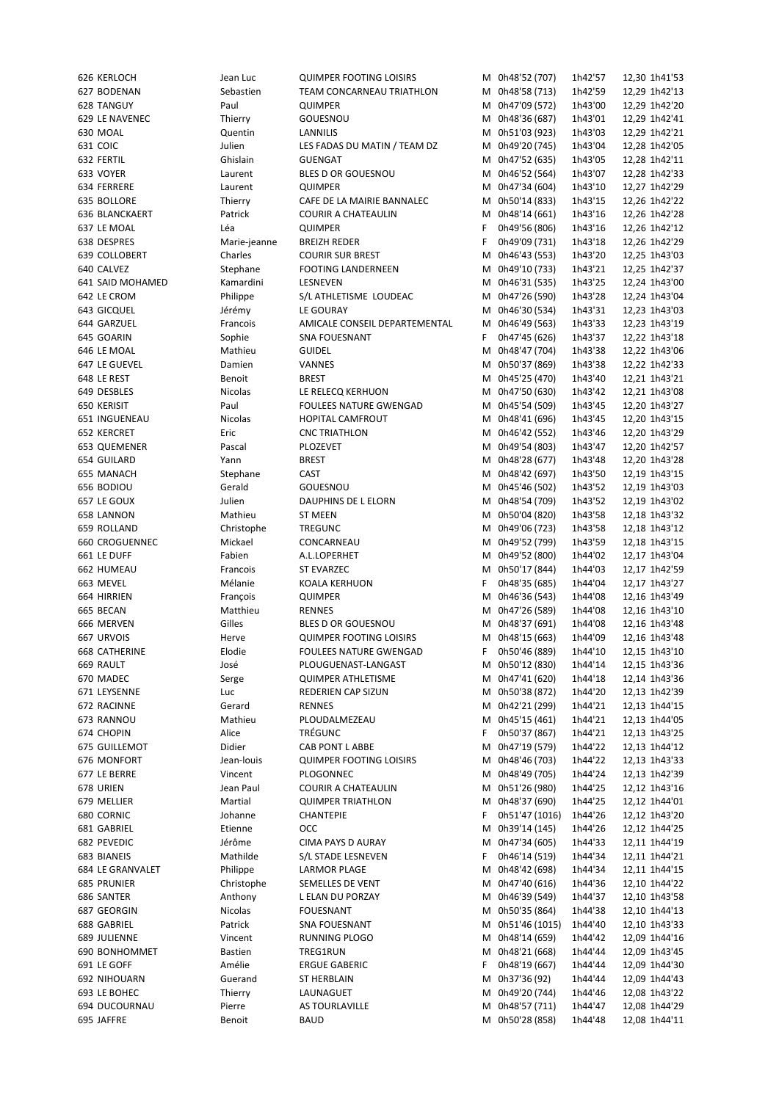| 626 KERLOCH      | Jean Luc       | <b>QUIMPER FOOTING LOISIRS</b> |    | M 0h48'52 (707) | 1h42'57 | 12,30 1h41'53 |
|------------------|----------------|--------------------------------|----|-----------------|---------|---------------|
| 627 BODENAN      | Sebastien      | TEAM CONCARNEAU TRIATHLON      |    | M 0h48'58 (713) | 1h42'59 | 12,29 1h42'13 |
| 628 TANGUY       | Paul           | <b>QUIMPER</b>                 |    | M 0h47'09 (572) | 1h43'00 | 12,29 1h42'20 |
| 629 LE NAVENEC   | Thierry        | GOUESNOU                       |    | M 0h48'36 (687) | 1h43'01 | 12,29 1h42'41 |
| 630 MOAL         | Quentin        | LANNILIS                       |    | M 0h51'03 (923) | 1h43'03 | 12,29 1h42'21 |
|                  |                |                                |    |                 |         |               |
| 631 COIC         | Julien         | LES FADAS DU MATIN / TEAM DZ   |    | M 0h49'20 (745) | 1h43'04 | 12,28 1h42'05 |
| 632 FERTIL       | Ghislain       | <b>GUENGAT</b>                 |    | M 0h47'52 (635) | 1h43'05 | 12,28 1h42'11 |
| 633 VOYER        | Laurent        | BLES D OR GOUESNOU             | м  | 0h46'52 (564)   | 1h43'07 | 12,28 1h42'33 |
| 634 FERRERE      | Laurent        | <b>QUIMPER</b>                 |    | M 0h47'34 (604) | 1h43'10 | 12,27 1h42'29 |
| 635 BOLLORE      | Thierry        | CAFE DE LA MAIRIE BANNALEC     | м  | 0h50'14 (833)   | 1h43'15 | 12,26 1h42'22 |
|                  |                |                                |    |                 |         |               |
| 636 BLANCKAERT   | Patrick        | <b>COURIR A CHATEAULIN</b>     | М  | 0h48'14 (661)   | 1h43'16 | 12,26 1h42'28 |
| 637 LE MOAL      | Léa            | <b>QUIMPER</b>                 | F  | 0h49'56 (806)   | 1h43'16 | 12,26 1h42'12 |
| 638 DESPRES      | Marie-jeanne   | <b>BREIZH REDER</b>            | F  | 0h49'09 (731)   | 1h43'18 | 12,26 1h42'29 |
| 639 COLLOBERT    | Charles        | <b>COURIR SUR BREST</b>        | м  | 0h46'43 (553)   | 1h43'20 | 12,25 1h43'03 |
| 640 CALVEZ       | Stephane       | <b>FOOTING LANDERNEEN</b>      |    | M 0h49'10 (733) | 1h43'21 | 12,25 1h42'37 |
|                  |                |                                |    |                 |         |               |
| 641 SAID MOHAMED | Kamardini      | LESNEVEN                       |    | M 0h46'31 (535) | 1h43'25 | 12,24 1h43'00 |
| 642 LE CROM      | Philippe       | S/L ATHLETISME LOUDEAC         | м  | 0h47'26 (590)   | 1h43'28 | 12,24 1h43'04 |
| 643 GICQUEL      | Jérémy         | LE GOURAY                      |    | M 0h46'30 (534) | 1h43'31 | 12,23 1h43'03 |
| 644 GARZUEL      | Francois       | AMICALE CONSEIL DEPARTEMENTAL  |    | M 0h46'49 (563) | 1h43'33 | 12,23 1h43'19 |
|                  |                |                                |    | 0h47'45 (626)   |         |               |
| 645 GOARIN       | Sophie         | SNA FOUESNANT                  | F  |                 | 1h43'37 | 12,22 1h43'18 |
| 646 LE MOAL      | Mathieu        | <b>GUIDEL</b>                  |    | M 0h48'47 (704) | 1h43'38 | 12,22 1h43'06 |
| 647 LE GUEVEL    | Damien         | VANNES                         |    | M 0h50'37 (869) | 1h43'38 | 12,22 1h42'33 |
| 648 LE REST      | <b>Benoit</b>  | <b>BREST</b>                   |    | M 0h45'25 (470) | 1h43'40 | 12,21 1h43'21 |
| 649 DESBLES      | Nicolas        | LE RELECQ KERHUON              | м  | 0h47'50 (630)   | 1h43'42 | 12,21 1h43'08 |
|                  |                |                                |    |                 |         |               |
| 650 KERISIT      | Paul           | <b>FOULEES NATURE GWENGAD</b>  |    | M 0h45'54 (509) | 1h43'45 | 12,20 1h43'27 |
| 651 INGUENEAU    | Nicolas        | HOPITAL CAMFROUT               |    | M 0h48'41 (696) | 1h43'45 | 12,20 1h43'15 |
| 652 KERCRET      | Eric           | <b>CNC TRIATHLON</b>           |    | M 0h46'42 (552) | 1h43'46 | 12,20 1h43'29 |
| 653 QUEMENER     | Pascal         | PLOZEVET                       |    | M 0h49'54 (803) | 1h43'47 | 12,20 1h42'57 |
| 654 GUILARD      | Yann           | <b>BREST</b>                   |    | M 0h48'28 (677) | 1h43'48 | 12,20 1h43'28 |
|                  |                |                                |    |                 |         |               |
| 655 MANACH       | Stephane       | CAST                           |    | M 0h48'42 (697) | 1h43'50 | 12,19 1h43'15 |
| 656 BODIOU       | Gerald         | GOUESNOU                       |    | M 0h45'46 (502) | 1h43'52 | 12,19 1h43'03 |
| 657 LE GOUX      | Julien         | DAUPHINS DE L ELORN            |    | M 0h48'54 (709) | 1h43'52 | 12,19 1h43'02 |
| 658 LANNON       | Mathieu        | <b>ST MEEN</b>                 |    | M 0h50'04 (820) | 1h43'58 | 12,18 1h43'32 |
| 659 ROLLAND      |                |                                |    | M 0h49'06 (723) |         |               |
|                  | Christophe     | <b>TREGUNC</b>                 |    |                 | 1h43'58 | 12,18 1h43'12 |
| 660 CROGUENNEC   | Mickael        | CONCARNEAU                     |    | M 0h49'52 (799) | 1h43'59 | 12,18 1h43'15 |
| 661 LE DUFF      | Fabien         | A.L.LOPERHET                   |    | M 0h49'52 (800) | 1h44'02 | 12,17 1h43'04 |
| 662 HUMEAU       | Francois       | ST EVARZEC                     |    | M 0h50'17 (844) | 1h44'03 | 12,17 1h42'59 |
| 663 MEVEL        | Mélanie        | <b>KOALA KERHUON</b>           | F  | 0h48'35 (685)   | 1h44'04 | 12,17 1h43'27 |
| 664 HIRRIEN      |                |                                |    | M 0h46'36 (543) | 1h44'08 |               |
|                  | François       | QUIMPER                        |    |                 |         | 12,16 1h43'49 |
| 665 BECAN        | Matthieu       | <b>RENNES</b>                  | м  | 0h47'26 (589)   | 1h44'08 | 12,16 1h43'10 |
| 666 MERVEN       | Gilles         | BLES D OR GOUESNOU             |    | M 0h48'37 (691) | 1h44'08 | 12,16 1h43'48 |
| 667 URVOIS       | Herve          | <b>QUIMPER FOOTING LOISIRS</b> | м  | 0h48'15 (663)   | 1h44'09 | 12,16 1h43'48 |
| 668 CATHERINE    | Elodie         | <b>FOULEES NATURE GWENGAD</b>  | F  | 0h50'46 (889)   | 1h44'10 | 12,15 1h43'10 |
|                  |                |                                |    |                 |         |               |
| 669 RAULT        | José           | PLOUGUENAST-LANGAST            |    | M 0h50'12 (830) | 1h44'14 | 12,15 1h43'36 |
| 670 MADEC        | Serge          | <b>QUIMPER ATHLETISME</b>      |    | M 0h47'41 (620) | 1h44'18 | 12,14 1h43'36 |
| 671 LEYSENNE     | Luc            | REDERIEN CAP SIZUN             |    | M 0h50'38 (872) | 1h44'20 | 12,13 1h42'39 |
| 672 RACINNE      | Gerard         | <b>RENNES</b>                  | M  | 0h42'21 (299)   | 1h44'21 | 12,13 1h44'15 |
| 673 RANNOU       | Mathieu        | PLOUDALMEZEAU                  |    | M 0h45'15 (461) | 1h44'21 | 12,13 1h44'05 |
|                  |                |                                |    |                 |         |               |
| 674 CHOPIN       | Alice          | TRÉGUNC                        | F. | 0h50'37 (867)   | 1h44'21 | 12,13 1h43'25 |
| 675 GUILLEMOT    | Didier         | CAB PONT L ABBE                | М  | 0h47'19 (579)   | 1h44'22 | 12,13 1h44'12 |
| 676 MONFORT      | Jean-louis     | <b>QUIMPER FOOTING LOISIRS</b> | М  | 0h48'46 (703)   | 1h44'22 | 12,13 1h43'33 |
| 677 LE BERRE     | Vincent        | PLOGONNEC                      |    | M 0h48'49 (705) | 1h44'24 | 12,13 1h42'39 |
| 678 URIEN        | Jean Paul      | COURIR A CHATEAULIN            | M  | 0h51'26 (980)   | 1h44'25 | 12,12 1h43'16 |
|                  |                |                                |    |                 |         |               |
| 679 MELLIER      | Martial        | <b>QUIMPER TRIATHLON</b>       |    | M 0h48'37 (690) | 1h44'25 | 12,12 1h44'01 |
| 680 CORNIC       | Johanne        | CHANTEPIE                      | F  | 0h51'47 (1016)  | 1h44'26 | 12,12 1h43'20 |
| 681 GABRIEL      | Etienne        | <b>OCC</b>                     | М  | 0h39'14 (145)   | 1h44'26 | 12,12 1h44'25 |
| 682 PEVEDIC      | Jérôme         | CIMA PAYS D AURAY              |    | M 0h47'34 (605) | 1h44'33 | 12,11 1h44'19 |
| 683 BIANEIS      | Mathilde       | S/L STADE LESNEVEN             | F  | 0h46'14 (519)   | 1h44'34 |               |
|                  |                |                                |    |                 |         | 12,11 1h44'21 |
| 684 LE GRANVALET | Philippe       | LARMOR PLAGE                   | м  | 0h48'42 (698)   | 1h44'34 | 12,11 1h44'15 |
| 685 PRUNIER      | Christophe     | SEMELLES DE VENT               | M  | 0h47'40 (616)   | 1h44'36 | 12,10 1h44'22 |
| 686 SANTER       | Anthony        | L ELAN DU PORZAY               | M  | 0h46'39 (549)   | 1h44'37 | 12,10 1h43'58 |
| 687 GEORGIN      | Nicolas        | FOUESNANT                      | м  | 0h50'35 (864)   | 1h44'38 | 12,10 1h44'13 |
|                  |                |                                |    |                 |         |               |
| 688 GABRIEL      | Patrick        | SNA FOUESNANT                  | м  | 0h51'46 (1015)  | 1h44'40 | 12,10 1h43'33 |
| 689 JULIENNE     | Vincent        | <b>RUNNING PLOGO</b>           | М  | 0h48'14 (659)   | 1h44'42 | 12,09 1h44'16 |
| 690 BONHOMMET    | <b>Bastien</b> | TREG1RUN                       | М  | 0h48'21 (668)   | 1h44'44 | 12,09 1h43'45 |
| 691 LE GOFF      | Amélie         | <b>ERGUE GABERIC</b>           | F. | 0h48'19 (667)   | 1h44'44 | 12,09 1h44'30 |
| 692 NIHOUARN     | Guerand        | ST HERBLAIN                    | м  | 0h37'36 (92)    | 1h44'44 | 12,09 1h44'43 |
|                  |                |                                |    | 0h49'20 (744)   |         |               |
| 693 LE BOHEC     | Thierry        | LAUNAGUET                      | М  |                 | 1h44'46 | 12,08 1h43'22 |
| 694 DUCOURNAU    | Pierre         | AS TOURLAVILLE                 | М  | 0h48'57 (711)   | 1h44'47 | 12,08 1h44'29 |
| 695 JAFFRE       | Benoit         | <b>BAUD</b>                    |    | M 0h50'28 (858) | 1h44'48 | 12,08 1h44'11 |
|                  |                |                                |    |                 |         |               |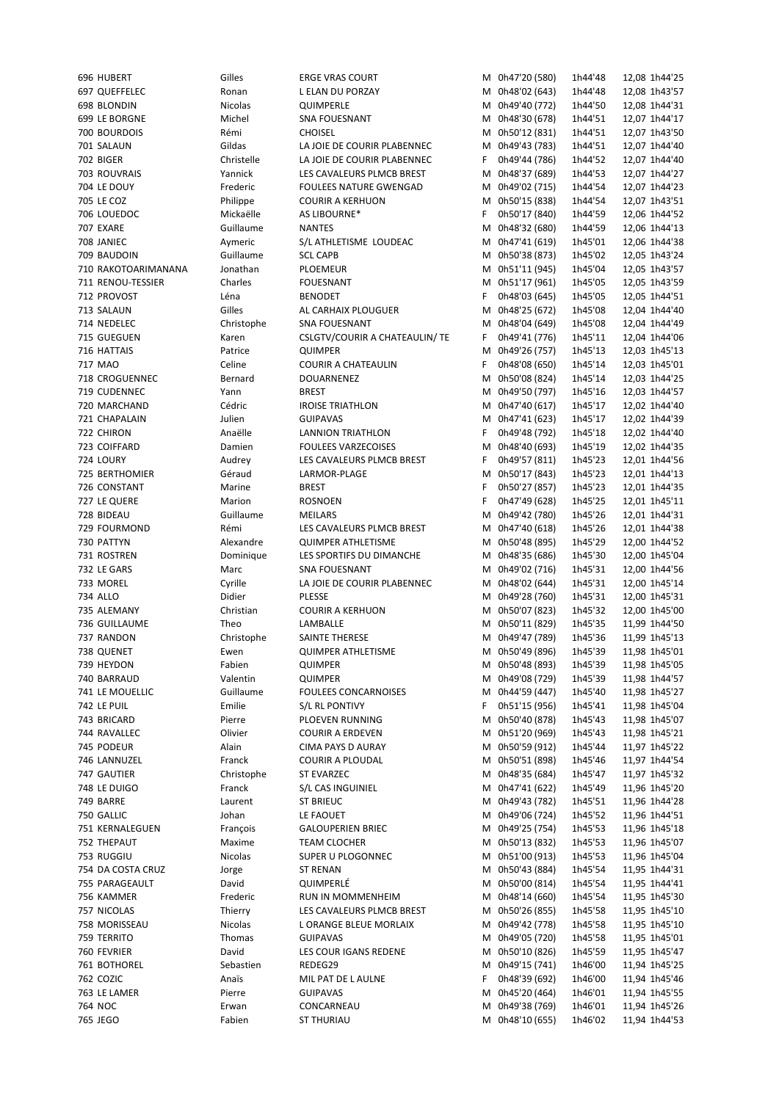| 696 HUBERT          | Gilles          | <b>ERGE VRAS COURT</b>          |    | M 0h47'20 (580)                  | 1h44'48            | 12,08 1h44'25                  |
|---------------------|-----------------|---------------------------------|----|----------------------------------|--------------------|--------------------------------|
| 697 QUEFFELEC       |                 |                                 |    |                                  |                    |                                |
|                     | Ronan           | L ELAN DU PORZAY                |    | M 0h48'02 (643)                  | 1h44'48            | 12,08 1h43'57                  |
| 698 BLONDIN         | <b>Nicolas</b>  | QUIMPERLE                       |    | M 0h49'40 (772)                  | 1h44'50            | 12,08 1h44'31                  |
| 699 LE BORGNE       | Michel          | SNA FOUESNANT                   |    | M 0h48'30 (678)                  | 1h44'51            | 12,07 1h44'17                  |
| 700 BOURDOIS        | Rémi            | <b>CHOISEL</b>                  |    | M 0h50'12 (831)                  | 1h44'51            | 12,07 1h43'50                  |
| 701 SALAUN          | Gildas          | LA JOIE DE COURIR PLABENNEC     |    | M 0h49'43 (783)                  | 1h44'51            | 12,07 1h44'40                  |
| 702 BIGER           | Christelle      | LA JOIE DE COURIR PLABENNEC     | F. | 0h49'44 (786)                    | 1h44'52            | 12,07 1h44'40                  |
|                     |                 |                                 |    |                                  |                    |                                |
| 703 ROUVRAIS        | Yannick         | LES CAVALEURS PLMCB BREST       |    | M 0h48'37 (689)                  | 1h44'53            | 12,07 1h44'27                  |
| 704 LE DOUY         | Frederic        | FOULEES NATURE GWENGAD          | м  | 0h49'02 (715)                    | 1h44'54            | 12,07 1h44'23                  |
| 705 LE COZ          | Philippe        | <b>COURIR A KERHUON</b>         |    | M 0h50'15 (838)                  | 1h44'54            | 12,07 1h43'51                  |
| 706 LOUEDOC         | Mickaëlle       | AS LIBOURNE*                    | F  | 0h50'17 (840)                    | 1h44'59            | 12,06 1h44'52                  |
| 707 EXARE           | Guillaume       | <b>NANTES</b>                   |    | M 0h48'32 (680)                  | 1h44'59            | 12,06 1h44'13                  |
|                     | Aymeric         |                                 |    | M 0h47'41 (619)                  |                    |                                |
| 708 JANIEC          |                 | S/L ATHLETISME LOUDEAC          |    |                                  | 1h45'01            | 12,06 1h44'38                  |
| 709 BAUDOIN         | Guillaume       | <b>SCL CAPB</b>                 |    | M 0h50'38 (873)                  | 1h45'02            | 12,05 1h43'24                  |
| 710 RAKOTOARIMANANA | Jonathan        | <b>PLOEMEUR</b>                 |    | M 0h51'11 (945)                  | 1h45'04            | 12,05 1h43'57                  |
| 711 RENOU-TESSIER   | Charles         | <b>FOUESNANT</b>                |    | M 0h51'17 (961)                  | 1h45'05            | 12,05 1h43'59                  |
| 712 PROVOST         | Léna            | <b>BENODET</b>                  | F. | 0h48'03 (645)                    | 1h45'05            | 12,05 1h44'51                  |
| 713 SALAUN          | Gilles          | AL CARHAIX PLOUGUER             |    | M 0h48'25 (672)                  | 1h45'08            | 12,04 1h44'40                  |
|                     |                 |                                 |    |                                  |                    |                                |
| 714 NEDELEC         | Christophe      | <b>SNA FOUESNANT</b>            |    | M 0h48'04 (649)                  | 1h45'08            | 12,04 1h44'49                  |
| 715 GUEGUEN         | Karen           | CSLGTV/COURIR A CHATEAULIN/ TE  | F. | 0h49'41 (776)                    | 1h45'11            | 12,04 1h44'06                  |
| 716 HATTAIS         | Patrice         | <b>QUIMPER</b>                  |    | M 0h49'26 (757)                  | 1h45'13            | 12,03 1h45'13                  |
| 717 MAO             | Celine          | <b>COURIR A CHATEAULIN</b>      | F  | 0h48'08 (650)                    | 1h45'14            | 12,03 1h45'01                  |
| 718 CROGUENNEC      | Bernard         | DOUARNENEZ                      |    | M 0h50'08 (824)                  | 1h45'14            | 12,03 1h44'25                  |
|                     |                 |                                 |    |                                  |                    |                                |
| 719 CUDENNEC        | Yann            | <b>BREST</b>                    | м  | 0h49'50 (797)                    | 1h45'16            | 12,03 1h44'57                  |
| 720 MARCHAND        | Cédric          | <b>IROISE TRIATHLON</b>         |    | M 0h47'40 (617)                  | 1h45'17            | 12,02 1h44'40                  |
| 721 CHAPALAIN       | Julien          | <b>GUIPAVAS</b>                 |    | M 0h47'41 (623)                  | 1h45'17            | 12,02 1h44'39                  |
| 722 CHIRON          | Anaëlle         | LANNION TRIATHLON               | F. | 0h49'48 (792)                    | 1h45'18            | 12,02 1h44'40                  |
| 723 COIFFARD        | Damien          | <b>FOULEES VARZECOISES</b>      |    | M 0h48'40 (693)                  | 1h45'19            | 12,02 1h44'35                  |
| 724 LOURY           |                 |                                 | F. | 0h49'57 (811)                    |                    |                                |
|                     | Audrey          | LES CAVALEURS PLMCB BREST       |    |                                  | 1h45'23            | 12,01 1h44'56                  |
| 725 BERTHOMIER      | Géraud          | LARMOR-PLAGE                    | м  | 0h50'17 (843)                    | 1h45'23            | 12,01 1h44'13                  |
| 726 CONSTANT        | Marine          | <b>BREST</b>                    | F  | 0h50'27 (857)                    | 1h45'23            | 12,01 1h44'35                  |
| 727 LE QUERE        | Marion          | <b>ROSNOEN</b>                  | F  | 0h47'49 (628)                    | 1h45'25            | 12,01 1h45'11                  |
| 728 BIDEAU          | Guillaume       | <b>MEILARS</b>                  | м  | 0h49'42 (780)                    | 1h45'26            | 12,01 1h44'31                  |
| 729 FOURMOND        | Rémi            | LES CAVALEURS PLMCB BREST       |    | M 0h47'40 (618)                  | 1h45'26            | 12,01 1h44'38                  |
|                     |                 |                                 |    |                                  |                    |                                |
| 730 PATTYN          | Alexandre       | <b>QUIMPER ATHLETISME</b>       |    | M 0h50'48 (895)                  | 1h45'29            | 12,00 1h44'52                  |
| 731 ROSTREN         | Dominique       | LES SPORTIFS DU DIMANCHE        |    | M 0h48'35 (686)                  | 1h45'30            | 12,00 1h45'04                  |
| 732 LE GARS         | Marc            | <b>SNA FOUESNANT</b>            |    | M 0h49'02 (716)                  | 1h45'31            | 12,00 1h44'56                  |
| 733 MOREL           | Cyrille         | LA JOIE DE COURIR PLABENNEC     |    | M 0h48'02 (644)                  | 1h45'31            | 12,00 1h45'14                  |
| 734 ALLO            | Didier          | <b>PLESSE</b>                   |    | M 0h49'28 (760)                  | 1h45'31            | 12,00 1h45'31                  |
|                     |                 |                                 |    | M 0h50'07 (823)                  |                    |                                |
| 735 ALEMANY         | Christian       | <b>COURIR A KERHUON</b>         |    |                                  | 1h45'32            | 12,00 1h45'00                  |
| 736 GUILLAUME       | Theo            | LAMBALLE                        |    | M 0h50'11 (829)                  | 1h45'35            | 11,99 1h44'50                  |
| 737 RANDON          | Christophe      | SAINTE THERESE                  |    | M 0h49'47 (789)                  | 1h45'36            | 11,99 1h45'13                  |
| 738 QUENET          | Ewen            | <b>QUIMPER ATHLETISME</b>       |    | M 0h50'49 (896)                  | 1h45'39            | 11,98 1h45'01                  |
| 739 HEYDON          | Fabien          | <b>QUIMPER</b>                  |    | M 0h50'48 (893)                  | 1h45'39            | 11,98 1h45'05                  |
| 740 BARRAUD         | Valentin        |                                 |    | M 0h49'08 (729)                  |                    | 11,98 1h44'57                  |
|                     |                 | <b>QUIMPER</b>                  |    |                                  | 1h45'39            |                                |
| 741 LE MOUELLIC     | Guillaume       | <b>FOULEES CONCARNOISES</b>     |    | M 0h44'59 (447)                  | 1h45'40            | 11,98 1h45'27                  |
| 742 LE PUIL         | Emilie          | S/L RL PONTIVY                  | F  | 0h51'15 (956)                    | 1h45'41            | 11,98 1h45'04                  |
| 743 BRICARD         | Pierre          | PLOEVEN RUNNING                 |    | M 0h50'40 (878)                  | 1h45'43            | 11,98 1h45'07                  |
| 744 RAVALLEC        | Olivier         | <b>COURIR A ERDEVEN</b>         |    | M 0h51'20 (969)                  | 1h45'43            | 11,98 1h45'21                  |
| 745 PODEUR          | Alain           | CIMA PAYS D AURAY               |    | M 0h50'59 (912)                  | 1h45'44            | 11,97 1h45'22                  |
| 746 LANNUZEL        | Franck          |                                 |    | 0h50'51 (898)                    |                    |                                |
|                     |                 | <b>COURIR A PLOUDAL</b>         | м  |                                  | 1h45'46            | 11,97 1h44'54                  |
|                     |                 |                                 |    |                                  |                    |                                |
| 747 GAUTIER         | Christophe      | <b>ST EVARZEC</b>               |    | M 0h48'35 (684)                  | 1h45'47            | 11,97 1h45'32                  |
| 748 LE DUIGO        | Franck          | S/L CAS INGUINIEL               |    | M 0h47'41 (622)                  | 1h45'49            | 11,96 1h45'20                  |
| 749 BARRE           | Laurent         | ST BRIEUC                       |    | M 0h49'43 (782)                  | 1h45'51            | 11,96 1h44'28                  |
|                     |                 |                                 |    |                                  |                    |                                |
| 750 GALLIC          | Johan           | LE FAOUET                       |    | M 0h49'06 (724)                  | 1h45'52            | 11,96 1h44'51                  |
| 751 KERNALEGUEN     | François        | <b>GALOUPERIEN BRIEC</b>        |    | M 0h49'25 (754)                  | 1h45'53            | 11,96 1h45'18                  |
| 752 THEPAUT         | Maxime          | <b>TEAM CLOCHER</b>             |    | M 0h50'13 (832)                  | 1h45'53            | 11,96 1h45'07                  |
| 753 RUGGIU          | Nicolas         | SUPER U PLOGONNEC               |    | M 0h51'00 (913)                  | 1h45'53            | 11,96 1h45'04                  |
| 754 DA COSTA CRUZ   | Jorge           | <b>ST RENAN</b>                 | M  | 0h50'43 (884)                    | 1h45'54            | 11,95 1h44'31                  |
| 755 PARAGEAULT      | David           | QUIMPERLÉ                       | M  | 0h50'00 (814)                    | 1h45'54            | 11,95 1h44'41                  |
|                     |                 |                                 |    |                                  |                    |                                |
| 756 KAMMER          | Frederic        | RUN IN MOMMENHEIM               | M  | 0h48'14 (660)                    | 1h45'54            | 11,95 1h45'30                  |
| 757 NICOLAS         | Thierry         | LES CAVALEURS PLMCB BREST       | м  | 0h50'26 (855)                    | 1h45'58            | 11,95 1h45'10                  |
| 758 MORISSEAU       | Nicolas         | L ORANGE BLEUE MORLAIX          | Μ  | 0h49'42 (778)                    | 1h45'58            | 11,95 1h45'10                  |
| 759 TERRITO         | Thomas          | <b>GUIPAVAS</b>                 | м  | 0h49'05 (720)                    | 1h45'58            | 11,95 1h45'01                  |
| 760 FEVRIER         | David           | LES COUR IGANS REDENE           | м  | 0h50'10 (826)                    | 1h45'59            | 11,95 1h45'47                  |
| 761 BOTHOREL        | Sebastien       | REDEG29                         | м  | 0h49'15 (741)                    | 1h46'00            | 11,94 1h45'25                  |
|                     |                 |                                 |    |                                  |                    |                                |
| 762 COZIC           | Anaïs           | MIL PAT DE L AULNE              | F  | 0h48'39 (692)                    | 1h46'00            | 11,94 1h45'46                  |
| 763 LE LAMER        | Pierre          | <b>GUIPAVAS</b>                 | М  | 0h45'20 (464)                    | 1h46'01            | 11,94 1h45'55                  |
| 764 NOC<br>765 JEGO | Erwan<br>Fabien | CONCARNEAU<br><b>ST THURIAU</b> | м  | 0h49'38 (769)<br>M 0h48'10 (655) | 1h46'01<br>1h46'02 | 11,94 1h45'26<br>11,94 1h44'53 |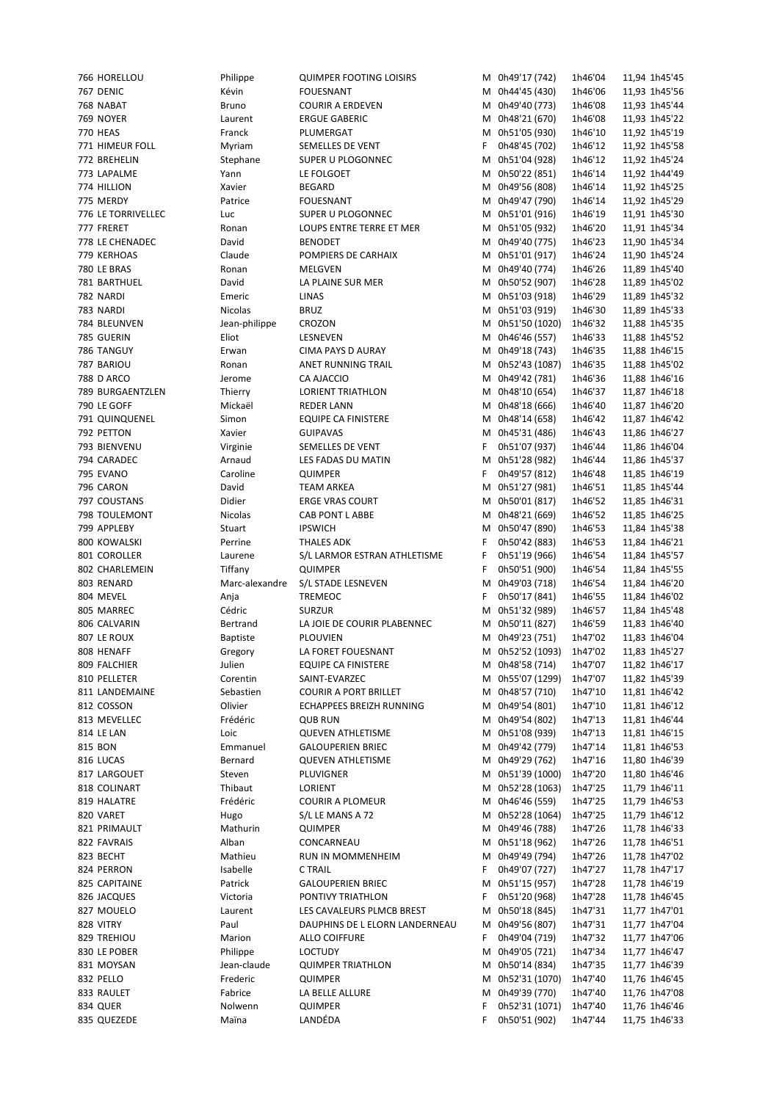| 766 HORELLOU            | Philippe         | <b>QUIMPER FOOTING LOISIRS</b> |        | M 0h49'17 (742)                 | 1h46'04            | 11,94 1h45'45                  |  |
|-------------------------|------------------|--------------------------------|--------|---------------------------------|--------------------|--------------------------------|--|
| 767 DENIC               | Kévin            | <b>FOUESNANT</b>               |        | M 0h44'45 (430)                 | 1h46'06            | 11,93 1h45'56                  |  |
| 768 NABAT               | Bruno            | <b>COURIR A ERDEVEN</b>        |        | M 0h49'40 (773)                 | 1h46'08            | 11,93 1h45'44                  |  |
| 769 NOYER               | Laurent          | <b>ERGUE GABERIC</b>           |        | M 0h48'21 (670)                 | 1h46'08            | 11,93 1h45'22                  |  |
| <b>770 HEAS</b>         | Franck           | PLUMERGAT                      |        | M 0h51'05 (930)                 | 1h46'10            | 11,92 1h45'19                  |  |
| 771 HIMEUR FOLL         | Myriam           | SEMELLES DE VENT               | F.     | 0h48'45 (702)                   | 1h46'12            | 11,92 1h45'58                  |  |
| 772 BREHELIN            | Stephane         | SUPER U PLOGONNEC              | М      | 0h51'04 (928)                   | 1h46'12            | 11,92 1h45'24                  |  |
| 773 LAPALME             | Yann             | LE FOLGOET                     |        | M 0h50'22 (851)                 | 1h46'14            | 11,92 1h44'49                  |  |
| 774 HILLION             | Xavier           | <b>BEGARD</b>                  | М      | 0h49'56 (808)                   | 1h46'14            | 11,92 1h45'25                  |  |
| 775 MERDY               | Patrice          | <b>FOUESNANT</b>               | М      | 0h49'47 (790)                   | 1h46'14            | 11,92 1h45'29                  |  |
| 776 LE TORRIVELLEC      | Luc              | SUPER U PLOGONNEC              | М      | 0h51'01 (916)                   | 1h46'19            | 11,91 1h45'30                  |  |
| 777 FRERET              | Ronan            | LOUPS ENTRE TERRE ET MER       |        | M 0h51'05 (932)                 | 1h46'20            | 11,91 1h45'34                  |  |
| 778 LE CHENADEC         | David            | <b>BENODET</b>                 | м      | 0h49'40 (775)                   | 1h46'23            | 11,90 1h45'34                  |  |
| 779 KERHOAS             | Claude           | POMPIERS DE CARHAIX            |        | M 0h51'01 (917)                 | 1h46'24            | 11,90 1h45'24                  |  |
| 780 LE BRAS             | Ronan            | MELGVEN                        |        | M 0h49'40 (774)                 | 1h46'26            | 11,89 1h45'40                  |  |
| 781 BARTHUEL            | David            | LA PLAINE SUR MER              |        | M 0h50'52 (907)                 | 1h46'28            | 11,89 1h45'02                  |  |
| 782 NARDI               | Emeric           | LINAS                          |        | M 0h51'03 (918)                 | 1h46'29            | 11,89 1h45'32                  |  |
| 783 NARDI               | <b>Nicolas</b>   | <b>BRUZ</b>                    |        | M 0h51'03 (919)                 | 1h46'30            | 11,89 1h45'33                  |  |
| 784 BLEUNVEN            | Jean-philippe    | CROZON                         |        | M 0h51'50 (1020)                | 1h46'32            | 11,88 1h45'35                  |  |
| 785 GUERIN              | Eliot            | LESNEVEN                       |        | M 0h46'46 (557)                 | 1h46'33            | 11,88 1h45'52                  |  |
| 786 TANGUY              | Erwan            | CIMA PAYS D AURAY              |        | M 0h49'18 (743)                 | 1h46'35            | 11,88 1h46'15                  |  |
| 787 BARIOU              | Ronan            | ANET RUNNING TRAIL             |        | M 0h52'43 (1087)                | 1h46'35            | 11,88 1h45'02                  |  |
| 788 D ARCO              | Jerome           | CA AJACCIO                     |        | M 0h49'42 (781)                 | 1h46'36            | 11,88 1h46'16                  |  |
| 789 BURGAENTZLEN        | Thierry          | <b>LORIENT TRIATHLON</b>       |        | M 0h48'10 (654)                 | 1h46'37            | 11,87 1h46'18                  |  |
| 790 LE GOFF             | Mickaël          | <b>REDER LANN</b>              | М      | 0h48'18 (666)                   | 1h46'40            | 11,87 1h46'20                  |  |
| 791 QUINQUENEL          | Simon            | <b>EQUIPE CA FINISTERE</b>     |        | M 0h48'14 (658)                 | 1h46'42            | 11,87 1h46'42                  |  |
| 792 PETTON              | Xavier           | <b>GUIPAVAS</b>                |        | M 0h45'31 (486)                 | 1h46'43            | 11,86 1h46'27                  |  |
| 793 BIENVENU            | Virginie         | SEMELLES DE VENT               | F      | 0h51'07 (937)                   | 1h46'44            | 11,86 1h46'04                  |  |
| 794 CARADEC             | Arnaud           | LES FADAS DU MATIN             | M      | 0h51'28 (982)                   | 1h46'44            | 11,86 1h45'37                  |  |
| 795 EVANO               | Caroline         | <b>QUIMPER</b>                 | F.     | 0h49'57 (812)                   | 1h46'48            | 11,85 1h46'19                  |  |
| 796 CARON               | David            | <b>TEAM ARKEA</b>              | м      | 0h51'27 (981)                   | 1h46'51            | 11,85 1h45'44                  |  |
| 797 COUSTANS            | Didier           | <b>ERGE VRAS COURT</b>         | М      | 0h50'01 (817)                   | 1h46'52            | 11,85 1h46'31                  |  |
| 798 TOULEMONT           | Nicolas          | CAB PONT L ABBE                |        | M 0h48'21 (669)                 | 1h46'52            | 11,85 1h46'25                  |  |
| 799 APPLEBY             | Stuart           | <b>IPSWICH</b>                 | М      | 0h50'47 (890)                   | 1h46'53            | 11,84 1h45'38                  |  |
|                         |                  |                                |        |                                 |                    |                                |  |
|                         |                  |                                |        |                                 |                    |                                |  |
| 800 KOWALSKI            | Perrine          | <b>THALES ADK</b>              | F      | 0h50'42 (883)                   | 1h46'53            | 11,84 1h46'21                  |  |
| 801 COROLLER            | Laurene          | S/L LARMOR ESTRAN ATHLETISME   | F      | 0h51'19 (966)                   | 1h46'54            | 11,84 1h45'57                  |  |
| 802 CHARLEMEIN          | Tiffany          | <b>QUIMPER</b>                 | F      | 0h50'51 (900)                   | 1h46'54            | 11,84 1h45'55                  |  |
| 803 RENARD              | Marc-alexandre   | S/L STADE LESNEVEN             | м      | 0h49'03 (718)                   | 1h46'54            | 11,84 1h46'20                  |  |
| 804 MEVEL               | Anja             | <b>TREMEOC</b>                 | F      | 0h50'17 (841)                   | 1h46'55            | 11,84 1h46'02                  |  |
| 805 MARREC              | Cédric           | <b>SURZUR</b>                  | м      | 0h51'32 (989)                   | 1h46'57            | 11,84 1h45'48                  |  |
| 806 CALVARIN            | Bertrand         | LA JOIE DE COURIR PLABENNEC    | м      | 0h50'11 (827)                   | 1h46'59            | 11,83 1h46'40                  |  |
| 807 LE ROUX             | <b>Baptiste</b>  | <b>PLOUVIEN</b>                |        | M 0h49'23 (751)                 | 1h47'02            | 11,83 1h46'04                  |  |
| 808 HENAFF              | Gregory          | LA FORET FOUESNANT             |        | M 0h52'52 (1093)                | 1h47'02            | 11,83 1h45'27                  |  |
| 809 FALCHIER            | Julien           | <b>EQUIPE CA FINISTERE</b>     |        | M 0h48'58 (714)                 | 1h47'07            | 11,82 1h46'17                  |  |
| 810 PELLETER            | Corentin         | SAINT-EVARZEC                  |        | M 0h55'07 (1299)                | 1h47'07            | 11,82 1h45'39                  |  |
| 811 LANDEMAINE          | Sebastien        | <b>COURIR A PORT BRILLET</b>   |        | M 0h48'57 (710)                 | 1h47'10            | 11,81 1h46'42                  |  |
| 812 COSSON              | Olivier          | ECHAPPEES BREIZH RUNNING       | M      | 0h49'54 (801)                   | 1h47'10            | 11,81 1h46'12                  |  |
| 813 MEVELLEC            | Frédéric         | <b>QUB RUN</b>                 | м      | 0h49'54 (802)                   | 1h47'13            | 11,81 1h46'44                  |  |
| <b>814 LE LAN</b>       | Loic             | <b>QUEVEN ATHLETISME</b>       |        | M 0h51'08 (939)                 | 1h47'13            | 11,81 1h46'15                  |  |
| 815 BON                 | Emmanuel         | <b>GALOUPERIEN BRIEC</b>       |        | M 0h49'42 (779)                 | 1h47'14            | 11,81 1h46'53                  |  |
| 816 LUCAS               | Bernard          | <b>QUEVEN ATHLETISME</b>       | M      | 0h49'29 (762)                   | 1h47'16            | 11,80 1h46'39                  |  |
| 817 LARGOUET            | Steven           | PLUVIGNER                      | M      | 0h51'39 (1000)                  | 1h47'20            | 11,80 1h46'46                  |  |
| 818 COLINART            | Thibaut          | LORIENT                        | M      | 0h52'28 (1063)                  | 1h47'25            | 11,79 1h46'11                  |  |
| 819 HALATRE             | Frédéric         | <b>COURIR A PLOMEUR</b>        |        | M 0h46'46 (559)                 | 1h47'25            | 11,79 1h46'53                  |  |
| 820 VARET               | Hugo             | S/L LE MANS A 72               | м      | 0h52'28 (1064)                  | 1h47'25            | 11,79 1h46'12                  |  |
| 821 PRIMAULT            | Mathurin         | <b>QUIMPER</b>                 | М      | 0h49'46 (788)                   | 1h47'26            | 11,78 1h46'33                  |  |
| 822 FAVRAIS             | Alban            | CONCARNEAU                     | М      | 0h51'18 (962)                   | 1h47'26            | 11,78 1h46'51                  |  |
| 823 BECHT               | Mathieu          | RUN IN MOMMENHEIM              | м      | 0h49'49 (794)                   | 1h47'26            | 11,78 1h47'02                  |  |
| 824 PERRON              | Isabelle         | C TRAIL                        | F      | 0h49'07 (727)                   | 1h47'27            | 11,78 1h47'17                  |  |
| 825 CAPITAINE           | Patrick          | <b>GALOUPERIEN BRIEC</b>       | м      | 0h51'15 (957)                   | 1h47'28            | 11,78 1h46'19                  |  |
| 826 JACQUES             | Victoria         | PONTIVY TRIATHLON              | F      | 0h51'20 (968)                   | 1h47'28            | 11,78 1h46'45                  |  |
| 827 MOUELO              | Laurent          | LES CAVALEURS PLMCB BREST      | м      | 0h50'18 (845)                   | 1h47'31            | 11,77 1h47'01                  |  |
| 828 VITRY               | Paul             | DAUPHINS DE L ELORN LANDERNEAU | м      | 0h49'56 (807)                   | 1h47'31            | 11,77 1h47'04                  |  |
| 829 TREHIOU             | Marion           | <b>ALLO COIFFURE</b>           | F      | 0h49'04 (719)                   | 1h47'32            | 11,77 1h47'06                  |  |
| 830 LE POBER            | Philippe         | <b>LOCTUDY</b>                 | М      | 0h49'05 (721)                   | 1h47'34            | 11,77 1h46'47                  |  |
| 831 MOYSAN              | Jean-claude      | <b>QUIMPER TRIATHLON</b>       | M      | 0h50'14 (834)                   | 1h47'35            | 11,77 1h46'39                  |  |
| 832 PELLO               | Frederic         | QUIMPER                        | M      | 0h52'31 (1070)                  | 1h47'40            | 11,76 1h46'45                  |  |
| 833 RAULET              | Fabrice          | LA BELLE ALLURE                | M      | 0h49'39 (770)                   | 1h47'40            | 11,76 1h47'08                  |  |
| 834 QUER<br>835 QUEZEDE | Nolwenn<br>Maïna | <b>QUIMPER</b><br>LANDÉDA      | F<br>F | 0h52'31 (1071)<br>0h50'51 (902) | 1h47'40<br>1h47'44 | 11,76 1h46'46<br>11,75 1h46'33 |  |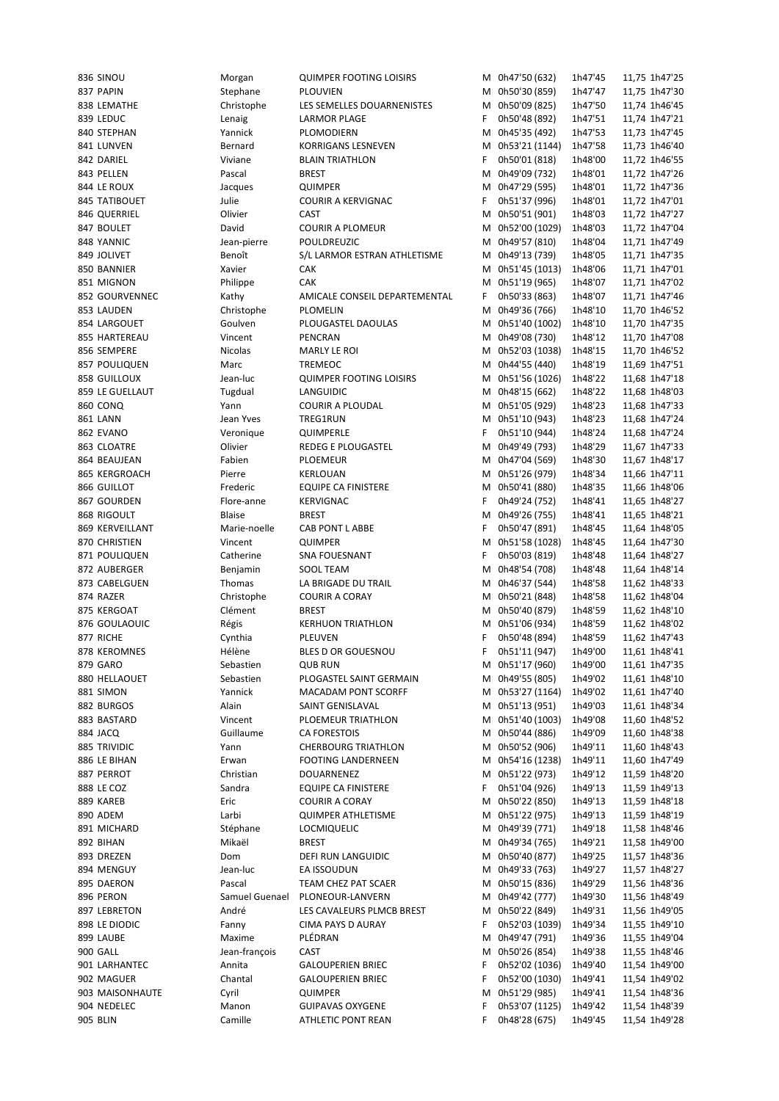| 836 SINOU       | Morgan         | <b>QUIMPER FOOTING LOISIRS</b> |    | M 0h47'50 (632)  | 1h47'45 | 11,75 1h47'25 |
|-----------------|----------------|--------------------------------|----|------------------|---------|---------------|
| 837 PAPIN       | Stephane       | PLOUVIEN                       |    | M 0h50'30 (859)  | 1h47'47 | 11,75 1h47'30 |
| 838 LEMATHE     | Christophe     | LES SEMELLES DOUARNENISTES     |    | M 0h50'09 (825)  | 1h47'50 | 11,74 1h46'45 |
| 839 LEDUC       | Lenaig         | LARMOR PLAGE                   | F. | 0h50'48 (892)    | 1h47'51 | 11,74 1h47'21 |
| 840 STEPHAN     | Yannick        | PLOMODIERN                     |    | M 0h45'35 (492)  | 1h47'53 | 11,73 1h47'45 |
| 841 LUNVEN      | Bernard        | KORRIGANS LESNEVEN             |    | M 0h53'21 (1144) | 1h47'58 | 11,73 1h46'40 |
|                 |                |                                |    |                  |         |               |
| 842 DARIEL      | Viviane        | <b>BLAIN TRIATHLON</b>         | F. | 0h50'01 (818)    | 1h48'00 | 11,72 1h46'55 |
| 843 PELLEN      | Pascal         | <b>BREST</b>                   |    | M 0h49'09 (732)  | 1h48'01 | 11,72 1h47'26 |
| 844 LE ROUX     | Jacques        | <b>QUIMPER</b>                 |    | M 0h47'29 (595)  | 1h48'01 | 11,72 1h47'36 |
| 845 TATIBOUET   | Julie          | <b>COURIR A KERVIGNAC</b>      | F. | 0h51'37 (996)    | 1h48'01 | 11,72 1h47'01 |
| 846 QUERRIEL    | Olivier        | CAST                           | М  | 0h50'51 (901)    | 1h48'03 | 11,72 1h47'27 |
| 847 BOULET      | David          | <b>COURIR A PLOMEUR</b>        |    | M 0h52'00 (1029) | 1h48'03 | 11,72 1h47'04 |
| 848 YANNIC      | Jean-pierre    | POULDREUZIC                    |    | M 0h49'57 (810)  | 1h48'04 | 11,71 1h47'49 |
| 849 JOLIVET     | Benoît         | S/L LARMOR ESTRAN ATHLETISME   |    | M 0h49'13 (739)  | 1h48'05 | 11,71 1h47'35 |
|                 |                |                                |    |                  |         |               |
| 850 BANNIER     | Xavier         | <b>CAK</b>                     |    | M 0h51'45 (1013) | 1h48'06 | 11,71 1h47'01 |
| 851 MIGNON      | Philippe       | <b>CAK</b>                     |    | M 0h51'19 (965)  | 1h48'07 | 11,71 1h47'02 |
| 852 GOURVENNEC  | Kathy          | AMICALE CONSEIL DEPARTEMENTAL  | F. | 0h50'33 (863)    | 1h48'07 | 11,71 1h47'46 |
| 853 LAUDEN      | Christophe     | PLOMELIN                       |    | M 0h49'36 (766)  | 1h48'10 | 11,70 1h46'52 |
| 854 LARGOUET    | Goulven        | PLOUGASTEL DAOULAS             |    | M 0h51'40 (1002) | 1h48'10 | 11,70 1h47'35 |
| 855 HARTEREAU   | Vincent        | PENCRAN                        |    | M 0h49'08 (730)  | 1h48'12 | 11,70 1h47'08 |
| 856 SEMPERE     | <b>Nicolas</b> | MARLY LE ROI                   |    | M 0h52'03 (1038) | 1h48'15 | 11,70 1h46'52 |
| 857 POULIQUEN   | Marc           | <b>TREMEOC</b>                 |    | M 0h44'55 (440)  | 1h48'19 | 11,69 1h47'51 |
|                 |                |                                |    |                  |         |               |
| 858 GUILLOUX    | Jean-luc       | <b>QUIMPER FOOTING LOISIRS</b> |    | M 0h51'56 (1026) | 1h48'22 | 11,68 1h47'18 |
| 859 LE GUELLAUT | Tugdual        | LANGUIDIC                      |    | M 0h48'15 (662)  | 1h48'22 | 11,68 1h48'03 |
| 860 CONQ        | Yann           | <b>COURIR A PLOUDAL</b>        |    | M 0h51'05 (929)  | 1h48'23 | 11,68 1h47'33 |
| 861 LANN        | Jean Yves      | TREG1RUN                       |    | M 0h51'10 (943)  | 1h48'23 | 11,68 1h47'24 |
| 862 EVANO       | Veronique      | QUIMPERLE                      | F. | 0h51'10 (944)    | 1h48'24 | 11,68 1h47'24 |
| 863 CLOATRE     | Olivier        | REDEG E PLOUGASTEL             |    | M 0h49'49 (793)  | 1h48'29 | 11,67 1h47'33 |
| 864 BEAUJEAN    | Fabien         | <b>PLOEMEUR</b>                |    | M 0h47'04 (569)  | 1h48'30 | 11,67 1h48'17 |
| 865 KERGROACH   | Pierre         | KERLOUAN                       |    | M 0h51'26 (979)  | 1h48'34 | 11,66 1h47'11 |
|                 |                |                                |    |                  |         |               |
| 866 GUILLOT     | Frederic       | <b>EQUIPE CA FINISTERE</b>     |    | M 0h50'41 (880)  | 1h48'35 | 11,66 1h48'06 |
| 867 GOURDEN     | Flore-anne     | KERVIGNAC                      | F. | 0h49'24 (752)    | 1h48'41 | 11,65 1h48'27 |
| 868 RIGOULT     | Blaise         | <b>BREST</b>                   | м  | 0h49'26 (755)    | 1h48'41 | 11,65 1h48'21 |
| 869 KERVEILLANT | Marie-noelle   | CAB PONT L ABBE                | F. | 0h50'47 (891)    | 1h48'45 | 11,64 1h48'05 |
| 870 CHRISTIEN   | Vincent        | <b>QUIMPER</b>                 | м  | 0h51'58 (1028)   | 1h48'45 | 11,64 1h47'30 |
| 871 POULIQUEN   | Catherine      | <b>SNA FOUESNANT</b>           | F. | 0h50'03 (819)    | 1h48'48 | 11,64 1h48'27 |
| 872 AUBERGER    | Benjamin       | <b>SOOL TEAM</b>               | м  | 0h48'54 (708)    | 1h48'48 | 11,64 1h48'14 |
| 873 CABELGUEN   | Thomas         | LA BRIGADE DU TRAIL            |    | M 0h46'37 (544)  | 1h48'58 | 11,62 1h48'33 |
|                 |                |                                |    |                  |         |               |
| 874 RAZER       | Christophe     | <b>COURIR A CORAY</b>          |    | M 0h50'21 (848)  | 1h48'58 | 11,62 1h48'04 |
| 875 KERGOAT     | Clément        | <b>BREST</b>                   |    | M 0h50'40 (879)  | 1h48'59 | 11,62 1h48'10 |
| 876 GOULAOUIC   | Régis          | <b>KERHUON TRIATHLON</b>       | М  | 0h51'06 (934)    | 1h48'59 | 11,62 1h48'02 |
| 877 RICHE       | Cynthia        | PLEUVEN                        | F  | 0h50'48 (894)    | 1h48'59 | 11,62 1h47'43 |
| 878 KEROMNES    | Hélène         | BLES D OR GOUESNOU             | F  | 0h51'11 (947)    | 1h49'00 | 11,61 1h48'41 |
| 879 GARO        | Sebastien      | <b>QUB RUN</b>                 |    | M 0h51'17 (960)  | 1h49'00 | 11,61 1h47'35 |
| 880 HELLAOUET   | Sebastien      | PLOGASTEL SAINT GERMAIN        |    | M 0h49'55 (805)  | 1h49'02 | 11,61 1h48'10 |
| 881 SIMON       | Yannick        | <b>MACADAM PONT SCORFF</b>     |    | M 0h53'27 (1164) | 1h49'02 | 11,61 1h47'40 |
|                 |                |                                |    |                  |         |               |
| 882 BURGOS      | Alain          | SAINT GENISLAVAL               |    | M 0h51'13 (951)  | 1h49'03 | 11,61 1h48'34 |
| 883 BASTARD     | Vincent        | PLOEMEUR TRIATHLON             |    | M 0h51'40 (1003) | 1h49'08 | 11,60 1h48'52 |
| 884 JACQ        | Guillaume      | CA FORESTOIS                   |    | M 0h50'44 (886)  | 1h49'09 | 11,60 1h48'38 |
| 885 TRIVIDIC    | Yann           | <b>CHERBOURG TRIATHLON</b>     |    | M 0h50'52 (906)  | 1h49'11 | 11,60 1h48'43 |
| 886 LE BIHAN    | Erwan          | <b>FOOTING LANDERNEEN</b>      |    | M 0h54'16 (1238) | 1h49'11 | 11,60 1h47'49 |
| 887 PERROT      | Christian      | DOUARNENEZ                     |    | M 0h51'22 (973)  | 1h49'12 | 11,59 1h48'20 |
| 888 le coz      | Sandra         | <b>EQUIPE CA FINISTERE</b>     | F. | 0h51'04 (926)    | 1h49'13 | 11,59 1h49'13 |
| 889 KAREB       | Eric           | <b>COURIR A CORAY</b>          | м  | 0h50'22 (850)    | 1h49'13 | 11,59 1h48'18 |
|                 |                |                                |    |                  |         |               |
| 890 ADEM        | Larbi          | <b>QUIMPER ATHLETISME</b>      | м  | 0h51'22 (975)    | 1h49'13 | 11,59 1h48'19 |
| 891 MICHARD     | Stéphane       | <b>LOCMIQUELIC</b>             | м  | 0h49'39 (771)    | 1h49'18 | 11,58 1h48'46 |
| 892 BIHAN       | Mikaël         | <b>BREST</b>                   |    | M 0h49'34 (765)  | 1h49'21 | 11,58 1h49'00 |
| 893 DREZEN      | Dom            | DEFI RUN LANGUIDIC             |    | M 0h50'40 (877)  | 1h49'25 | 11,57 1h48'36 |
| 894 MENGUY      | Jean-luc       | EA ISSOUDUN                    | м  | 0h49'33 (763)    | 1h49'27 | 11,57 1h48'27 |
| 895 DAERON      | Pascal         | TEAM CHEZ PAT SCAER            | м  | 0h50'15 (836)    | 1h49'29 | 11,56 1h48'36 |
| 896 PERON       | Samuel Guenael | PLONEOUR-LANVERN               | м  | 0h49'42 (777)    | 1h49'30 | 11,56 1h48'49 |
| 897 LEBRETON    | André          | LES CAVALEURS PLMCB BREST      | М  | 0h50'22 (849)    | 1h49'31 | 11,56 1h49'05 |
|                 |                |                                |    |                  |         |               |
| 898 LE DIODIC   | Fanny          | CIMA PAYS D AURAY              | F  | 0h52'03 (1039)   | 1h49'34 | 11,55 1h49'10 |
| 899 LAUBE       | Maxime         | PLÉDRAN                        | м  | 0h49'47 (791)    | 1h49'36 | 11,55 1h49'04 |
| 900 GALL        | Jean-françois  | CAST                           | м  | 0h50'26 (854)    | 1h49'38 | 11,55 1h48'46 |
| 901 LARHANTEC   | Annita         | <b>GALOUPERIEN BRIEC</b>       | F  | 0h52'02 (1036)   | 1h49'40 | 11,54 1h49'00 |
| 902 MAGUER      | Chantal        | <b>GALOUPERIEN BRIEC</b>       | F  | 0h52'00 (1030)   | 1h49'41 | 11,54 1h49'02 |
| 903 MAISONHAUTE | Cyril          | <b>QUIMPER</b>                 | М  | 0h51'29 (985)    | 1h49'41 | 11,54 1h48'36 |
| 904 NEDELEC     | Manon          | <b>GUIPAVAS OXYGENE</b>        | F  | 0h53'07 (1125)   | 1h49'42 | 11,54 1h48'39 |
| 905 BLIN        | Camille        | ATHLETIC PONT REAN             | F  | 0h48'28 (675)    | 1h49'45 | 11,54 1h49'28 |
|                 |                |                                |    |                  |         |               |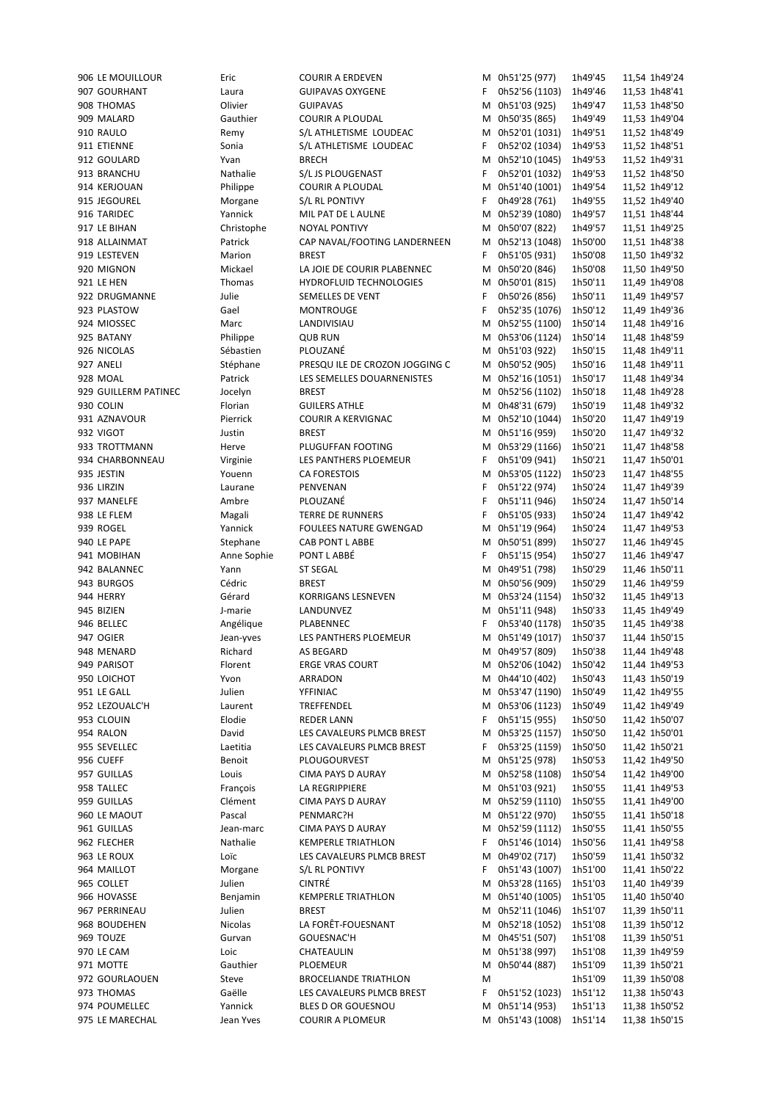| 906 LE MOUILLOUR                 | Eric        | <b>COURIR A ERDEVEN</b>                       |    | M 0h51'25 (977)                   | 1h49'45 | 11,54 1h49'24                  |
|----------------------------------|-------------|-----------------------------------------------|----|-----------------------------------|---------|--------------------------------|
| 907 GOURHANT                     | Laura       | <b>GUIPAVAS OXYGENE</b>                       | F. | 0h52'56 (1103)                    | 1h49'46 | 11,53 1h48'41                  |
| 908 THOMAS                       | Olivier     | <b>GUIPAVAS</b>                               | Μ  | 0h51'03 (925)                     | 1h49'47 | 11,53 1h48'50                  |
| 909 MALARD                       | Gauthier    | COURIR A PLOUDAL                              |    | M 0h50'35 (865)                   | 1h49'49 | 11,53 1h49'04                  |
| 910 RAULO                        | Remy        | S/L ATHLETISME LOUDEAC                        |    | M 0h52'01 (1031)                  | 1h49'51 | 11,52 1h48'49                  |
| 911 ETIENNE                      | Sonia       | S/L ATHLETISME LOUDEAC                        | F. | 0h52'02 (1034)                    | 1h49'53 | 11,52 1h48'51                  |
|                                  |             |                                               |    |                                   |         |                                |
| 912 GOULARD                      | Yvan        | <b>BRECH</b>                                  | м  | 0h52'10 (1045)                    | 1h49'53 | 11,52 1h49'31                  |
| 913 BRANCHU                      | Nathalie    | S/L JS PLOUGENAST                             | F. | 0h52'01 (1032)                    | 1h49'53 | 11,52 1h48'50                  |
| 914 KERJOUAN                     | Philippe    | <b>COURIR A PLOUDAL</b>                       |    | M 0h51'40 (1001)                  | 1h49'54 | 11,52 1h49'12                  |
| 915 JEGOUREL                     | Morgane     | S/L RL PONTIVY                                | F. | 0h49'28 (761)                     | 1h49'55 | 11,52 1h49'40                  |
| 916 TARIDEC                      | Yannick     | MIL PAT DE L AULNE                            | м  | 0h52'39 (1080)                    | 1h49'57 | 11,51 1h48'44                  |
|                                  |             |                                               |    |                                   |         |                                |
| 917 LE BIHAN                     | Christophe  | <b>NOYAL PONTIVY</b>                          |    | M 0h50'07 (822)                   | 1h49'57 | 11,51 1h49'25                  |
| 918 ALLAINMAT                    | Patrick     | CAP NAVAL/FOOTING LANDERNEEN                  |    | M 0h52'13 (1048)                  | 1h50'00 | 11,51 1h48'38                  |
| 919 LESTEVEN                     | Marion      | <b>BREST</b>                                  | F. | 0h51'05 (931)                     | 1h50'08 | 11,50 1h49'32                  |
| 920 MIGNON                       | Mickael     | LA JOIE DE COURIR PLABENNEC                   |    | M 0h50'20 (846)                   | 1h50'08 | 11,50 1h49'50                  |
| 921 LE HEN                       | Thomas      | <b>HYDROFLUID TECHNOLOGIES</b>                |    | M 0h50'01 (815)                   | 1h50'11 | 11,49 1h49'08                  |
| 922 DRUGMANNE                    | Julie       | SEMELLES DE VENT                              | F. | 0h50'26 (856)                     | 1h50'11 | 11,49 1h49'57                  |
|                                  |             |                                               |    |                                   |         |                                |
| 923 PLASTOW                      | Gael        | <b>MONTROUGE</b>                              | F  | 0h52'35 (1076)                    | 1h50'12 | 11,49 1h49'36                  |
| 924 MIOSSEC                      | Marc        | LANDIVISIAU                                   | м  | 0h52'55 (1100)                    | 1h50'14 | 11,48 1h49'16                  |
| 925 BATANY                       | Philippe    | <b>QUB RUN</b>                                |    | M 0h53'06 (1124)                  | 1h50'14 | 11,48 1h48'59                  |
| 926 NICOLAS                      | Sébastien   | PLOUZANÉ                                      |    | M 0h51'03 (922)                   | 1h50'15 | 11,48 1h49'11                  |
| 927 ANELI                        | Stéphane    | PRESQUILE DE CROZON JOGGING C                 |    | M 0h50'52 (905)                   | 1h50'16 | 11,48 1h49'11                  |
|                                  |             |                                               |    |                                   |         |                                |
| 928 MOAL                         | Patrick     | LES SEMELLES DOUARNENISTES                    |    | M 0h52'16 (1051)                  | 1h50'17 | 11,48 1h49'34                  |
| 929 GUILLERM PATINEC             | Jocelyn     | <b>BREST</b>                                  |    | M 0h52'56 (1102)                  | 1h50'18 | 11,48 1h49'28                  |
| 930 COLIN                        | Florian     | <b>GUILERS ATHLE</b>                          |    | M 0h48'31 (679)                   | 1h50'19 | 11,48 1h49'32                  |
| 931 AZNAVOUR                     | Pierrick    | COURIR A KERVIGNAC                            |    | M 0h52'10 (1044)                  | 1h50'20 | 11,47 1h49'19                  |
| 932 VIGOT                        | Justin      | <b>BREST</b>                                  |    | M 0h51'16 (959)                   | 1h50'20 | 11,47 1h49'32                  |
|                                  |             |                                               |    |                                   |         |                                |
| 933 TROTTMANN                    | Herve       | PLUGUFFAN FOOTING                             |    | M 0h53'29 (1166)                  | 1h50'21 | 11,47 1h48'58                  |
| 934 CHARBONNEAU                  | Virginie    | LES PANTHERS PLOEMEUR                         | F. | 0h51'09 (941)                     | 1h50'21 | 11,47 1h50'01                  |
| 935 JESTIN                       | Youenn      | <b>CA FORESTOIS</b>                           | м  | 0h53'05 (1122)                    | 1h50'23 | 11,47 1h48'55                  |
| 936 LIRZIN                       | Laurane     | PENVENAN                                      | F  | 0h51'22 (974)                     | 1h50'24 | 11,47 1h49'39                  |
| 937 MANELFE                      | Ambre       | PLOUZANÉ                                      | F  | 0h51'11 (946)                     | 1h50'24 | 11,47 1h50'14                  |
|                                  |             | <b>TERRE DE RUNNERS</b>                       | F  |                                   |         |                                |
| 938 LE FLEM                      | Magali      |                                               |    | 0h51'05 (933)                     | 1h50'24 | 11,47 1h49'42                  |
| 939 ROGEL                        | Yannick     | <b>FOULEES NATURE GWENGAD</b>                 | М  | 0h51'19 (964)                     | 1h50'24 | 11,47 1h49'53                  |
| 940 LE PAPE                      | Stephane    | CAB PONT L ABBE                               |    | M 0h50'51 (899)                   | 1h50'27 | 11,46 1h49'45                  |
| 941 MOBIHAN                      | Anne Sophie | PONT L ABBÉ                                   | F  | 0h51'15 (954)                     | 1h50'27 | 11,46 1h49'47                  |
| 942 BALANNEC                     | Yann        | <b>ST SEGAL</b>                               |    | M 0h49'51 (798)                   | 1h50'29 | 11,46 1h50'11                  |
|                                  |             |                                               |    |                                   |         |                                |
|                                  |             |                                               |    |                                   |         |                                |
| 943 BURGOS                       | Cédric      | <b>BREST</b>                                  |    | M 0h50'56 (909)                   | 1h50'29 | 11,46 1h49'59                  |
| 944 HERRY                        | Gérard      | KORRIGANS LESNEVEN                            |    | M 0h53'24 (1154)                  | 1h50'32 | 11,45 1h49'13                  |
| 945 BIZIEN                       | J-marie     | LANDUNVEZ                                     |    | M 0h51'11 (948)                   | 1h50'33 | 11,45 1h49'49                  |
| 946 BELLEC                       | Angélique   | PLABENNEC                                     | F  | 0h53'40 (1178)                    | 1h50'35 | 11,45 1h49'38                  |
| 947 OGIER                        |             | LES PANTHERS PLOEMEUR                         | M  |                                   | 1h50'37 | 11,44 1h50'15                  |
|                                  | Jean-yves   |                                               |    | 0h51'49 (1017)                    |         |                                |
| 948 MENARD                       | Richard     | AS BEGARD                                     |    | M 0h49'57 (809)                   | 1h50'38 | 11.44 1h49'48                  |
| 949 PARISOT                      | Florent     | <b>ERGE VRAS COURT</b>                        |    | M 0h52'06 (1042)                  | 1h50'42 | 11,44 1h49'53                  |
| 950 LOICHOT                      | Yvon        | ARRADON                                       |    | M 0h44'10 (402)                   | 1h50'43 | 11,43 1h50'19                  |
| 951 LE GALL                      | Julien      | YFFINIAC                                      |    | M 0h53'47 (1190)                  | 1h50'49 | 11,42 1h49'55                  |
| 952 LEZOUALC'H                   | Laurent     | TREFFENDEL                                    |    | M 0h53'06 (1123)                  | 1h50'49 | 11,42 1h49'49                  |
| 953 CLOUIN                       | Elodie      | <b>REDER LANN</b>                             | F. |                                   | 1h50'50 | 11,42 1h50'07                  |
|                                  |             |                                               |    | 0h51'15 (955)                     |         |                                |
| 954 RALON                        | David       | LES CAVALEURS PLMCB BREST                     | м  | 0h53'25 (1157)                    | 1h50'50 | 11,42 1h50'01                  |
| 955 SEVELLEC                     | Laetitia    | LES CAVALEURS PLMCB BREST                     | F. | 0h53'25 (1159)                    | 1h50'50 | 11,42 1h50'21                  |
| 956 CUEFF                        | Benoit      | PLOUGOURVEST                                  | м  | 0h51'25 (978)                     | 1h50'53 | 11,42 1h49'50                  |
| 957 GUILLAS                      | Louis       | CIMA PAYS D AURAY                             | м  | 0h52'58 (1108)                    | 1h50'54 | 11,42 1h49'00                  |
| 958 TALLEC                       | François    | LA REGRIPPIERE                                |    | M 0h51'03 (921)                   | 1h50'55 | 11,41 1h49'53                  |
| 959 GUILLAS                      |             |                                               |    |                                   |         |                                |
|                                  | Clément     | CIMA PAYS D AURAY                             |    | M 0h52'59 (1110)                  | 1h50'55 | 11,41 1h49'00                  |
| 960 LE MAOUT                     | Pascal      | PENMARC?H                                     |    | M 0h51'22 (970)                   | 1h50'55 | 11,41 1h50'18                  |
| 961 GUILLAS                      | Jean-marc   | CIMA PAYS D AURAY                             |    | M 0h52'59 (1112)                  | 1h50'55 | 11,41 1h50'55                  |
| 962 FLECHER                      | Nathalie    | <b>KEMPERLE TRIATHLON</b>                     | F. | 0h51'46 (1014)                    | 1h50'56 | 11,41 1h49'58                  |
| 963 LE ROUX                      | Loïc        | LES CAVALEURS PLMCB BREST                     |    | M 0h49'02 (717)                   | 1h50'59 | 11,41 1h50'32                  |
| 964 MAILLOT                      | Morgane     | S/L RL PONTIVY                                | F  |                                   | 1h51'00 | 11,41 1h50'22                  |
| 965 COLLET                       | Julien      | <b>CINTRÉ</b>                                 |    | 0h51'43 (1007)                    |         |                                |
|                                  |             |                                               |    | M 0h53'28 (1165)                  | 1h51'03 | 11,40 1h49'39                  |
| 966 HOVASSE                      | Benjamin    | <b>KEMPERLE TRIATHLON</b>                     |    | M 0h51'40 (1005)                  | 1h51'05 | 11,40 1h50'40                  |
| 967 PERRINEAU                    | Julien      | <b>BREST</b>                                  |    | M 0h52'11 (1046)                  | 1h51'07 | 11,39 1h50'11                  |
| 968 BOUDEHEN                     | Nicolas     | LA FORÊT-FOUESNANT                            |    | M 0h52'18 (1052)                  | 1h51'08 | 11,39 1h50'12                  |
| 969 TOUZE                        | Gurvan      | GOUESNAC'H                                    |    | M 0h45'51 (507)                   | 1h51'08 | 11,39 1h50'51                  |
| 970 LE CAM                       | Loic        | CHATEAULIN                                    |    | M 0h51'38 (997)                   | 1h51'08 | 11,39 1h49'59                  |
|                                  |             |                                               | м  |                                   |         |                                |
| 971 MOTTE                        | Gauthier    | PLOEMEUR                                      |    | 0h50'44 (887)                     | 1h51'09 | 11,39 1h50'21                  |
| 972 GOURLAOUEN                   | Steve       | <b>BROCELIANDE TRIATHLON</b>                  | M  |                                   | 1h51'09 | 11,39 1h50'08                  |
| 973 THOMAS                       | Gaëlle      | LES CAVALEURS PLMCB BREST                     | F  | 0h51'52 (1023)                    | 1h51'12 | 11,38 1h50'43                  |
| 974 POUMELLEC<br>975 LE MARECHAL | Yannick     | BLES D OR GOUESNOU<br><b>COURIR A PLOMEUR</b> | м  | 0h51'14 (953)<br>M 0h51'43 (1008) | 1h51'13 | 11,38 1h50'52<br>11,38 1h50'15 |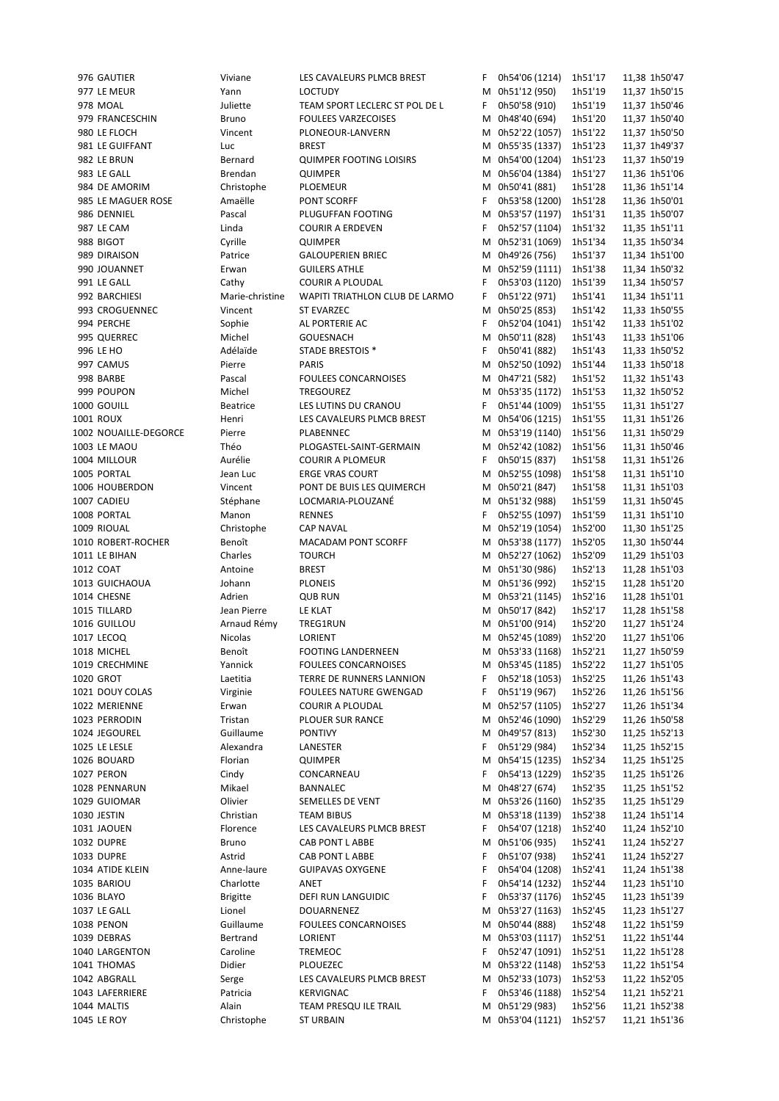1019 Yannick FOULEES CONCARNOISES M 0h53'45 (1185) 1h52'22

976 GAUTIER Viviane LES CAVALEURS PLMCB BREST F 0h54'06 (1214) 1h51'17 11,38 1h50'47 977 LE MEUR Yann LOCTUDY M 0h51'12 (950) 1h51'19 11,37 1h50'15 978 MOAL Juliette TEAM SPORT LECLERC ST POL DE L F 0h50'58 (910) 1h51'19 11,37 1h50'46 979 FRANCESCHIN Bruno FOULEES VARZECOISES M 0h48'40 (694) 1h51'20 11,37 1h50'40 980 LE FLOCH Vincent PLONEOUR-LANVERN M 0h52'22 (1057) 1h51'22 11,37 1h50'50 981 LE GUIFFANT Luc BREST M 0h55'35 (1337) 1h51'23 11,37 1h49'37 982 LE BRUN Bernard QUIMPER FOOTING LOISIRS M 0h54'00 (1204) 1h51'23 11,37 1h50'19 983 LE GALL Brendan QUIMPER M 0h56'04 (1384) 1h51'27 11,36 1h51'06 984 DE AMORIM Christophe PLOEMEUR M 0h50'41 (881) 1h51'28 11,36 1h51'14 985 LE MAGUER ROSE Amaëlle PONT SCORFF F 0h53'58 (1200) 1h51'28 11,36 1h50'01 986 DENNIEL Pascal PLUGUFFAN FOOTING M 0h53'57 (1197) 1h51'31 11,35 1h50'07 987 LE CAM Linda COURIR A ERDEVEN F 0h52'57 (1104) 1h51'32 11,35 1h51'11 988 BIGOT Cyrille QUIMPER M 0h52'31 (1069) 1h51'34 11,35 1h50'34 989 DIRAISON Patrice GALOUPERIEN BRIEC M 0h49'26 (756) 1h51'37 11,34 1h51'00 990 JOUANNET Erwan GUILERS ATHLE M 0h52'59 (1111) 1h51'38 11,34 1h50'32 991 LE GALL Cathy COURIR A PLOUDAL F 0h53'03 (1120) 1h51'39 11,34 1h50'57 992 BARCHIESI Marie-christine WAPITI TRIATHLON CLUB DE LARMO F 0h51'22 (971) 1h51'41 11,34 1h51'11 993 CROGUENNEC Vincent ST EVARZEC M 0h50'25 (853) 1h51'42 11,33 1h50'55 994 PERCHE Sophie AL PORTERIE AC F 0h52'04 (1041) 1h51'42 11,33 1h51'02 995 QUERREC Michel GOUESNACH M 0h50'11 (828) 1h51'43 11,33 1h51'06 996 LE HO Adélaïde STADE BRESTOIS \* F 0h50'41 (882) 1h51'43 11,33 1h50'52 997 CAMUS Pierre PARIS M 0h52'50 (1092) 1h51'44 11,33 1h50'18 998 BARBE Pascal FOULEES CONCARNOISES M 0h47'21 (582) 1h51'52 11,32 1h51'43 999 POUPON Michel TREGOUREZ M 0h53'35 (1172) 1h51'53 11,32 1h50'52 1000 GOUILL Beatrice LES LUTINS DU CRANOU F 0h51'44 (1009) 1h51'55 11,31 1h51'27 1001 ROUX Henri LES CAVALEURS PLMCB BREST M 0h54'06 (1215) 1h51'55 11,31 1h51'26 1002 NOUAILLE-DEGORCE Pierre PLABENNEC M 0h53'19 (1140) 1h51'56 11,31 1h50'29 1003 LE MAOU Théo PLOGASTEL-SAINT-GERMAIN M 0h52'42 (1082) 1h51'56 11,31 1h50'46 1004 MILLOUR Aurélie COURIR A PLOMEUR F 0h50'15 (837) 1h51'58 11,31 1h51'26 1005 PORTAL Jean Luc ERGE VRAS COURT M 0h52'55 (1098) 1h51'58 11,31 1h51'10 1006 HOUBERDON Vincent PONT DE BUIS LES QUIMERCH M 0h50'21 (847) 1h51'58 11,31 1h51'03 1007 CADIEU Stéphane LOCMARIA-PLOUZANÉ M 0h51'32 (988) 1h51'59 11,31 1h50'45 1008 PORTAL Manon RENNES F 0h52'55 (1097) 1h51'59 11,31 1h51'10 1009 RIOUAL Christophe CAP NAVAL M 0h52'19 (1054) 1h52'00 11,30 1h51'25 1010 ROBERT-ROCHER Benoît MACADAM PONT SCORFF M 0h53'38 (1177) 1h52'05 11,30 1h50'44 1011 LE BIHAN Charles TOURCH M 0h52'27 (1062) 1h52'09 11,29 1h51'03 1012 COAT Antoine BREST M 0h51'30 (986) 1h52'13 11,28 1h51'03 1013 GUICHAOUA Johann PLONEIS M 0h51'36 (992) 1h52'15 11,28 1h51'20 1014 CHESNE Adrien QUB RUN M 0h53'21 (1145) 1h52'16 11,28 1h51'01 1015 TILLARD Jean Pierre LE KLAT M 0h50'17 (842) 1h52'17 11,28 1h51'58 1016 GUILLOU Arnaud Rémy TREG1RUN M 0h51'00 (914) 1h52'20 11,27 1h51'24 1017 LECOQ Nicolas LORIENT M 0h52'45 (1089) 1h52'20 11,27 1h51'06 1018 MICHEL Benoît FOOTING LANDERNEEN M 0h53'33 (1168) 1h52'21 11,27 1h50'59 1020 GROT Laetitia TERRE DE RUNNERS LANNION F 0h52'18 (1053) 1h52'25 11,26 1h51'43 1021 DOUY COLAS Virginie FOULEES NATURE GWENGAD F 0h51'19 (967) 1h52'26 11,26 1h51'56 1022 MERIENNE Erwan COURIR A PLOUDAL M 0h52'57 (1105) 1h52'27 11,26 1h51'34 1023 PERRODIN Tristan PLOUER SUR RANCE M 0h52'46 (1090) 1h52'29 11,26 1h50'58 1024 JEGOUREL Guillaume PONTIVY M 0h49'57 (813) 1h52'30 11,25 1h52'13 1025 LE LESLE Alexandra LANESTER F 0h51'29 (984) 1h52'34 11,25 1h52'15 1026 BOUARD Florian QUIMPER M 0h54'15 (1235) 1h52'34 11,25 1h51'25 1027 PERON Cindy CONCARNEAU F 0h54'13 (1229) 1h52'35 11,25 1h51'26 1028 PENNARUN Mikael BANNALEC M 0h48'27 (674) 1h52'35 11,25 1h51'52 1029 GUIOMAR Olivier SEMELLES DE VENT M 0h53'26 (1160) 1h52'35 11,25 1h51'29 1030 JESTIN Christian TEAM BIBUS M 0h53'18 (1139) 1h52'38 11,24 1h51'14 1031 JAOUEN Florence LES CAVALEURS PLMCB BREST F 0h54'07 (1218) 1h52'40 11,24 1h52'10 1032 DUPRE Bruno CAB PONT L ABBE M 0h51'06 (935) 1h52'41 11,24 1h52'27 1033 DUPRE Astrid CAB PONT L ABBE F 0h51'07 (938) 1h52'41 11,24 1h52'27 1034 ATIDE KLEIN Anne-laure GUIPAVAS OXYGENE F 0h54'04 (1208) 1h52'41 11,24 1h51'38 1035 BARIOU Charlotte ANET F 0h54'14 (1232) 1h52'44 11,23 1h51'10 1036 BLAYO Brigitte DEFI RUN LANGUIDIC F 0h53'37 (1176) 1h52'45 11,23 1h51'39 1037 LE GALL Lionel DOUARNENEZ M 0h53'27 (1163) 1h52'45 11,23 1h51'27 1038 PENON Guillaume FOULEES CONCARNOISES M 0h50'44 (888) 1h52'48 11,22 1h51'59 1039 DEBRAS Bertrand LORIENT M 0h53'03 (1117) 1h52'51 11,22 1h51'44 1040 LARGENTON Caroline TREMEOC F 0h52'47 (1091) 1h52'51 11,22 1h51'28 1041 THOMAS Didier PLOUEZEC M 0h53'22 (1148) 1h52'53 11,22 1h51'54 1042 ABGRALL Serge LES CAVALEURS PLMCB BREST M 0h52'33 (1073) 1h52'53 11,22 1h52'05 1043 LAFERRIERE Patricia KERVIGNAC F 0h53'46 (1188) 1h52'54 11,21 1h52'21 1044 MALTIS Alain TEAM PRESQU ILE TRAIL M 0h51'29 (983) 1h52'56 11,21 1h52'38 1045 LE ROY Christophe ST URBAIN M 0h53'04 (1121) 1h52'57 11,21 1h51'36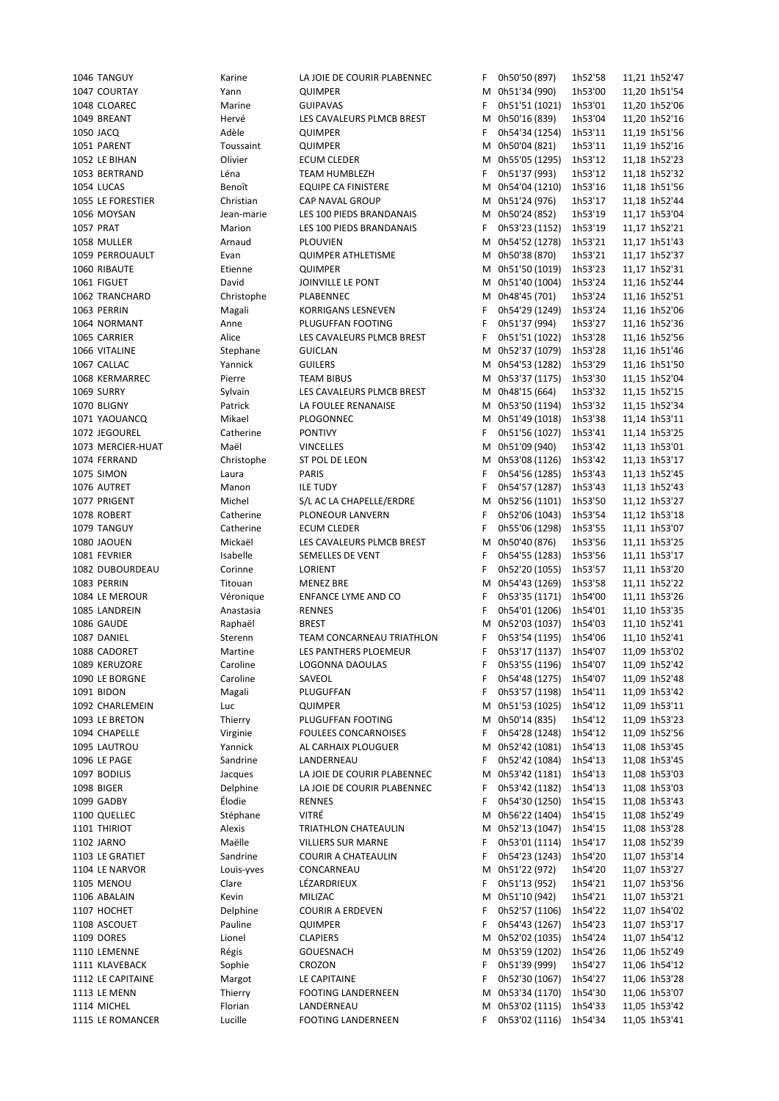| 1046 TANGUY       | Karine     | LA JOIE DE COURIR PLABENNEC | F. | 0h50'50 (897)          | 1h52'58 | 11,21 1h52'47 |
|-------------------|------------|-----------------------------|----|------------------------|---------|---------------|
| 1047 COURTAY      | Yann       | QUIMPER                     | М  | 0h51'34 (990)          | 1h53'00 | 11,20 1h51'54 |
| 1048 CLOAREC      | Marine     | <b>GUIPAVAS</b>             | F  | 0h51'51 (1021)         | 1h53'01 | 11,20 1h52'06 |
| 1049 BREANT       | Hervé      | LES CAVALEURS PLMCB BREST   | м  | 0h50'16 (839)          | 1h53'04 | 11,20 1h52'16 |
| 1050 JACQ         | Adèle      | QUIMPER                     | F  | 0h54'34 (1254)         | 1h53'11 | 11,19 1h51'56 |
| 1051 PARENT       | Toussaint  | QUIMPER                     | М  | 0h50'04 (821)          | 1h53'11 | 11,19 1h52'16 |
| 1052 LE BIHAN     | Olivier    | <b>ECUM CLEDER</b>          |    | M 0h55'05 (1295)       | 1h53'12 | 11,18 1h52'23 |
| 1053 BERTRAND     | Léna       | TEAM HUMBLEZH               | F  | 0h51'37 (993)          | 1h53'12 | 11,18 1h52'32 |
| 1054 LUCAS        | Benoît     | <b>EQUIPE CA FINISTERE</b>  |    | M 0h54'04 (1210)       | 1h53'16 | 11,18 1h51'56 |
| 1055 LE FORESTIER | Christian  | CAP NAVAL GROUP             |    | M 0h51'24 (976)        | 1h53'17 | 11,18 1h52'44 |
| 1056 MOYSAN       | Jean-marie | LES 100 PIEDS BRANDANAIS    |    | M 0h50'24 (852)        | 1h53'19 | 11,17 1h53'04 |
| <b>1057 PRAT</b>  | Marion     | LES 100 PIEDS BRANDANAIS    | F  | 0h53'23 (1152)         | 1h53'19 | 11,17 1h52'21 |
| 1058 MULLER       | Arnaud     | <b>PLOUVIEN</b>             | М  | 0h54'52 (1278)         | 1h53'21 | 11,17 1h51'43 |
| 1059 PERROUAULT   | Evan       | <b>QUIMPER ATHLETISME</b>   |    | M 0h50'38 (870)        | 1h53'21 | 11,17 1h52'37 |
| 1060 RIBAUTE      | Etienne    | QUIMPER                     | М  | 0h51'50 (1019)         | 1h53'23 | 11,17 1h52'31 |
| 1061 FIGUET       | David      | JOINVILLE LE PONT           | M  | 0h51'40 (1004)         | 1h53'24 |               |
|                   |            |                             |    |                        |         | 11,16 1h52'44 |
| 1062 TRANCHARD    | Christophe | PLABENNEC                   | М  | 0h48'45 (701)          | 1h53'24 | 11,16 1h52'51 |
| 1063 PERRIN       | Magali     | KORRIGANS LESNEVEN          | F  | 0h54'29 (1249)         | 1h53'24 | 11,16 1h52'06 |
| 1064 NORMANT      | Anne       | PLUGUFFAN FOOTING           | F  | 0h51'37 (994)          | 1h53'27 | 11,16 1h52'36 |
| 1065 CARRIER      | Alice      | LES CAVALEURS PLMCB BREST   | F  | 0h51'51 (1022)         | 1h53'28 | 11,16 1h52'56 |
| 1066 VITALINE     | Stephane   | <b>GUICLAN</b>              | м  | 0h52'37 (1079)         | 1h53'28 | 11,16 1h51'46 |
| 1067 CALLAC       | Yannick    | <b>GUILERS</b>              |    | M 0h54'53 (1282)       | 1h53'29 | 11,16 1h51'50 |
| 1068 KERMARREC    | Pierre     | <b>TEAM BIBUS</b>           |    | M 0h53'37 (1175)       | 1h53'30 | 11,15 1h52'04 |
| 1069 SURRY        | Sylvain    | LES CAVALEURS PLMCB BREST   |    | M 0h48'15 (664)        | 1h53'32 | 11,15 1h52'15 |
| 1070 BLIGNY       | Patrick    | LA FOULEE RENANAISE         | М  | 0h53'50 (1194)         | 1h53'32 | 11,15 1h52'34 |
| 1071 YAOUANCQ     | Mikael     | PLOGONNEC                   |    | M 0h51'49 (1018)       | 1h53'38 | 11,14 1h53'11 |
| 1072 JEGOUREL     | Catherine  | <b>PONTIVY</b>              | F  | 0h51'56 (1027)         | 1h53'41 | 11,14 1h53'25 |
| 1073 MERCIER-HUAT | Maël       | <b>VINCELLES</b>            |    | M 0h51'09 (940)        | 1h53'42 | 11,13 1h53'01 |
| 1074 FERRAND      | Christophe | ST POL DE LEON              | М  | 0h53'08 (1126)         | 1h53'42 | 11,13 1h53'17 |
| <b>1075 SIMON</b> | Laura      | <b>PARIS</b>                | F  | 0h54'56 (1285)         | 1h53'43 | 11,13 1h52'45 |
| 1076 AUTRET       | Manon      | <b>ILE TUDY</b>             | F  | 0h54'57 (1287)         | 1h53'43 | 11,13 1h52'43 |
| 1077 PRIGENT      | Michel     | S/L AC LA CHAPELLE/ERDRE    | м  | 0h52'56 (1101)         | 1h53'50 | 11,12 1h53'27 |
| 1078 ROBERT       | Catherine  | PLONEOUR LANVERN            | F  | 0h52'06 (1043)         | 1h53'54 | 11,12 1h53'18 |
| 1079 TANGUY       | Catherine  | <b>ECUM CLEDER</b>          | F  | 0h55'06 (1298)         | 1h53'55 | 11,11 1h53'07 |
| 1080 JAOUEN       | Mickaël    | LES CAVALEURS PLMCB BREST   | м  | 0h50'40 (876)          | 1h53'56 | 11,11 1h53'25 |
| 1081 FEVRIER      | Isabelle   | SEMELLES DE VENT            | F  | 0h54'55 (1283)         | 1h53'56 | 11,11 1h53'17 |
| 1082 DUBOURDEAU   | Corinne    | LORIENT                     | F  | 0h52'20 (1055)         | 1h53'57 | 11,11 1h53'20 |
| 1083 PERRIN       | Titouan    | <b>MENEZ BRE</b>            | м  | 0h54'43 (1269)         | 1h53'58 | 11,11 1h52'22 |
| 1084 LE MEROUR    | Véronique  | ENFANCE LYME AND CO         | F  | 0h53'35 (1171)         | 1h54'00 | 11,11 1h53'26 |
| 1085 LANDREIN     | Anastasia  | <b>RENNES</b>               | F  | 0h54'01 (1206)         | 1h54'01 | 11,10 1h53'35 |
| 1086 GAUDE        | Raphaël    | <b>BREST</b>                | М  | 0h52'03 (1037)         | 1h54'03 | 11,10 1h52'41 |
| 1087 DANIEL       | Sterenn    | TEAM CONCARNEAU TRIATHLON   | F  | 0h53'54 (1195)         | 1h54'06 | 11,10 1h52'41 |
|                   |            | LES PANTHERS PLOEMEUR       |    | 0h53'17 (1137) 1h54'07 |         | 11,09 1h53'02 |
| 1088 CADORET      | Martine    |                             | F  |                        |         |               |
| 1089 KERUZORE     | Caroline   | LOGONNA DAOULAS             | F  | 0h53'55 (1196)         | 1h54'07 | 11,09 1h52'42 |
| 1090 LE BORGNE    | Caroline   | SAVEOL                      | F  | 0h54'48 (1275)         | 1h54'07 | 11,09 1h52'48 |
| 1091 BIDON        | Magali     | PLUGUFFAN                   | F  | 0h53'57 (1198)         | 1h54'11 | 11,09 1h53'42 |
| 1092 CHARLEMEIN   | Luc        | QUIMPER                     | м  | 0h51'53 (1025)         | 1h54'12 | 11,09 1h53'11 |
| 1093 LE BRETON    | Thierry    | PLUGUFFAN FOOTING           | М  | 0h50'14 (835)          | 1h54'12 | 11,09 1h53'23 |
| 1094 CHAPELLE     | Virginie   | <b>FOULEES CONCARNOISES</b> | F  | 0h54'28 (1248)         | 1h54'12 | 11,09 1h52'56 |
| 1095 LAUTROU      | Yannick    | AL CARHAIX PLOUGUER         | м  | 0h52'42 (1081)         | 1h54'13 | 11,08 1h53'45 |
| 1096 LE PAGE      | Sandrine   | LANDERNEAU                  | F  | 0h52'42 (1084)         | 1h54'13 | 11,08 1h53'45 |
| 1097 BODILIS      | Jacques    | LA JOIE DE COURIR PLABENNEC | М  | 0h53'42 (1181)         | 1h54'13 | 11,08 1h53'03 |
| 1098 BIGER        | Delphine   | LA JOIE DE COURIR PLABENNEC | F  | 0h53'42 (1182)         | 1h54'13 | 11,08 1h53'03 |
| 1099 GADBY        | Élodie     | <b>RENNES</b>               | F  | 0h54'30 (1250)         | 1h54'15 | 11,08 1h53'43 |
| 1100 QUELLEC      | Stéphane   | VITRÉ                       | М  | 0h56'22 (1404)         | 1h54'15 | 11,08 1h52'49 |
| 1101 THIRIOT      | Alexis     | TRIATHLON CHATEAULIN        | M  | 0h52'13 (1047)         | 1h54'15 | 11,08 1h53'28 |
| 1102 JARNO        | Maëlle     | <b>VILLIERS SUR MARNE</b>   | F  | 0h53'01 (1114)         | 1h54'17 | 11,08 1h52'39 |
| 1103 LE GRATIET   | Sandrine   | COURIR A CHATEAULIN         | F  | 0h54'23 (1243)         | 1h54'20 | 11,07 1h53'14 |
| 1104 LE NARVOR    | Louis-yves | CONCARNEAU                  | M  | 0h51'22 (972)          | 1h54'20 | 11,07 1h53'27 |
| 1105 MENOU        | Clare      | LÉZARDRIEUX                 | F  | 0h51'13 (952)          | 1h54'21 | 11,07 1h53'56 |
| 1106 ABALAIN      | Kevin      | MILIZAC                     | Μ  | 0h51'10 (942)          | 1h54'21 | 11,07 1h53'21 |
| 1107 HOCHET       | Delphine   | <b>COURIR A ERDEVEN</b>     | F  | 0h52'57 (1106)         | 1h54'22 | 11,07 1h54'02 |
| 1108 ASCOUET      | Pauline    | QUIMPER                     | F  | 0h54'43 (1267)         | 1h54'23 | 11,07 1h53'17 |
| 1109 DORES        | Lionel     | <b>CLAPIERS</b>             | м  | 0h52'02 (1035)         | 1h54'24 | 11,07 1h54'12 |
| 1110 LEMENNE      | Régis      | <b>GOUESNACH</b>            | M  | 0h53'59 (1202)         | 1h54'26 | 11,06 1h52'49 |
| 1111 KLAVEBACK    | Sophie     | CROZON                      | F  | 0h51'39 (999)          | 1h54'27 | 11,06 1h54'12 |
| 1112 LE CAPITAINE | Margot     | LE CAPITAINE                | F  | 0h52'30 (1067)         | 1h54'27 | 11,06 1h53'28 |
|                   |            |                             |    | 0h53'34 (1170)         |         | 11,06 1h53'07 |
| 1113 LE MENN      | Thierry    | FOOTING LANDERNEEN          | м  |                        | 1h54'30 |               |
| 1114 MICHEL       | Florian    | LANDERNEAU                  | М  | 0h53'02 (1115)         | 1h54'33 | 11,05 1h53'42 |
| 1115 LE ROMANCER  | Lucille    | FOOTING LANDERNEEN          | F. | 0h53'02 (1116)         | 1h54'34 | 11,05 1h53'41 |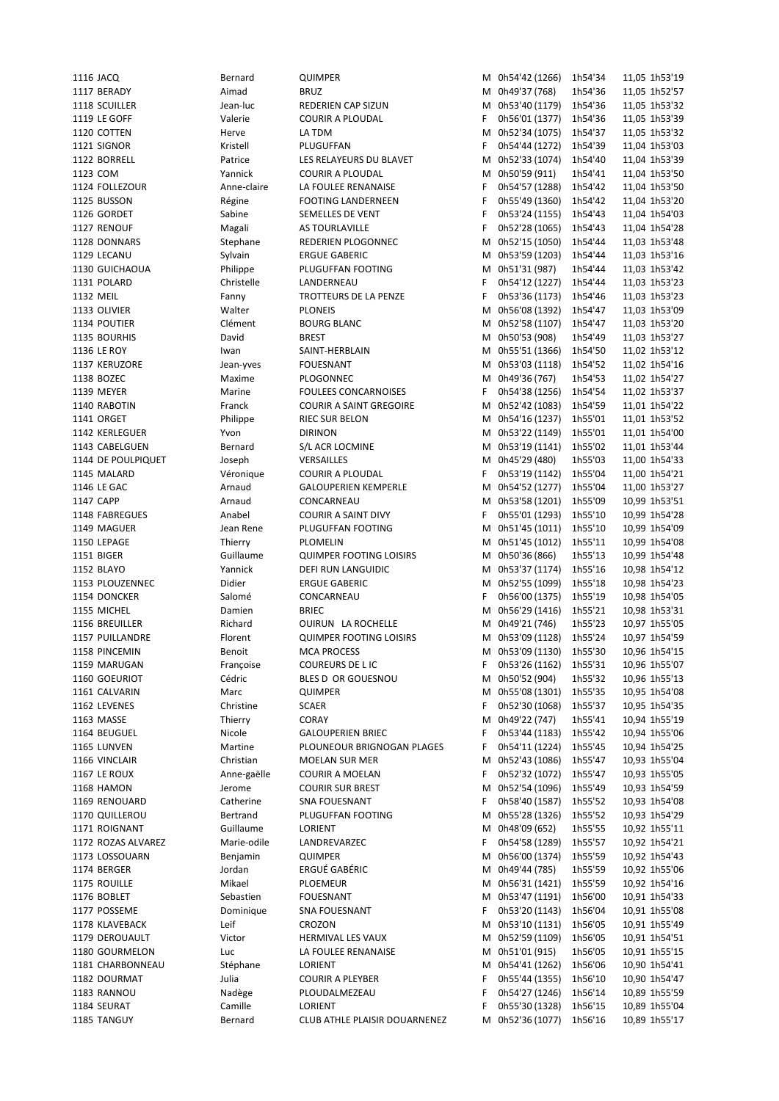1116 JACQ Bernard QUIMPER M 0h54'42 (1266) 1h54'34 11,05 1h53'19 1117 BERADY Aimad BRUZ M 0h49'37 (768) 1h54'36 11,05 1h52'57 1118 SCUILLER Jean-luc REDERIEN CAP SIZUN M 0h53'40 (1179) 1h54'36 11,05 1h53'32 1119 LE GOFF Valerie COURIR A PLOUDAL F 0h56'01 (1377) 1h54'36 11,05 1h53'39 1120 COTTEN Herve LA TDM M 0h52'34 (1075) 1h54'37 11,05 1h53'32 1121 SIGNOR Kristell PLUGUFFAN F 0h54'44 (1272) 1h54'39 11,04 1h53'03 1122 BORRELL Patrice LES RELAYEURS DU BLAVET M 0h52'33 (1074) 1h54'40 11,04 1h53'39 1123 COM Yannick COURIR A PLOUDAL M 0h50'59 (911) 1h54'41 11,04 1h53'50 1124 FOLLEZOUR Anne-claire LA FOULEE RENANAISE F 0h54'57 (1288) 1h54'42 11,04 1h53'50 1125 BUSSON Régine FOOTING LANDERNEEN F 0h55'49 (1360) 1h54'42 11,04 1h53'20 1126 GORDET Sabine SEMELLES DE VENT F 0h53'24 (1155) 1h54'43 11,04 1h54'03 1127 RENOUF Magali AS TOURLAVILLE F 0h52'28 (1065) 1h54'43 11,04 1h54'28 1128 DONNARS Stephane REDERIEN PLOGONNEC M 0h52'15 (1050) 1h54'44 11,03 1h53'48 1129 LECANU Sylvain ERGUE GABERIC M 0h53'59 (1203) 1h54'44 11,03 1h53'16 1130 GUICHAOUA Philippe PLUGUFFAN FOOTING M 0h51'31 (987) 1h54'44 11,03 1h53'42 1131 POLARD Christelle LANDERNEAU F 0h54'12 (1227) 1h54'44 11,03 1h53'23 1132 MEIL Fanny TROTTEURS DE LA PENZE F 0h53'36 (1173) 1h54'46 11,03 1h53'23 1133 OLIVIER Walter PLONEIS M 0h56'08 (1392) 1h54'47 11,03 1h53'09 1134 POUTIER Clément BOURG BLANC M 0h52'58 (1107) 1h54'47 11,03 1h53'20 1135 BOURHIS David BREST M 0h50'53 (908) 1h54'49 11,03 1h53'27 1136 LE ROY Iwan SAINT-HERBLAIN M 0h55'51 (1366) 1h54'50 11,02 1h53'12 1137 KERUZORE Jean-yves FOUESNANT M 0h53'03 (1118) 1h54'52 11,02 1h54'16 1138 BOZEC Maxime PLOGONNEC M 0h49'36 (767) 1h54'53 11,02 1h54'27 1139 MEYER Marine FOULEES CONCARNOISES F 0h54'38 (1256) 1h54'54 11,02 1h53'37 1140 RABOTIN Franck COURIR A SAINT GREGOIRE M 0h52'42 (1083) 1h54'59 11,01 1h54'22 1141 ORGET Philippe RIEC SUR BELON M 0h54'16 (1237) 1h55'01 11,01 1h53'52 1142 KERLEGUER Yvon DIRINON M 0h53'22 (1149) 1h55'01 11,01 1h54'00 1143 CABELGUEN Bernard S/L ACR LOCMINE M 0h53'19 (1141) 1h55'02 11,01 1h53'44 1144 DE POULPIQUET Joseph VERSAILLES M 0h45'29 (480) 1h55'03 11,00 1h54'33 1145 MALARD Véronique COURIR A PLOUDAL F 0h53'19 (1142) 1h55'04 11,00 1h54'21 1146 LE GAC Arnaud GALOUPERIEN KEMPERLE M 0h54'52 (1277) 1h55'04 11,00 1h53'27 1147 CAPP Arnaud CONCARNEAU M 0h53'58 (1201) 1h55'09 10,99 1h53'51 1148 FABREGUES Anabel COURIR A SAINT DIVY F 0h55'01 (1293) 1h55'10 10,99 1h54'28 1149 MAGUER Jean Rene PLUGUFFAN FOOTING M 0h51'45 (1011) 1h55'10 10,99 1h54'09 1150 LEPAGE Thierry PLOMELIN M 0h51'45 (1012) 1h55'11 10,99 1h54'08 1151 BIGER Guillaume QUIMPER FOOTING LOISIRS M 0h50'36 (866) 1h55'13 10,99 1h54'48 1152 BLAYO Yannick DEFI RUN LANGUIDIC M 0h53'37 (1174) 1h55'16 10,98 1h54'12 1153 PLOUZENNEC Didier ERGUE GABERIC M 0h52'55 (1099) 1h55'18 10,98 1h54'23 1154 DONCKER Salomé CONCARNEAU F 0h56'00 (1375) 1h55'19 10,98 1h54'05 1155 MICHEL Damien BRIEC M 0h56'29 (1416) 1h55'21 10,98 1h53'31 1156 BREUILLER Richard OUIRUN LA ROCHELLE M 0h49'21 (746) 1h55'23 10,97 1h55'05 1157 PUILLANDRE Florent QUIMPER FOOTING LOISIRS M 0h53'09 (1128) 1h55'24 10,97 1h54'59 1158 PINCEMIN **Benoit** MCA PROCESS MEXIC M 0h53'09 (1130) 1h55'30 10,96 1h54'15 1159 MARUGAN Françoise COUREURS DE L IC F 0h53'26 (1162) 1h55'31 10,96 1h55'07 1160 GOEURIOT Cédric BLES D OR GOUESNOU M 0h50'52 (904) 1h55'32 10,96 1h55'13 1161 CALVARIN Marc QUIMPER M 0h55'08 (1301) 1h55'35 10,95 1h54'08 1162 LEVENES Christine SCAER F 0h52'30 (1068) 1h55'37 10,95 1h54'35 1163 MASSE Thierry CORAY M 0h49'22 (747) 1h55'41 10,94 1h55'19 1164 BEUGUEL Nicole GALOUPERIEN BRIEC F 0h53'44 (1183) 1h55'42 10,94 1h55'06 1165 LUNVEN Martine PLOUNEOUR BRIGNOGAN PLAGES F 0h54'11 (1224) 1h55'45 10,94 1h54'25 1166 VINCLAIR Christian MOELAN SUR MER M 0h52'43 (1086) 1h55'47 10,93 1h55'04 1167 LE ROUX Anne-gaëlle COURIR A MOELAN F 0h52'32 (1072) 1h55'47 10,93 1h55'05 1168 HAMON Jerome COURIR SUR BREST M 0h52'54 (1096) 1h55'49 10,93 1h54'59 1169 RENOUARD Catherine SNA FOUESNANT F 0h58'40 (1587) 1h55'52 10,93 1h54'08 1170 QUILLEROU Bertrand PLUGUFFAN FOOTING M 0h55'28 (1326) 1h55'52 10,93 1h54'29 1171 ROIGNANT Guillaume LORIENT M 0h48'09 (652) 1h55'55 10,92 1h55'11 1172 ROZAS ALVAREZ Marie-odile LANDREVARZEC F 0h54'58 (1289) 1h55'57 10,92 1h54'21 1173 LOSSOUARN Benjamin QUIMPER M 0h56'00 (1374) 1h55'59 10,92 1h54'43 1174 BERGER Jordan ERGUÉ GABÉRIC M 0h49'44 (785) 1h55'59 10,92 1h55'06 1175 ROUILLE Mikael PLOEMEUR M 0h56'31 (1421) 1h55'59 10,92 1h54'16 1176 BOBLET Sebastien FOUESNANT M 0h53'47 (1191) 1h56'00 10,91 1h54'33 1177 POSSEME Dominique SNA FOUESNANT F 0h53'20 (1143) 1h56'04 10,91 1h55'08 1178 KLAVEBACK Leif CROZON M 0h53'10 (1131) 1h56'05 10,91 1h55'49 1179 DEROUAULT Victor HERMIVAL LES VAUX M 0h52'59 (1109) 1h56'05 10,91 1h54'51 1180 GOURMELON Luc LA FOULEE RENANAISE M 0h51'01 (915) 1h56'05 10,91 1h55'15 1181 CHARBONNEAU Stéphane LORIENT M 0h54'41 (1262) 1h56'06 10,90 1h54'41 1182 DOURMAT Julia COURIR A PLEYBER F 0h55'44 (1355) 1h56'10 10,90 1h54'47 1183 RANNOU Nadège PLOUDALMEZEAU F 0h54'27 (1246) 1h56'14 10,89 1h55'59 1184 SEURAT Camille LORIENT F 0h55'30 (1328) 1h56'15 10,89 1h55'04 1185 TANGUY Bernard CLUB ATHLE PLAISIR DOUARNENEZ M 0h52'36 (1077) 1h56'16 10,89 1h55'17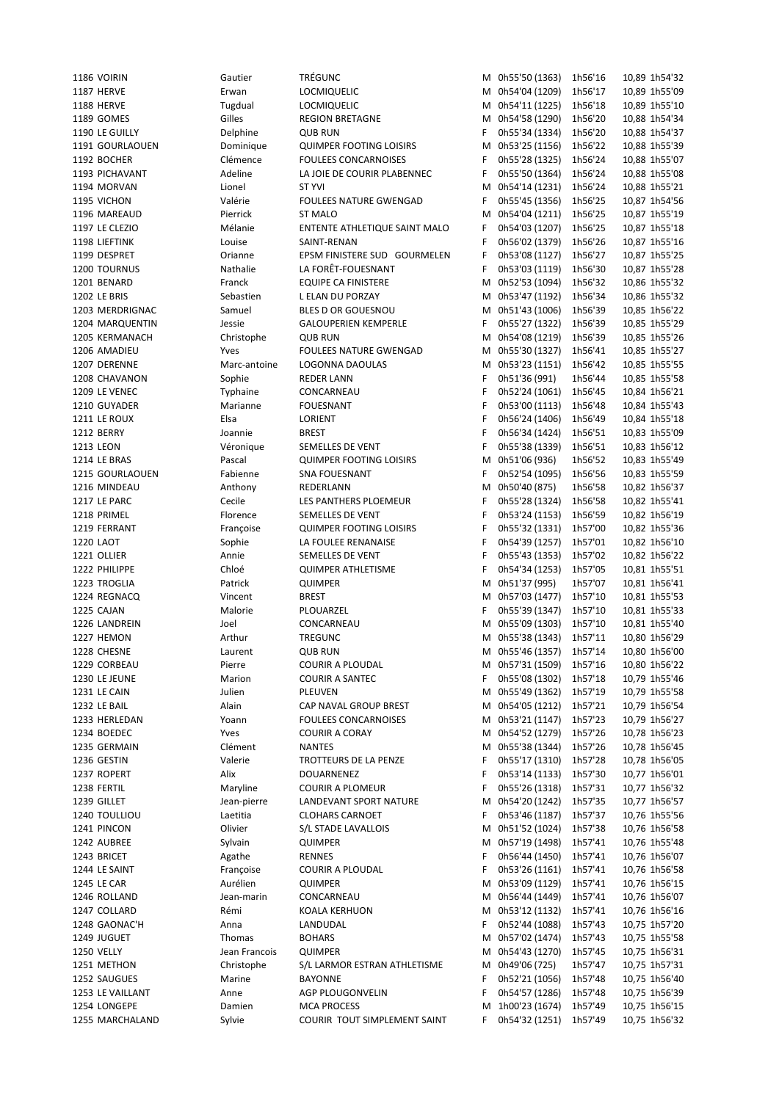| 1186 VOIRIN           | Gautier       | <b>TRÉGUNC</b>                 |   | M 0h55'50 (1363) | 1h56'16 | 10,89 1h54'32 |
|-----------------------|---------------|--------------------------------|---|------------------|---------|---------------|
| <b>1187 HERVE</b>     | Erwan         | <b>LOCMIQUELIC</b>             |   | M 0h54'04 (1209) | 1h56'17 | 10,89 1h55'09 |
|                       |               |                                |   |                  |         |               |
| <b>1188 HERVE</b>     | Tugdual       | <b>LOCMIQUELIC</b>             |   | M 0h54'11 (1225) | 1h56'18 | 10,89 1h55'10 |
| 1189 GOMES            | Gilles        | <b>REGION BRETAGNE</b>         |   | M 0h54'58 (1290) | 1h56'20 | 10,88 1h54'34 |
| 1190 LE GUILLY        | Delphine      | <b>QUB RUN</b>                 | F | 0h55'34 (1334)   | 1h56'20 | 10,88 1h54'37 |
| 1191 GOURLAOUEN       | Dominique     | <b>QUIMPER FOOTING LOISIRS</b> |   | M 0h53'25 (1156) | 1h56'22 | 10,88 1h55'39 |
| 1192 BOCHER           | Clémence      | <b>FOULEES CONCARNOISES</b>    | F | 0h55'28 (1325)   | 1h56'24 |               |
|                       |               |                                |   |                  |         | 10,88 1h55'07 |
| 1193 PICHAVANT        | Adeline       | LA JOIE DE COURIR PLABENNEC    | F | 0h55'50 (1364)   | 1h56'24 | 10,88 1h55'08 |
| 1194 MORVAN           | Lionel        | <b>ST YVI</b>                  | М | 0h54'14 (1231)   | 1h56'24 | 10,88 1h55'21 |
| 1195 VICHON           | Valérie       | <b>FOULEES NATURE GWENGAD</b>  | F | 0h55'45 (1356)   | 1h56'25 | 10,87 1h54'56 |
| 1196 MAREAUD          | Pierrick      | ST MALO                        | М | 0h54'04 (1211)   | 1h56'25 | 10,87 1h55'19 |
|                       |               |                                |   |                  |         |               |
| <b>1197 LE CLEZIO</b> | Mélanie       | ENTENTE ATHLETIQUE SAINT MALO  | F | 0h54'03 (1207)   | 1h56'25 | 10,87 1h55'18 |
| 1198 LIEFTINK         | Louise        | SAINT-RENAN                    | F | 0h56'02 (1379)   | 1h56'26 | 10,87 1h55'16 |
| 1199 DESPRET          | Orianne       | EPSM FINISTERE SUD GOURMELEN   | F | 0h53'08 (1127)   | 1h56'27 | 10,87 1h55'25 |
| 1200 TOURNUS          | Nathalie      | LA FORÊT-FOUESNANT             | F | 0h53'03 (1119)   | 1h56'30 | 10,87 1h55'28 |
| 1201 BENARD           | Franck        | <b>EQUIPE CA FINISTERE</b>     | М | 0h52'53 (1094)   | 1h56'32 | 10,86 1h55'32 |
|                       |               |                                |   |                  |         |               |
| <b>1202 LE BRIS</b>   | Sebastien     | L ELAN DU PORZAY               |   | M 0h53'47 (1192) | 1h56'34 | 10,86 1h55'32 |
| 1203 MERDRIGNAC       | Samuel        | BLES D OR GOUESNOU             |   | M 0h51'43 (1006) | 1h56'39 | 10,85 1h56'22 |
| 1204 MARQUENTIN       | Jessie        | <b>GALOUPERIEN KEMPERLE</b>    | F | 0h55'27 (1322)   | 1h56'39 | 10,85 1h55'29 |
| 1205 KERMANACH        | Christophe    | <b>QUB RUN</b>                 |   | M 0h54'08 (1219) | 1h56'39 | 10,85 1h55'26 |
|                       |               |                                |   |                  |         |               |
| 1206 AMADIEU          | Yves          | <b>FOULEES NATURE GWENGAD</b>  | М | 0h55'30 (1327)   | 1h56'41 | 10,85 1h55'27 |
| 1207 DERENNE          | Marc-antoine  | LOGONNA DAOULAS                |   | M 0h53'23 (1151) | 1h56'42 | 10,85 1h55'55 |
| 1208 CHAVANON         | Sophie        | <b>REDER LANN</b>              | F | 0h51'36 (991)    | 1h56'44 | 10,85 1h55'58 |
| 1209 LE VENEC         | Typhaine      | CONCARNEAU                     | F | 0h52'24 (1061)   | 1h56'45 | 10,84 1h56'21 |
| 1210 GUYADER          | Marianne      | <b>FOUESNANT</b>               | F | 0h53'00 (1113)   | 1h56'48 | 10,84 1h55'43 |
|                       |               |                                |   |                  |         |               |
| 1211 LE ROUX          | Elsa          | LORIENT                        | F | 0h56'24 (1406)   | 1h56'49 | 10,84 1h55'18 |
| 1212 BERRY            | Joannie       | <b>BREST</b>                   | F | 0h56'34 (1424)   | 1h56'51 | 10,83 1h55'09 |
| 1213 LEON             | Véronique     | SEMELLES DE VENT               | F | 0h55'38 (1339)   | 1h56'51 | 10,83 1h56'12 |
| 1214 LE BRAS          | Pascal        | <b>QUIMPER FOOTING LOISIRS</b> | M | 0h51'06 (936)    | 1h56'52 | 10,83 1h55'49 |
|                       |               |                                |   |                  |         |               |
| 1215 GOURLAOUEN       | Fabienne      | SNA FOUESNANT                  | F | 0h52'54 (1095)   | 1h56'56 | 10,83 1h55'59 |
| 1216 MINDEAU          | Anthony       | REDERLANN                      | M | 0h50'40 (875)    | 1h56'58 | 10,82 1h56'37 |
| 1217 LE PARC          | Cecile        | LES PANTHERS PLOEMEUR          | F | 0h55'28 (1324)   | 1h56'58 | 10,82 1h55'41 |
| 1218 PRIMEL           | Florence      | SEMELLES DE VENT               | F | 0h53'24 (1153)   | 1h56'59 | 10,82 1h56'19 |
| 1219 FERRANT          | Françoise     | <b>QUIMPER FOOTING LOISIRS</b> | F | 0h55'32 (1331)   | 1h57'00 | 10,82 1h55'36 |
|                       |               |                                |   |                  |         |               |
| 1220 LAOT             | Sophie        | LA FOULEE RENANAISE            | F | 0h54'39 (1257)   | 1h57'01 | 10,82 1h56'10 |
| 1221 OLLIER           | Annie         | SEMELLES DE VENT               | F | 0h55'43 (1353)   | 1h57'02 | 10,82 1h56'22 |
| 1222 PHILIPPE         | Chloé         | <b>QUIMPER ATHLETISME</b>      | F | 0h54'34 (1253)   | 1h57'05 | 10,81 1h55'51 |
| 1223 TROGLIA          | Patrick       | QUIMPER                        |   | M 0h51'37 (995)  | 1h57'07 | 10,81 1h56'41 |
| 1224 REGNACQ          |               |                                |   |                  |         |               |
|                       | Vincent       | <b>BREST</b>                   | М | 0h57'03 (1477)   | 1h57'10 | 10,81 1h55'53 |
| 1225 CAJAN            | Malorie       | PLOUARZEL                      | F | 0h55'39 (1347)   | 1h57'10 | 10,81 1h55'33 |
| 1226 LANDREIN         | Joel          | CONCARNEAU                     | М | 0h55'09 (1303)   | 1h57'10 | 10,81 1h55'40 |
| 1227 HEMON            | Arthur        | <b>TREGUNC</b>                 |   | M 0h55'38 (1343) | 1h57'11 | 10,80 1h56'29 |
| 1228 CHESNE           | Laurent       | <b>QUB RUN</b>                 |   | M 0h55'46 (1357) | 1h57'14 | 10,80 1h56'00 |
|                       |               |                                |   |                  |         |               |
| 1229 CORBEAU          | Pierre        | <b>COURIR A PLOUDAL</b>        |   | M 0h57'31 (1509) | 1h57'16 | 10,80 1h56'22 |
| 1230 LE JEUNE         | Marion        | <b>COURIR A SANTEC</b>         | F | 0h55'08 (1302)   | 1h57'18 | 10,79 1h55'46 |
| 1231 LE CAIN          | Julien        | PLEUVEN                        |   | M 0h55'49 (1362) | 1h57'19 | 10,79 1h55'58 |
| 1232 LE BAIL          | Alain         | CAP NAVAL GROUP BREST          |   | M 0h54'05 (1212) | 1h57'21 | 10,79 1h56'54 |
| 1233 HERLEDAN         | Yoann         | <b>FOULEES CONCARNOISES</b>    | м | 0h53'21 (1147)   | 1h57'23 | 10,79 1h56'27 |
|                       |               |                                |   |                  |         |               |
| 1234 BOEDEC           | Yves          | <b>COURIR A CORAY</b>          |   | M 0h54'52 (1279) | 1h57'26 | 10,78 1h56'23 |
| 1235 GERMAIN          | Clément       | <b>NANTES</b>                  | M | 0h55'38 (1344)   | 1h57'26 | 10,78 1h56'45 |
| 1236 GESTIN           | Valerie       | TROTTEURS DE LA PENZE          | F | 0h55'17 (1310)   | 1h57'28 | 10,78 1h56'05 |
| 1237 ROPERT           | Alix          | DOUARNENEZ                     | F | 0h53'14 (1133)   | 1h57'30 | 10,77 1h56'01 |
|                       | Maryline      | <b>COURIR A PLOMEUR</b>        | F |                  |         |               |
| 1238 FERTIL           |               |                                |   | 0h55'26 (1318)   | 1h57'31 | 10,77 1h56'32 |
| 1239 GILLET           | Jean-pierre   | LANDEVANT SPORT NATURE         | м | 0h54'20 (1242)   | 1h57'35 | 10,77 1h56'57 |
| 1240 TOULLIOU         | Laetitia      | <b>CLOHARS CARNOET</b>         | F | 0h53'46 (1187)   | 1h57'37 | 10,76 1h55'56 |
| 1241 PINCON           | Olivier       | S/L STADE LAVALLOIS            |   | M 0h51'52 (1024) | 1h57'38 | 10,76 1h56'58 |
| 1242 AUBREE           | Sylvain       | QUIMPER                        | м | 0h57'19 (1498)   | 1h57'41 | 10,76 1h55'48 |
|                       |               |                                |   |                  |         |               |
| 1243 BRICET           | Agathe        | <b>RENNES</b>                  | F | 0h56'44 (1450)   | 1h57'41 | 10,76 1h56'07 |
| 1244 LE SAINT         | Françoise     | <b>COURIR A PLOUDAL</b>        | F | 0h53'26 (1161)   | 1h57'41 | 10,76 1h56'58 |
| 1245 LE CAR           | Aurélien      | QUIMPER                        | М | 0h53'09 (1129)   | 1h57'41 | 10,76 1h56'15 |
| 1246 ROLLAND          | Jean-marin    | CONCARNEAU                     |   | M 0h56'44 (1449) | 1h57'41 | 10,76 1h56'07 |
|                       |               |                                |   |                  |         |               |
| 1247 COLLARD          | Rémi          | KOALA KERHUON                  |   | M 0h53'12 (1132) | 1h57'41 | 10,76 1h56'16 |
| 1248 GAONAC'H         | Anna          | LANDUDAL                       | F | 0h52'44 (1088)   | 1h57'43 | 10,75 1h57'20 |
| 1249 JUGUET           | Thomas        | <b>BOHARS</b>                  | M | 0h57'02 (1474)   | 1h57'43 | 10,75 1h55'58 |
| <b>1250 VELLY</b>     | Jean Francois | QUIMPER                        |   | M 0h54'43 (1270) | 1h57'45 | 10,75 1h56'31 |
| 1251 METHON           | Christophe    | S/L LARMOR ESTRAN ATHLETISME   | М | 0h49'06 (725)    | 1h57'47 | 10,75 1h57'31 |
|                       |               |                                |   |                  |         |               |
| 1252 SAUGUES          | Marine        | <b>BAYONNE</b>                 | F | 0h52'21 (1056)   | 1h57'48 | 10,75 1h56'40 |
|                       |               |                                |   |                  | 1h57'48 | 10,75 1h56'39 |
| 1253 LE VAILLANT      | Anne          | AGP PLOUGONVELIN               | F | 0h54'57 (1286)   |         |               |
| 1254 LONGEPE          | Damien        | <b>MCA PROCESS</b>             |   | M 1h00'23 (1674) | 1h57'49 | 10,75 1h56'15 |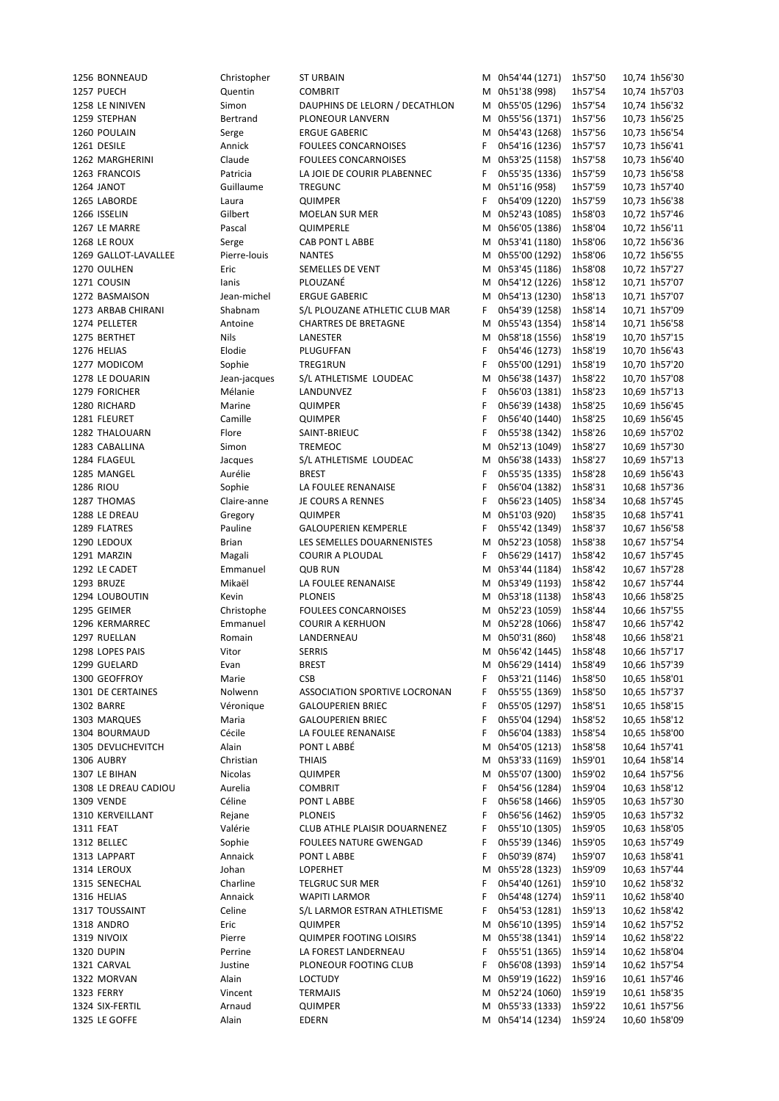| 1256 BONNEAUD        | Christopher  | <b>ST URBAIN</b>               |    | M 0h54'44 (1271) | 1h57'50 | 10,74 1h56'30 |
|----------------------|--------------|--------------------------------|----|------------------|---------|---------------|
| 1257 PUECH           | Quentin      | <b>COMBRIT</b>                 |    | M 0h51'38 (998)  | 1h57'54 | 10,74 1h57'03 |
| 1258 LE NINIVEN      | Simon        | DAUPHINS DE LELORN / DECATHLON |    | M 0h55'05 (1296) | 1h57'54 | 10,74 1h56'32 |
| 1259 STEPHAN         | Bertrand     | PLONEOUR LANVERN               |    | M 0h55'56 (1371) | 1h57'56 | 10,73 1h56'25 |
|                      |              |                                |    |                  |         |               |
| 1260 POULAIN         | Serge        | <b>ERGUE GABERIC</b>           |    | M 0h54'43 (1268) | 1h57'56 | 10,73 1h56'54 |
| 1261 DESILE          | Annick       | <b>FOULEES CONCARNOISES</b>    | F. | 0h54'16 (1236)   | 1h57'57 | 10,73 1h56'41 |
| 1262 MARGHERINI      | Claude       | <b>FOULEES CONCARNOISES</b>    |    | M 0h53'25 (1158) | 1h57'58 | 10,73 1h56'40 |
| 1263 FRANCOIS        | Patricia     | LA JOIE DE COURIR PLABENNEC    | F  | 0h55'35 (1336)   | 1h57'59 | 10,73 1h56'58 |
| 1264 JANOT           | Guillaume    | TREGUNC                        | М  | 0h51'16 (958)    | 1h57'59 | 10,73 1h57'40 |
| 1265 LABORDE         | Laura        | QUIMPER                        | F. | 0h54'09 (1220)   | 1h57'59 | 10,73 1h56'38 |
| 1266 ISSELIN         | Gilbert      | MOELAN SUR MER                 | м  | 0h52'43 (1085)   | 1h58'03 | 10,72 1h57'46 |
| 1267 LE MARRE        | Pascal       | QUIMPERLE                      |    | M 0h56'05 (1386) | 1h58'04 | 10,72 1h56'11 |
| 1268 LE ROUX         |              |                                |    | M 0h53'41 (1180) |         |               |
|                      | Serge        | CAB PONT L ABBE                |    |                  | 1h58'06 | 10,72 1h56'36 |
| 1269 GALLOT-LAVALLEE | Pierre-louis | <b>NANTES</b>                  |    | M 0h55'00 (1292) | 1h58'06 | 10,72 1h56'55 |
| 1270 OULHEN          | Eric         | SEMELLES DE VENT               |    | M 0h53'45 (1186) | 1h58'08 | 10,72 1h57'27 |
| 1271 COUSIN          | lanis        | PLOUZANÉ                       |    | M 0h54'12 (1226) | 1h58'12 | 10,71 1h57'07 |
| 1272 BASMAISON       | Jean-michel  | <b>ERGUE GABERIC</b>           |    | M 0h54'13 (1230) | 1h58'13 | 10,71 1h57'07 |
| 1273 ARBAB CHIRANI   | Shabnam      | S/L PLOUZANE ATHLETIC CLUB MAR | F. | 0h54'39 (1258)   | 1h58'14 | 10,71 1h57'09 |
| 1274 PELLETER        | Antoine      | <b>CHARTRES DE BRETAGNE</b>    |    | M 0h55'43 (1354) | 1h58'14 | 10,71 1h56'58 |
| 1275 BERTHET         | Nils         | LANESTER                       |    | M 0h58'18 (1556) | 1h58'19 | 10,70 1h57'15 |
|                      |              |                                |    |                  |         |               |
| 1276 HELIAS          | Elodie       | PLUGUFFAN                      | F  | 0h54'46 (1273)   | 1h58'19 | 10,70 1h56'43 |
| 1277 MODICOM         | Sophie       | TREG1RUN                       | F  | 0h55'00 (1291)   | 1h58'19 | 10,70 1h57'20 |
| 1278 LE DOUARIN      | Jean-jacques | S/L ATHLETISME LOUDEAC         | M  | 0h56'38 (1437)   | 1h58'22 | 10,70 1h57'08 |
| 1279 FORICHER        | Mélanie      | LANDUNVEZ                      | F  | 0h56'03 (1381)   | 1h58'23 | 10,69 1h57'13 |
| 1280 RICHARD         | Marine       | <b>QUIMPER</b>                 | F  | 0h56'39 (1438)   | 1h58'25 | 10,69 1h56'45 |
| 1281 FLEURET         | Camille      | QUIMPER                        | F  | 0h56'40 (1440)   | 1h58'25 | 10,69 1h56'45 |
| 1282 THALOUARN       | Flore        | SAINT-BRIEUC                   | F  | 0h55'38 (1342)   | 1h58'26 | 10,69 1h57'02 |
| 1283 CABALLINA       | Simon        | TREMEOC                        |    | M 0h52'13 (1049) | 1h58'27 | 10,69 1h57'30 |
|                      |              |                                |    |                  |         |               |
| 1284 FLAGEUL         | Jacques      | S/L ATHLETISME LOUDEAC         |    | M 0h56'38 (1433) | 1h58'27 | 10,69 1h57'13 |
| 1285 MANGEL          | Aurélie      | <b>BREST</b>                   | F  | 0h55'35 (1335)   | 1h58'28 | 10,69 1h56'43 |
| 1286 RIOU            | Sophie       | LA FOULEE RENANAISE            | F  | 0h56'04 (1382)   | 1h58'31 | 10,68 1h57'36 |
| 1287 THOMAS          | Claire-anne  | JE COURS A RENNES              | F  | 0h56'23 (1405)   | 1h58'34 | 10,68 1h57'45 |
| 1288 LE DREAU        | Gregory      | <b>QUIMPER</b>                 | М  | 0h51'03 (920)    | 1h58'35 | 10,68 1h57'41 |
| 1289 FLATRES         | Pauline      | <b>GALOUPERIEN KEMPERLE</b>    | F. | 0h55'42 (1349)   | 1h58'37 | 10,67 1h56'58 |
| 1290 LEDOUX          | <b>Brian</b> | LES SEMELLES DOUARNENISTES     | М  | 0h52'23 (1058)   | 1h58'38 | 10,67 1h57'54 |
| 1291 MARZIN          | Magali       | <b>COURIR A PLOUDAL</b>        | F. | 0h56'29 (1417)   | 1h58'42 | 10,67 1h57'45 |
| 1292 LE CADET        | Emmanuel     | <b>QUB RUN</b>                 |    | M 0h53'44 (1184) | 1h58'42 | 10,67 1h57'28 |
|                      |              |                                |    |                  |         |               |
| 1293 BRUZE           | Mikaël       | LA FOULEE RENANAISE            |    | M 0h53'49 (1193) | 1h58'42 | 10,67 1h57'44 |
| 1294 LOUBOUTIN       | Kevin        | <b>PLONEIS</b>                 |    | M 0h53'18 (1138) | 1h58'43 | 10,66 1h58'25 |
| 1295 GEIMER          | Christophe   | <b>FOULEES CONCARNOISES</b>    |    | M 0h52'23 (1059) | 1h58'44 | 10,66 1h57'55 |
| 1296 KERMARREC       | Emmanuel     | <b>COURIR A KERHUON</b>        |    | M 0h52'28 (1066) | 1h58'47 | 10,66 1h57'42 |
| 1297 RUELLAN         | Romain       | LANDERNEAU                     |    | M 0h50'31 (860)  | 1h58'48 | 10,66 1h58'21 |
| 1298 LOPES PAIS      | Vitor        | <b>SERRIS</b>                  |    | M 0h56'42 (1445) | 1h58'48 | 10,66 1h57'17 |
| 1299 GUELARD         | Evan         | <b>BREST</b>                   |    | M 0h56'29 (1414) | 1h58'49 | 10,66 1h57'39 |
| 1300 GEOFFROY        | Marie        | <b>CSB</b>                     | F  | 0h53'21 (1146)   | 1h58'50 | 10,65 1h58'01 |
|                      |              |                                |    |                  |         |               |
| 1301 DE CERTAINES    | Nolwenn      | ASSOCIATION SPORTIVE LOCRONAN  | F  | 0h55'55 (1369)   | 1h58'50 | 10,65 1h57'37 |
| 1302 BARRE           | Véronique    | <b>GALOUPERIEN BRIEC</b>       | F  | 0h55'05 (1297)   | 1h58'51 | 10,65 1h58'15 |
| 1303 MARQUES         | Maria        | <b>GALOUPERIEN BRIEC</b>       | F  | 0h55'04 (1294)   | 1h58'52 | 10,65 1h58'12 |
| 1304 BOURMAUD        | Cécile       | LA FOULEE RENANAISE            | F  | 0h56'04 (1383)   | 1h58'54 | 10,65 1h58'00 |
| 1305 DEVLICHEVITCH   | Alain        | PONT L ABBÉ                    | м  | 0h54'05 (1213)   | 1h58'58 | 10,64 1h57'41 |
| 1306 AUBRY           | Christian    | THIAIS                         | М  | 0h53'33 (1169)   | 1h59'01 | 10,64 1h58'14 |
| 1307 LE BIHAN        | Nicolas      | QUIMPER                        |    | M 0h55'07 (1300) | 1h59'02 | 10,64 1h57'56 |
| 1308 LE DREAU CADIOU | Aurelia      | <b>COMBRIT</b>                 | F  | 0h54'56 (1284)   | 1h59'04 | 10,63 1h58'12 |
|                      |              |                                |    |                  |         |               |
| 1309 VENDE           | Céline       | PONT L ABBE                    | F  | 0h56'58 (1466)   | 1h59'05 | 10,63 1h57'30 |
| 1310 KERVEILLANT     | Rejane       | <b>PLONEIS</b>                 | F  | 0h56'56 (1462)   | 1h59'05 | 10,63 1h57'32 |
| 1311 FEAT            | Valérie      | CLUB ATHLE PLAISIR DOUARNENEZ  | F  | 0h55'10 (1305)   | 1h59'05 | 10,63 1h58'05 |
| 1312 BELLEC          | Sophie       | <b>FOULEES NATURE GWENGAD</b>  | F  | 0h55'39 (1346)   | 1h59'05 | 10,63 1h57'49 |
| 1313 LAPPART         | Annaick      | PONT L ABBE                    | F  | 0h50'39 (874)    | 1h59'07 | 10,63 1h58'41 |
| 1314 LEROUX          | Johan        | LOPERHET                       | M  | 0h55'28 (1323)   | 1h59'09 | 10,63 1h57'44 |
| 1315 SENECHAL        | Charline     | <b>TELGRUC SUR MER</b>         | F  | 0h54'40 (1261)   | 1h59'10 | 10,62 1h58'32 |
| 1316 HELIAS          | Annaick      | <b>WAPITI LARMOR</b>           | F  | 0h54'48 (1274)   | 1h59'11 | 10,62 1h58'40 |
|                      |              |                                |    |                  |         |               |
| 1317 TOUSSAINT       | Celine       | S/L LARMOR ESTRAN ATHLETISME   | F  | 0h54'53 (1281)   | 1h59'13 | 10,62 1h58'42 |
| 1318 ANDRO           | Eric         | QUIMPER                        | м  | 0h56'10 (1395)   | 1h59'14 | 10,62 1h57'52 |
| 1319 NIVOIX          | Pierre       | <b>QUIMPER FOOTING LOISIRS</b> | М  | 0h55'38 (1341)   | 1h59'14 | 10,62 1h58'22 |
| 1320 DUPIN           | Perrine      | LA FOREST LANDERNEAU           | F  | 0h55'51 (1365)   | 1h59'14 | 10,62 1h58'04 |
| 1321 CARVAL          | Justine      | PLONEOUR FOOTING CLUB          | F  | 0h56'08 (1393)   | 1h59'14 | 10,62 1h57'54 |
| 1322 MORVAN          | Alain        | <b>LOCTUDY</b>                 | M  | 0h59'19 (1622)   | 1h59'16 | 10,61 1h57'46 |
| 1323 FERRY           | Vincent      | TERMAJIS                       |    | M 0h52'24 (1060) | 1h59'19 | 10,61 1h58'35 |
| 1324 SIX-FERTIL      | Arnaud       | QUIMPER                        | м  | 0h55'33 (1333)   | 1h59'22 | 10,61 1h57'56 |
|                      |              |                                |    |                  |         |               |
| 1325 LE GOFFE        | Alain        | EDERN                          |    | M 0h54'14 (1234) | 1h59'24 | 10,60 1h58'09 |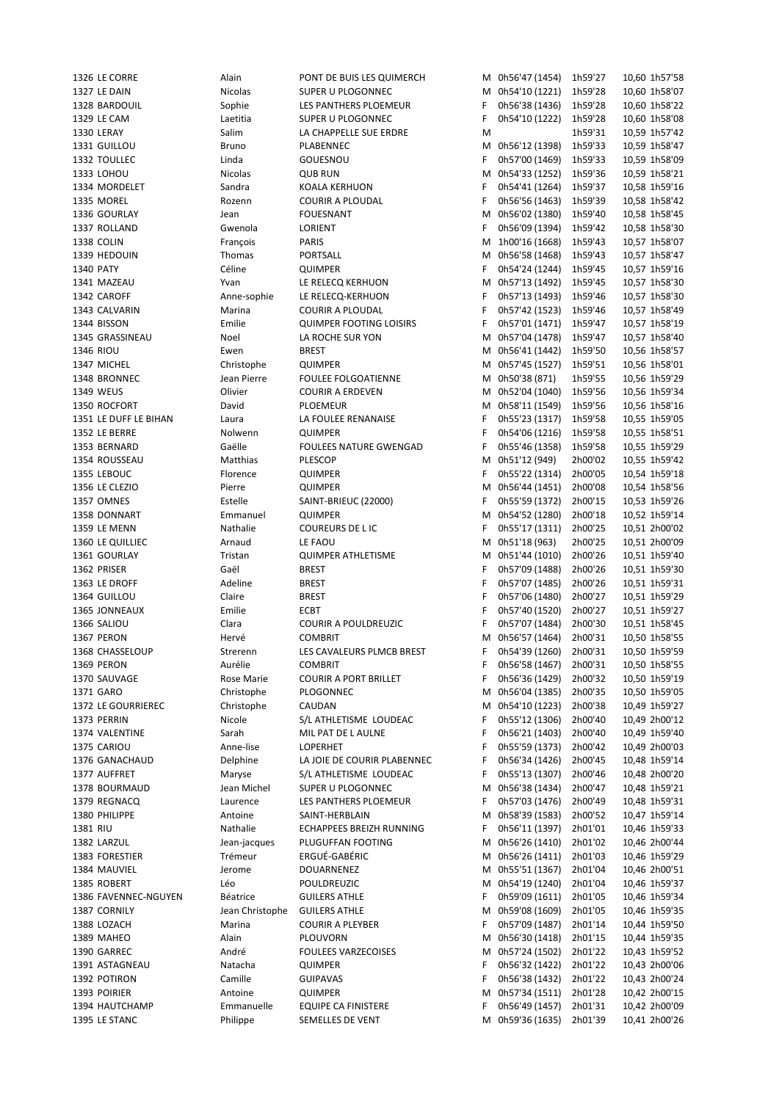1326 LE CORRE Alain PONT DE BUIS LES QUIMERCH M 0h56'47 (1454) 1h59'27 10,60 1h57'58 1327 LE DAIN Nicolas SUPER U PLOGONNEC M 0h54'10 (1221) 1h59'28 10,60 1h58'07 1328 BARDOUIL Sophie LES PANTHERS PLOEMEUR F 0h56'38 (1436) 1h59'28 10,60 1h58'22 1329 LE CAM Laetitia SUPER U PLOGONNEC F 0h54'10 (1222) 1h59'28 10,60 1h58'08 1330 LERAY Salim LA CHAPPELLE SUE ERDRE M 1h59'31 10,59 1h57'42 1331 GUILLOU Bruno PLABENNEC M 0h56'12 (1398) 1h59'33 10,59 1h58'47 1332 TOULLEC Linda GOUESNOU F 0h57'00 (1469) 1h59'33 10,59 1h58'09 1333 LOHOU Nicolas QUB RUN M 0h54'33 (1252) 1h59'36 10,59 1h58'21 1334 MORDELET Sandra KOALA KERHUON F 0h54'41 (1264) 1h59'37 10,58 1h59'16 1335 MOREL Rozenn COURIR A PLOUDAL F 0h56'56 (1463) 1h59'39 10,58 1h58'42 1336 GOURLAY Jean FOUESNANT M 0h56'02 (1380) 1h59'40 10,58 1h58'45 1337 ROLLAND Gwenola LORIENT F 0h56'09 (1394) 1h59'42 10,58 1h58'30 1338 COLIN François PARIS M 1h00'16 (1668) 1h59'43 10,57 1h58'07 1339 HEDOUIN Thomas PORTSALL M 0h56'58 (1468) 1h59'43 10,57 1h58'47 1340 PATY Céline QUIMPER F 0h54'24 (1244) 1h59'45 10,57 1h59'16 1341 MAZEAU Yvan LE RELECQ KERHUON M 0h57'13 (1492) 1h59'45 10,57 1h58'30 1342 CAROFF Anne-sophie LE RELECQ-KERHUON F 0h57'13 (1493) 1h59'46 10,57 1h58'30 1343 CALVARIN Marina COURIR A PLOUDAL F 0h57'42 (1523) 1h59'46 10,57 1h58'49 1344 BISSON Emilie QUIMPER FOOTING LOISIRS F 0h57'01 (1471) 1h59'47 10,57 1h58'19 1345 GRASSINEAU Noel LA ROCHE SUR YON M 0h57'04 (1478) 1h59'47 10,57 1h58'40 1346 RIOU Ewen BREST M 0h56'41 (1442) 1h59'50 10,56 1h58'57 1347 MICHEL Christophe QUIMPER M 0h57'45 (1527) 1h59'51 10,56 1h58'01 1348 BRONNEC Jean Pierre FOULEE FOLGOATIENNE M 0h50'38 (871) 1h59'55 10,56 1h59'29 1349 WEUS Olivier COURIR A ERDEVEN M 0h52'04 (1040) 1h59'56 10,56 1h59'34 1350 ROCFORT David PLOEMEUR M 0h58'11 (1549) 1h59'56 10,56 1h58'16 1351 LE DUFF LE BIHAN Laura LA FOULEE RENANAISE F 0h55'23 (1317) 1h59'58 10,55 1h59'05 1352 LE BERRE Nolwenn QUIMPER F 0h54'06 (1216) 1h59'58 10,55 1h58'51 1353 BERNARD Gaëlle FOULEES NATURE GWENGAD F 0h55'46 (1358) 1h59'58 10,55 1h59'29 1354 ROUSSEAU Matthias PLESCOP M 0h51'12 (949) 2h00'02 10,55 1h59'42 1355 LEBOUC Florence QUIMPER F 0h55'22 (1314) 2h00'05 10,54 1h59'18 1356 LE CLEZIO Pierre QUIMPER M 0h56'44 (1451) 2h00'08 10,54 1h58'56 1357 OMNES Estelle SAINT-BRIEUC (22000) F 0h55'59 (1372) 2h00'15 10,53 1h59'26 1358 DONNART Emmanuel QUIMPER M 0h54'52 (1280) 2h00'18 10,52 1h59'14 1359 LE MENN Nathalie COUREURS DE L IC F 0h55'17 (1311) 2h00'25 10,51 2h00'02 1360 LE QUILLIEC Arnaud LE FAOU M 0h51'18 (963) 2h00'25 10,51 2h00'09 1361 GOURLAY Tristan QUIMPER ATHLETISME M 0h51'44 (1010) 2h00'26 10,51 1h59'40 1362 PRISER Gaël BREST F 0h57'09 (1488) 2h00'26 10,51 1h59'30 1363 LE DROFF Adeline BREST F 0h57'07 (1485) 2h00'26 10,51 1h59'31 1364 GUILLOU Claire BREST F 0h57'06 (1480) 2h00'27 10,51 1h59'29 1365 JONNEAUX Emilie ECBT F 0h57'40 (1520) 2h00'27 10,51 1h59'27 1366 SALIOU Clara COURIR A POULDREUZIC F 0h57'07 (1484) 2h00'30 10,51 1h58'45 1367 PERON Hervé COMBRIT M 0h56'57 (1464) 2h00'31 10,50 1h58'55 1368 CHASSELOUP Strerenn LES CAVALEURS PLMCB BREST F 0h54'39 (1260) 2h00'31 10,50 1h59'59<br>1369 PERON 10,50 1h58'55 COMBRIT COMBRIT F 0h56'58 (1467) 2h00'31 10,50 1h58'55 1369 PERON Aurélie COMBRIT F 0h56'58 (1467) 2h00'31 10,50 1h58'55 1370 SAUVAGE Rose Marie COURIR A PORT BRILLET F 0h56'36 (1429) 2h00'32 10,50 1h59'19 1371 GARO Christophe PLOGONNEC M 0h56'04 (1385) 2h00'35 10,50 1h59'05 1372 LE GOURRIEREC Christophe CAUDAN M 0h54'10 (1223) 2h00'38 10,49 1h59'27 1373 PERRIN Nicole S/L ATHLETISME LOUDEAC F 0h55'12 (1306) 2h00'40 10,49 2h00'12 1374 VALENTINE Sarah MIL PAT DE L AULNE F 0h56'21 (1403) 2h00'40 10,49 1h59'40 1375 CARIOU **Anne-lise** LOPERHET **F 0h55'59 (1373)** 2h00'42 10,49 2h00'03 1376 GANACHAUD Delphine LA JOIE DE COURIR PLABENNEC F 0h56'34 (1426) 2h00'45 10,48 1h59'14 1377 AUFFRET Maryse S/L ATHLETISME LOUDEAC F 0h55'13 (1307) 2h00'46 10,48 2h00'20 1378 BOURMAUD Jean Michel SUPER U PLOGONNEC M 0h56'38 (1434) 2h00'47 10,48 1h59'21 1379 REGNACQ Laurence LES PANTHERS PLOEMEUR F 0h57'03 (1476) 2h00'49 10,48 1h59'31 1380 PHILIPPE Antoine SAINT-HERBLAIN M 0h58'39 (1583) 2h00'52 10,47 1h59'14 1381 RIU Nathalie ECHAPPEES BREIZH RUNNING F 0h56'11 (1397) 2h01'01 10,46 1h59'33 1382 LARZUL Jean-jacques PLUGUFFAN FOOTING M 0h56'26 (1410) 2h01'02 10,46 2h00'44 1383 FORESTIER Trémeur ERGUÉ-GABÉRIC M 0h56'26 (1411) 2h01'03 10,46 1h59'29 1384 MAUVIEL Jerome DOUARNENEZ M 0h55'51 (1367) 2h01'04 10,46 2h00'51 1385 ROBERT Léo POULDREUZIC M 0h54'19 (1240) 2h01'04 10,46 1h59'37 1386 FAVENNEC-NGUYEN Béatrice GUILERS ATHLE F 0h59'09 (1611) 2h01'05 10,46 1h59'34 1387 CORNILY Jean Christophe GUILERS ATHLE M 0h59'08 (1609) 2h01'05 10,46 1h59'35 1388 LOZACH Marina COURIR A PLEYBER F 0h57'09 (1487) 2h01'14 10,44 1h59'50 1389 MAHEO Alain PLOUVORN M 0h56'30 (1418) 2h01'15 10,44 1h59'35 1390 GARREC André FOULEES VARZECOISES M 0h57'24 (1502) 2h01'22 10,43 1h59'52 1391 ASTAGNEAU Natacha QUIMPER F 0h56'32 (1422) 2h01'22 10,43 2h00'06 1392 POTIRON Camille GUIPAVAS F 0h56'38 (1432) 2h01'22 10,43 2h00'24 1393 POIRIER Antoine QUIMPER M 0h57'34 (1511) 2h01'28 10,42 2h00'15 1394 HAUTCHAMP Emmanuelle EQUIPE CA FINISTERE F 0h56'49 (1457) 2h01'31 10,42 2h00'09 1395 LE STANC Philippe SEMELLES DE VENT M 0h59'36 (1635) 2h01'39 10,41 2h00'26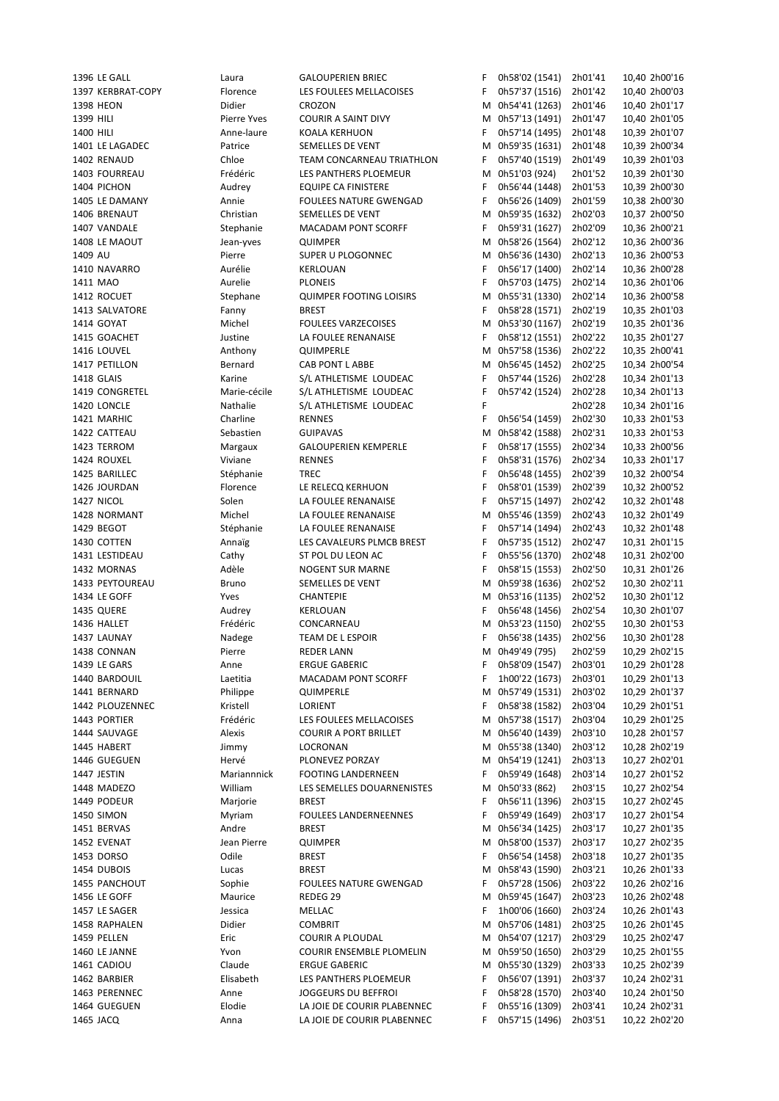1396 LE GALL Laura GALOUPERIEN BRIEC F 0h58'02 (1541) 2h01'41 10,40 2h00'16 1397 KERBRAT-COPY Florence LES FOULEES MELLACOISES F 0h57'37 (1516) 2h01'42 10,40 2h00'03 1398 HEON Didier CROZON M 0h54'41 (1263) 2h01'46 10,40 2h01'17 1399 HILI Pierre Yves COURIR A SAINT DIVY M 0h57'13 (1491) 2h01'47 10,40 2h01'05 1400 HILI Anne-laure KOALA KERHUON F 0h57'14 (1495) 2h01'48 10,39 2h01'07 1401 LE LAGADEC Patrice SEMELLES DE VENT M 0h59'35 (1631) 2h01'48 10,39 2h00'34 1402 RENAUD Chloe TEAM CONCARNEAU TRIATHLON F 0h57'40 (1519) 2h01'49 10,39 2h01'03 1403 FOURREAU Frédéric LES PANTHERS PLOEMEUR M 0h51'03 (924) 2h01'52 10,39 2h01'30 1404 PICHON Audrey EQUIPE CA FINISTERE F 0h56'44 (1448) 2h01'53 10,39 2h00'30 1405 LE DAMANY Annie FOULEES NATURE GWENGAD F 0h56'26 (1409) 2h01'59 10,38 2h00'30 1406 BRENAUT Christian SEMELLES DE VENT M 0h59'35 (1632) 2h02'03 10,37 2h00'50 1407 VANDALE Stephanie MACADAM PONT SCORFF F 0h59'31 (1627) 2h02'09 10,36 2h00'21 1408 LE MAOUT Jean-yves QUIMPER M 0h58'26 (1564) 2h02'12 10,36 2h00'36 1409 AU Pierre SUPER U PLOGONNEC M 0h56'36 (1430) 2h02'13 10,36 2h00'53 1410 NAVARRO Aurélie KERLOUAN F 0h56'17 (1400) 2h02'14 10,36 2h00'28 1411 MAO Aurelie PLONEIS F 0h57'03 (1475) 2h02'14 10,36 2h01'06 1412 ROCUET Stephane QUIMPER FOOTING LOISIRS M 0h55'31 (1330) 2h02'14 10,36 2h00'58 1413 SALVATORE Fanny BREST F 0h58'28 (1571) 2h02'19 10,35 2h01'03 1414 GOYAT Michel FOULEES VARZECOISES M 0h53'30 (1167) 2h02'19 10,35 2h01'36 1415 GOACHET Justine LA FOULEE RENANAISE F 0h58'12 (1551) 2h02'22 10,35 2h01'27 1416 LOUVEL Anthony QUIMPERLE M 0h57'58 (1536) 2h02'22 10,35 2h00'41 1417 PETILLON Bernard CAB PONT L ABBE M 0h56'45 (1452) 2h02'25 10,34 2h00'54 1418 GLAIS Karine S/L ATHLETISME LOUDEAC F 0h57'44 (1526) 2h02'28 10,34 2h01'13 1419 CONGRETEL Marie-cécile S/L ATHLETISME LOUDEAC F 0h57'42 (1524) 2h02'28 10,34 2h01'13 1420 LONCLE Nathalie S/L ATHLETISME LOUDEAC F 2h02'28 10,34 2h01'16 1421 MARHIC Charline RENNES F 0h56'54 (1459) 2h02'30 10,33 2h01'53 1422 CATTEAU Sebastien GUIPAVAS M 0h58'42 (1588) 2h02'31 10,33 2h01'53 1423 TERROM Margaux GALOUPERIEN KEMPERLE F 0h58'17 (1555) 2h02'34 10,33 2h00'56 1424 ROUXEL Viviane RENNES F 0h58'31 (1576) 2h02'34 10,33 2h01'17 1425 BARILLEC Stéphanie TREC F 0h56'48 (1455) 2h02'39 10,32 2h00'54 1426 JOURDAN Florence LE RELECQ KERHUON F 0h58'01 (1539) 2h02'39 10,32 2h00'52 1427 NICOL Solen LA FOULEE RENANAISE F 0h57'15 (1497) 2h02'42 10,32 2h01'48 1428 NORMANT Michel LA FOULEE RENANAISE M 0h55'46 (1359) 2h02'43 10,32 2h01'49 1429 BEGOT Stéphanie LA FOULEE RENANAISE F 0h57'14 (1494) 2h02'43 10,32 2h01'48 1430 COTTEN Annaïg LES CAVALEURS PLMCB BREST F 0h57'35 (1512) 2h02'47 10,31 2h01'15 1431 LESTIDEAU Cathy ST POL DU LEON AC F 0h55'56 (1370) 2h02'48 10,31 2h02'00 1432 MORNAS Adèle NOGENT SUR MARNE F 0h58'15 (1553) 2h02'50 10,31 2h01'26 1433 PEYTOUREAU Bruno SEMELLES DE VENT M 0h59'38 (1636) 2h02'52 10,30 2h02'11 1434 LE GOFF Yves CHANTEPIE M 0h53'16 (1135) 2h02'52 10,30 2h01'12 1435 QUERE Audrey KERLOUAN F 0h56'48 (1456) 2h02'54 10,30 2h01'07 1436 HALLET Frédéric CONCARNEAU M 0h53'23 (1150) 2h02'55 10,30 2h01'53 1437 LAUNAY Nadege TEAM DE L ESPOIR F 0h56'38 (1435) 2h02'56 10,30 2h01'28 1438 CONNAN Pierre REDER LANN M 0h49'49 (795) 2h02'59 10,29 2h02'15 1439 LE GARS Anne ERGUE GABERIC F 0h58'09 (1547) 2h03'01 10,29 2h01'28 1440 BARDOUIL Laetitia MACADAM PONT SCORFF F 1h00'22 (1673) 2h03'01 10,29 2h01'13 1441 BERNARD Philippe QUIMPERLE M 0h57'49 (1531) 2h03'02 10,29 2h01'37 1442 PLOUZENNEC Kristell LORIENT F 0h58'38 (1582) 2h03'04 10,29 2h01'51 1443 PORTIER Frédéric LES FOULEES MELLACOISES M 0h57'38 (1517) 2h03'04 10,29 2h01'25 1444 SAUVAGE Alexis COURIR A PORT BRILLET M 0h56'40 (1439) 2h03'10 10,28 2h01'57 1445 HABERT Jimmy LOCRONAN M 0h55'38 (1340) 2h03'12 10,28 2h02'19 1446 GUEGUEN Hervé PLONEVEZ PORZAY M 0h54'19 (1241) 2h03'13 10,27 2h02'01 1447 JESTIN Mariannnick FOOTING LANDERNEEN F 0h59'49 (1648) 2h03'14 10,27 2h01'52 1448 MADEZO William LES SEMELLES DOUARNENISTES M 0h50'33 (862) 2h03'15 10,27 2h02'54 1449 PODEUR Marjorie BREST F 0h56'11 (1396) 2h03'15 10,27 2h02'45 1450 SIMON Myriam FOULEES LANDERNEENNES F 0h59'49 (1649) 2h03'17 10,27 2h01'54 1451 BERVAS Andre BREST M 0h56'34 (1425) 2h03'17 10,27 2h01'35 1452 EVENAT Jean Pierre QUIMPER M 0h58'00 (1537) 2h03'17 10,27 2h02'35 1453 DORSO Odile BREST F 0h56'54 (1458) 2h03'18 10,27 2h01'35 1454 DUBOIS Lucas BREST M 0h58'43 (1590) 2h03'21 10,26 2h01'33 1455 PANCHOUT Sophie FOULEES NATURE GWENGAD F 0h57'28 (1506) 2h03'22 10,26 2h02'16 1456 LE GOFF Maurice REDEG 29 M 0h59'45 (1647) 2h03'23 10,26 2h02'48 1457 LE SAGER Jessica MELLAC F 1h00'06 (1660) 2h03'24 10,26 2h01'43 1458 RAPHALEN Didier COMBRIT M 0h57'06 (1481) 2h03'25 10,26 2h01'45 1459 PELLEN Eric COURIR A PLOUDAL M 0h54'07 (1217) 2h03'29 10,25 2h02'47 1460 LE JANNE Yvon COURIR ENSEMBLE PLOMELIN M 0h59'50 (1650) 2h03'29 10,25 2h01'55 1461 CADIOU Claude ERGUE GABERIC M 0h55'30 (1329) 2h03'33 10,25 2h02'39 1462 BARBIER Elisabeth LES PANTHERS PLOEMEUR F 0h56'07 (1391) 2h03'37 10,24 2h02'31 1463 PERENNEC Anne JOGGEURS DU BEFFROI F 0h58'28 (1570) 2h03'40 10,24 2h01'50 1464 GUEGUEN Elodie LA JOIE DE COURIR PLABENNEC F 0h55'16 (1309) 2h03'41 10,24 2h02'31 1465 JACQ Anna LA JOIE DE COURIR PLABENNEC F 0h57'15 (1496) 2h03'51 10,22 2h02'20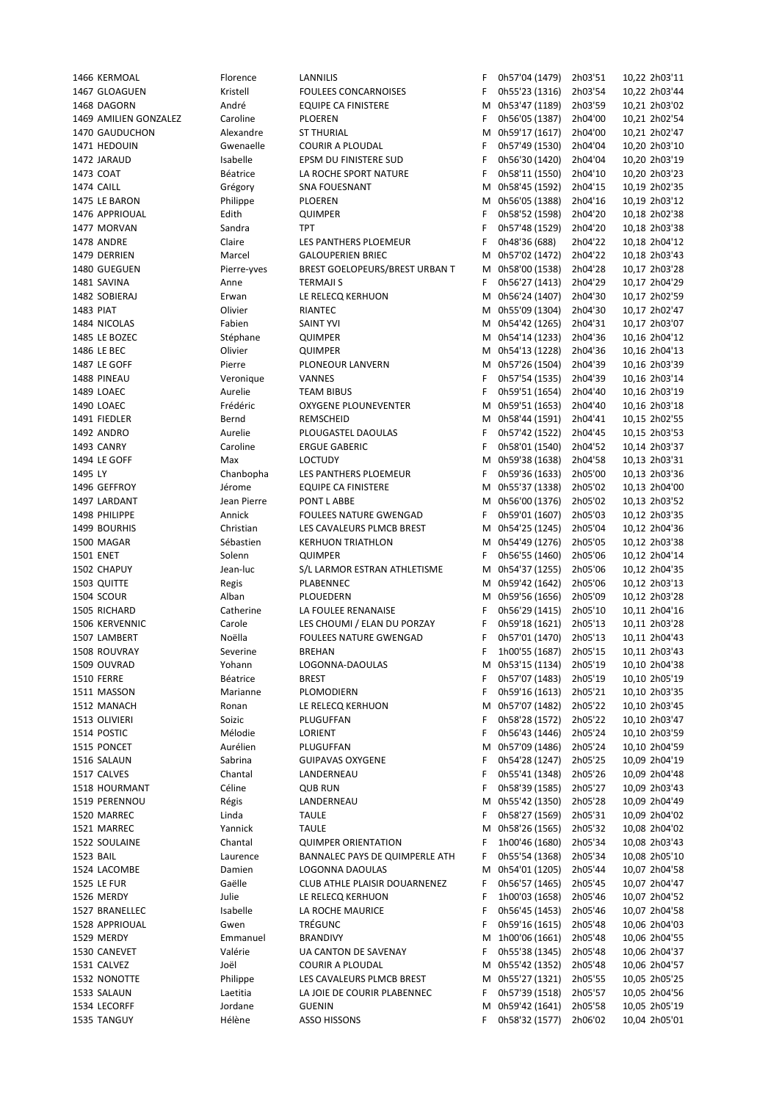|           | 1466 KERMOAL          | Florence    | LANNILIS                       | F  | 0h57'04 (1479)   | 2h03'51 | 10,22 2h03'11 |
|-----------|-----------------------|-------------|--------------------------------|----|------------------|---------|---------------|
|           | 1467 GLOAGUEN         | Kristell    | <b>FOULEES CONCARNOISES</b>    | F  | 0h55'23 (1316)   | 2h03'54 | 10,22 2h03'44 |
|           | 1468 DAGORN           | André       | <b>EQUIPE CA FINISTERE</b>     | М  | 0h53'47 (1189)   | 2h03'59 | 10,21 2h03'02 |
|           | 1469 AMILIEN GONZALEZ | Caroline    | PLOEREN                        | F. | 0h56'05 (1387)   | 2h04'00 | 10,21 2h02'54 |
|           | 1470 GAUDUCHON        | Alexandre   | <b>ST THURIAL</b>              | М  | 0h59'17 (1617)   | 2h04'00 | 10,21 2h02'47 |
|           | 1471 HEDOUIN          | Gwenaelle   | <b>COURIR A PLOUDAL</b>        | F  | 0h57'49 (1530)   | 2h04'04 | 10,20 2h03'10 |
|           | 1472 JARAUD           | Isabelle    | EPSM DU FINISTERE SUD          | F  | 0h56'30 (1420)   | 2h04'04 | 10,20 2h03'19 |
|           | 1473 COAT             | Béatrice    | LA ROCHE SPORT NATURE          | F  | 0h58'11 (1550)   | 2h04'10 | 10,20 2h03'23 |
|           | 1474 CAILL            | Grégory     | SNA FOUESNANT                  | М  | 0h58'45 (1592)   | 2h04'15 | 10,19 2h02'35 |
|           | 1475 LE BARON         | Philippe    | PLOEREN                        | М  | 0h56'05 (1388)   | 2h04'16 | 10,19 2h03'12 |
|           | 1476 APPRIOUAL        | Edith       | <b>QUIMPER</b>                 | F  | 0h58'52 (1598)   | 2h04'20 | 10,18 2h02'38 |
|           |                       |             |                                |    |                  |         |               |
|           | 1477 MORVAN           | Sandra      | <b>TPT</b>                     | F  | 0h57'48 (1529)   | 2h04'20 | 10,18 2h03'38 |
|           | 1478 ANDRE            | Claire      | LES PANTHERS PLOEMEUR          | F  | 0h48'36 (688)    | 2h04'22 | 10,18 2h04'12 |
|           | 1479 DERRIEN          | Marcel      | <b>GALOUPERIEN BRIEC</b>       | М  | 0h57'02 (1472)   | 2h04'22 | 10,18 2h03'43 |
|           | 1480 GUEGUEN          | Pierre-yves | BREST GOELOPEURS/BREST URBAN T |    | M 0h58'00 (1538) | 2h04'28 | 10,17 2h03'28 |
|           | 1481 SAVINA           | Anne        | <b>TERMAJI S</b>               | F  | 0h56'27 (1413)   | 2h04'29 | 10,17 2h04'29 |
|           | 1482 SOBIERAJ         | Erwan       | LE RELECQ KERHUON              | М  | 0h56'24 (1407)   | 2h04'30 | 10,17 2h02'59 |
| 1483 PIAT |                       | Olivier     | RIANTEC                        |    | M 0h55'09 (1304) | 2h04'30 | 10,17 2h02'47 |
|           | 1484 NICOLAS          | Fabien      | <b>SAINT YVI</b>               |    | M 0h54'42 (1265) | 2h04'31 | 10,17 2h03'07 |
|           | 1485 LE BOZEC         | Stéphane    | <b>QUIMPER</b>                 |    | M 0h54'14 (1233) | 2h04'36 | 10,16 2h04'12 |
|           | 1486 LE BEC           | Olivier     | <b>QUIMPER</b>                 |    | M 0h54'13 (1228) | 2h04'36 | 10,16 2h04'13 |
|           | 1487 LE GOFF          | Pierre      | PLONEOUR LANVERN               |    | M 0h57'26 (1504) | 2h04'39 | 10,16 2h03'39 |
|           | 1488 PINEAU           | Veronique   | VANNES                         | F  | 0h57'54 (1535)   | 2h04'39 | 10,16 2h03'14 |
|           | 1489 LOAEC            | Aurelie     | <b>TEAM BIBUS</b>              | F  | 0h59'51 (1654)   | 2h04'40 | 10,16 2h03'19 |
|           | 1490 LOAEC            | Frédéric    | OXYGENE PLOUNEVENTER           | М  | 0h59'51 (1653)   | 2h04'40 | 10,16 2h03'18 |
|           | 1491 FIEDLER          | Bernd       | REMSCHEID                      |    | M 0h58'44 (1591) | 2h04'41 | 10,15 2h02'55 |
|           | 1492 ANDRO            | Aurelie     | PLOUGASTEL DAOULAS             | F  | 0h57'42 (1522)   | 2h04'45 | 10,15 2h03'53 |
|           | 1493 CANRY            | Caroline    | <b>ERGUE GABERIC</b>           | F  | 0h58'01 (1540)   | 2h04'52 | 10,14 2h03'37 |
|           |                       |             |                                |    |                  |         |               |
|           | 1494 LE GOFF          | Max         | <b>LOCTUDY</b>                 | М  | 0h59'38 (1638)   | 2h04'58 | 10,13 2h03'31 |
| 1495 LY   |                       | Chanbopha   | LES PANTHERS PLOEMEUR          | F. | 0h59'36 (1633)   | 2h05'00 | 10,13 2h03'36 |
|           | 1496 GEFFROY          | Jérome      | <b>EQUIPE CA FINISTERE</b>     |    | M 0h55'37 (1338) | 2h05'02 | 10,13 2h04'00 |
|           | 1497 LARDANT          | Jean Pierre | PONT L ABBE                    |    | M 0h56'00 (1376) | 2h05'02 | 10,13 2h03'52 |
|           | 1498 PHILIPPE         | Annick      | <b>FOULEES NATURE GWENGAD</b>  | F  | 0h59'01 (1607)   | 2h05'03 | 10,12 2h03'35 |
|           | 1499 BOURHIS          | Christian   | LES CAVALEURS PLMCB BREST      | М  | 0h54'25 (1245)   | 2h05'04 | 10,12 2h04'36 |
|           | 1500 MAGAR            | Sébastien   | <b>KERHUON TRIATHLON</b>       |    | M 0h54'49 (1276) | 2h05'05 | 10,12 2h03'38 |
|           | 1501 ENET             | Solenn      | <b>QUIMPER</b>                 | F  | 0h56'55 (1460)   | 2h05'06 | 10,12 2h04'14 |
|           | 1502 CHAPUY           | Jean-luc    | S/L LARMOR ESTRAN ATHLETISME   | М  | 0h54'37 (1255)   | 2h05'06 | 10,12 2h04'35 |
|           | 1503 QUITTE           | Regis       | PLABENNEC                      |    | M 0h59'42 (1642) | 2h05'06 | 10,12 2h03'13 |
|           | 1504 SCOUR            | Alban       | PLOUEDERN                      |    | M 0h59'56 (1656) | 2h05'09 | 10,12 2h03'28 |
|           | 1505 RICHARD          | Catherine   | LA FOULEE RENANAISE            | F  | 0h56'29 (1415)   | 2h05'10 | 10,11 2h04'16 |
|           | 1506 KERVENNIC        | Carole      | LES CHOUMI / ELAN DU PORZAY    | F  | 0h59'18 (1621)   | 2h05'13 | 10,11 2h03'28 |
|           | 1507 LAMBERT          | Noëlla      | <b>FOULEES NATURE GWENGAD</b>  | F  | 0h57'01 (1470)   | 2h05'13 | 10,11 2h04'43 |
|           | 1508 ROUVRAY          | Severine    | <b>BREHAN</b>                  | F  | 1h00'55 (1687)   | 2h05'15 | 10,11 2h03'43 |
|           | 1509 OUVRAD           | Yohann      | LOGONNA-DAOULAS                | м  | 0h53'15 (1134)   | 2h05'19 | 10,10 2h04'38 |
|           | <b>1510 FERRE</b>     | Béatrice    | <b>BREST</b>                   | F  | 0h57'07 (1483)   | 2h05'19 | 10,10 2h05'19 |
|           | 1511 MASSON           | Marianne    | PLOMODIERN                     | F  | 0h59'16 (1613)   | 2h05'21 | 10,10 2h03'35 |
|           | 1512 MANACH           | Ronan       | LE RELECQ KERHUON              | М  | 0h57'07 (1482)   | 2h05'22 |               |
|           | 1513 OLIVIERI         |             |                                |    |                  |         | 10,10 2h03'45 |
|           |                       | Soizic      | PLUGUFFAN                      | F  | 0h58'28 (1572)   | 2h05'22 | 10,10 2h03'47 |
|           | 1514 POSTIC           | Mélodie     | LORIENT                        | F  | 0h56'43 (1446)   | 2h05'24 | 10,10 2h03'59 |
|           | 1515 PONCET           | Aurélien    | PLUGUFFAN                      | M  | 0h57'09 (1486)   | 2h05'24 | 10,10 2h04'59 |
|           | 1516 SALAUN           | Sabrina     | <b>GUIPAVAS OXYGENE</b>        | F  | 0h54'28 (1247)   | 2h05'25 | 10,09 2h04'19 |
|           | 1517 CALVES           | Chantal     | LANDERNEAU                     | F  | 0h55'41 (1348)   | 2h05'26 | 10,09 2h04'48 |
|           | 1518 HOURMANT         | Céline      | <b>QUB RUN</b>                 | F  | 0h58'39 (1585)   | 2h05'27 | 10,09 2h03'43 |
|           | 1519 PERENNOU         | Régis       | LANDERNEAU                     | M  | 0h55'42 (1350)   | 2h05'28 | 10,09 2h04'49 |
|           | 1520 MARREC           | Linda       | <b>TAULE</b>                   | F  | 0h58'27 (1569)   | 2h05'31 | 10,09 2h04'02 |
|           | 1521 MARREC           | Yannick     | <b>TAULE</b>                   | M  | 0h58'26 (1565)   | 2h05'32 | 10,08 2h04'02 |
|           | 1522 SOULAINE         | Chantal     | <b>QUIMPER ORIENTATION</b>     | F  | 1h00'46 (1680)   | 2h05'34 | 10,08 2h03'43 |
| 1523 BAIL |                       | Laurence    | BANNALEC PAYS DE QUIMPERLE ATH | F  | 0h55'54 (1368)   | 2h05'34 | 10,08 2h05'10 |
|           | 1524 LACOMBE          | Damien      | LOGONNA DAOULAS                | М  | 0h54'01 (1205)   | 2h05'44 | 10,07 2h04'58 |
|           | 1525 LE FUR           | Gaëlle      | CLUB ATHLE PLAISIR DOUARNENEZ  | F  | 0h56'57 (1465)   | 2h05'45 | 10,07 2h04'47 |
|           | 1526 MERDY            | Julie       | LE RELECQ KERHUON              | F  | 1h00'03 (1658)   | 2h05'46 | 10,07 2h04'52 |
|           | 1527 BRANELLEC        | Isabelle    | LA ROCHE MAURICE               | F  | 0h56'45 (1453)   | 2h05'46 | 10,07 2h04'58 |
|           | 1528 APPRIOUAL        | Gwen        | TRÉGUNC                        | F  | 0h59'16 (1615)   | 2h05'48 | 10,06 2h04'03 |
|           | 1529 MERDY            | Emmanuel    | <b>BRANDIVY</b>                | M  | 1h00'06 (1661)   | 2h05'48 | 10,06 2h04'55 |
|           | 1530 CANEVET          | Valérie     | UA CANTON DE SAVENAY           | F  | 0h55'38 (1345)   | 2h05'48 | 10,06 2h04'37 |
|           |                       |             |                                |    |                  |         |               |
|           | 1531 CALVEZ           | Joël        | COURIR A PLOUDAL               | М  | 0h55'42 (1352)   | 2h05'48 | 10,06 2h04'57 |
|           | 1532 NONOTTE          | Philippe    | LES CAVALEURS PLMCB BREST      | М  | 0h55'27 (1321)   | 2h05'55 | 10,05 2h05'25 |
|           | 1533 SALAUN           | Laetitia    | LA JOIE DE COURIR PLABENNEC    | F  | 0h57'39 (1518)   | 2h05'57 | 10,05 2h04'56 |
|           | 1534 LECORFF          | Jordane     | <b>GUENIN</b>                  | M  | 0h59'42 (1641)   | 2h05'58 | 10,05 2h05'19 |
|           | 1535 TANGUY           | Hélène      | <b>ASSO HISSONS</b>            | F  | 0h58'32 (1577)   | 2h06'02 | 10,04 2h05'01 |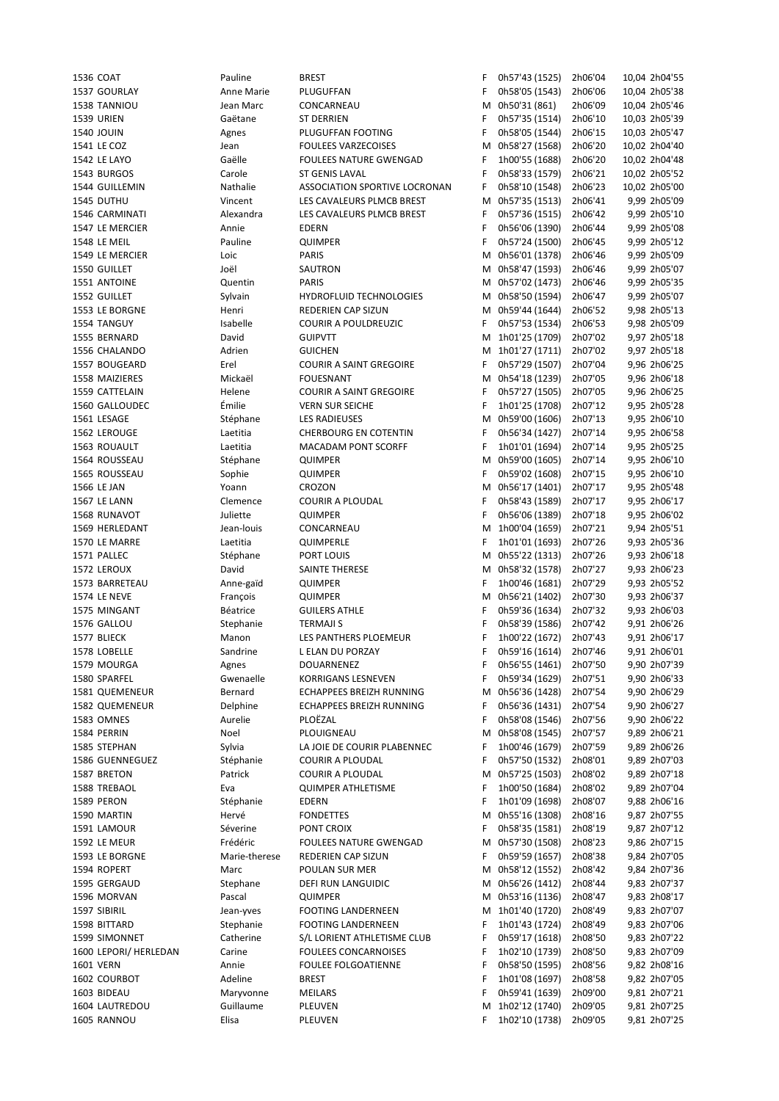| 1536 COAT             | Pauline       | <b>BREST</b>                    | F | 0h57'43 (1525)   | 2h06'04 | 10,04 2h04'55 |
|-----------------------|---------------|---------------------------------|---|------------------|---------|---------------|
| 1537 GOURLAY          | Anne Marie    | PLUGUFFAN                       | F | 0h58'05 (1543)   | 2h06'06 | 10,04 2h05'38 |
| 1538 TANNIOU          | Jean Marc     | CONCARNEAU                      | М | 0h50'31 (861)    | 2h06'09 | 10,04 2h05'46 |
| 1539 URIEN            | Gaëtane       | ST DERRIEN                      | F | 0h57'35 (1514)   | 2h06'10 | 10,03 2h05'39 |
| <b>1540 JOUIN</b>     |               | PLUGUFFAN FOOTING               | F | 0h58'05 (1544)   | 2h06'15 | 10,03 2h05'47 |
|                       | Agnes         |                                 |   |                  |         |               |
| 1541 LE COZ           | Jean          | <b>FOULEES VARZECOISES</b>      | M | 0h58'27 (1568)   | 2h06'20 | 10,02 2h04'40 |
| 1542 LE LAYO          | Gaëlle        | <b>FOULEES NATURE GWENGAD</b>   | F | 1h00'55 (1688)   | 2h06'20 | 10,02 2h04'48 |
| 1543 BURGOS           | Carole        | ST GENIS LAVAL                  | F | 0h58'33 (1579)   | 2h06'21 | 10,02 2h05'52 |
| 1544 GUILLEMIN        | Nathalie      | ASSOCIATION SPORTIVE LOCRONAN   | F | 0h58'10 (1548)   | 2h06'23 | 10,02 2h05'00 |
|                       |               |                                 |   |                  |         | 9,99 2h05'09  |
| 1545 DUTHU            | Vincent       | LES CAVALEURS PLMCB BREST       | M | 0h57'35 (1513)   | 2h06'41 |               |
| 1546 CARMINATI        | Alexandra     | LES CAVALEURS PLMCB BREST       | F | 0h57'36 (1515)   | 2h06'42 | 9,99 2h05'10  |
| 1547 LE MERCIER       | Annie         | <b>EDERN</b>                    | F | 0h56'06 (1390)   | 2h06'44 | 9,99 2h05'08  |
| 1548 LE MEIL          | Pauline       | QUIMPER                         | F | 0h57'24 (1500)   | 2h06'45 | 9,99 2h05'12  |
| 1549 LE MERCIER       | Loic          | PARIS                           | M | 0h56'01 (1378)   | 2h06'46 | 9,99 2h05'09  |
|                       |               |                                 |   |                  |         |               |
| 1550 GUILLET          | Joël          | SAUTRON                         |   | M 0h58'47 (1593) | 2h06'46 | 9,99 2h05'07  |
| 1551 ANTOINE          | Quentin       | <b>PARIS</b>                    |   | M 0h57'02 (1473) | 2h06'46 | 9,99 2h05'35  |
| 1552 GUILLET          | Sylvain       | <b>HYDROFLUID TECHNOLOGIES</b>  | М | 0h58'50 (1594)   | 2h06'47 | 9,99 2h05'07  |
| 1553 LE BORGNE        | Henri         | REDERIEN CAP SIZUN              |   | M 0h59'44 (1644) | 2h06'52 | 9,98 2h05'13  |
| 1554 TANGUY           | Isabelle      | <b>COURIR A POULDREUZIC</b>     | F | 0h57'53 (1534)   | 2h06'53 | 9,98 2h05'09  |
|                       |               |                                 |   |                  |         |               |
| 1555 BERNARD          | David         | <b>GUIPVTT</b>                  | М | 1h01'25 (1709)   | 2h07'02 | 9,97 2h05'18  |
| 1556 CHALANDO         | Adrien        | <b>GUICHEN</b>                  |   | M 1h01'27 (1711) | 2h07'02 | 9,97 2h05'18  |
| 1557 BOUGEARD         | Erel          | <b>COURIR A SAINT GREGOIRE</b>  | F | 0h57'29 (1507)   | 2h07'04 | 9,96 2h06'25  |
| 1558 MAIZIERES        | Mickaël       | <b>FOUESNANT</b>                | М | 0h54'18 (1239)   | 2h07'05 | 9,96 2h06'18  |
|                       |               |                                 |   |                  |         |               |
| 1559 CATTELAIN        | Helene        | <b>COURIR A SAINT GREGOIRE</b>  | F | 0h57'27 (1505)   | 2h07'05 | 9,96 2h06'25  |
| 1560 GALLOUDEC        | Émilie        | <b>VERN SUR SEICHE</b>          | F | 1h01'25 (1708)   | 2h07'12 | 9,95 2h05'28  |
| 1561 LESAGE           | Stéphane      | <b>LES RADIEUSES</b>            | м | 0h59'00 (1606)   | 2h07'13 | 9,95 2h06'10  |
| 1562 LEROUGE          | Laetitia      | <b>CHERBOURG EN COTENTIN</b>    | F | 0h56'34 (1427)   | 2h07'14 | 9,95 2h06'58  |
| 1563 ROUAULT          | Laetitia      | <b>MACADAM PONT SCORFF</b>      | F | 1h01'01 (1694)   | 2h07'14 | 9,95 2h05'25  |
|                       |               |                                 |   |                  |         |               |
| 1564 ROUSSEAU         | Stéphane      | QUIMPER                         | М | 0h59'00 (1605)   | 2h07'14 | 9,95 2h06'10  |
| 1565 ROUSSEAU         | Sophie        | QUIMPER                         | F | 0h59'02 (1608)   | 2h07'15 | 9,95 2h06'10  |
| 1566 LE JAN           | Yoann         | CROZON                          | M | 0h56'17 (1401)   | 2h07'17 | 9,95 2h05'48  |
| 1567 LE LANN          | Clemence      | <b>COURIR A PLOUDAL</b>         | F | 0h58'43 (1589)   | 2h07'17 | 9,95 2h06'17  |
|                       | Juliette      |                                 | F | 0h56'06 (1389)   |         | 9,95 2h06'02  |
| 1568 RUNAVOT          |               | QUIMPER                         |   |                  | 2h07'18 |               |
| 1569 HERLEDANT        | Jean-louis    | CONCARNEAU                      | М | 1h00'04 (1659)   | 2h07'21 | 9,94 2h05'51  |
| 1570 LE MARRE         | Laetitia      | QUIMPERLE                       | F | 1h01'01 (1693)   | 2h07'26 | 9,93 2h05'36  |
| 1571 PALLEC           | Stéphane      | PORT LOUIS                      | м | 0h55'22 (1313)   | 2h07'26 | 9,93 2h06'18  |
| 1572 LEROUX           | David         | SAINTE THERESE                  |   | M 0h58'32 (1578) | 2h07'27 | 9,93 2h06'23  |
|                       |               |                                 |   |                  |         |               |
| 1573 BARRETEAU        | Anne-gaïd     | QUIMPER                         | F | 1h00'46 (1681)   | 2h07'29 | 9,93 2h05'52  |
| 1574 LE NEVE          | François      | QUIMPER                         | M | 0h56'21 (1402)   | 2h07'30 | 9,93 2h06'37  |
| 1575 MINGANT          | Béatrice      | <b>GUILERS ATHLE</b>            | F | 0h59'36 (1634)   | 2h07'32 | 9,93 2h06'03  |
| 1576 GALLOU           | Stephanie     | <b>TERMAJI S</b>                | F | 0h58'39 (1586)   | 2h07'42 | 9,91 2h06'26  |
| 1577 BLIECK           | Manon         | LES PANTHERS PLOEMEUR           | F | 1h00'22 (1672)   | 2h07'43 | 9,91 2h06'17  |
|                       |               |                                 |   |                  |         |               |
| 1578 LOBELLE          | Sandrine      | L ELAN DU PORZAY                | F | 0h59'16 (1614)   | 2h07'46 | 9,91 2h06'01  |
| 1579 MOURGA           | Agnes         | DOUARNENEZ                      | F | 0h56'55 (1461)   | 2h07'50 | 9,90 2h07'39  |
| 1580 SPARFEL          | Gwenaelle     | <b>KORRIGANS LESNEVEN</b>       | F | 0h59'34 (1629)   | 2h07'51 | 9,90 2h06'33  |
| 1581 QUEMENEUR        | Bernard       | ECHAPPEES BREIZH RUNNING        | М | 0h56'36 (1428)   | 2h07'54 | 9,90 2h06'29  |
| 1582 QUEMENEUR        |               | <b>ECHAPPEES BREIZH RUNNING</b> |   |                  |         |               |
|                       | Delphine      |                                 | F | 0h56'36 (1431)   | 2h07'54 | 9,90 2h06'27  |
| 1583 OMNES            | Aurelie       | PLOEZAL                         | F | 0h58'08 (1546)   | 2h07'56 | 9,90 2h06'22  |
| 1584 PERRIN           | Noel          | PLOUIGNEAU                      | Μ | 0h58'08 (1545)   | 2h07'57 | 9,89 2h06'21  |
| 1585 STEPHAN          | Sylvia        | LA JOIE DE COURIR PLABENNEC     | F | 1h00'46 (1679)   | 2h07'59 | 9,89 2h06'26  |
| 1586 GUENNEGUEZ       | Stéphanie     | <b>COURIR A PLOUDAL</b>         | F | 0h57'50 (1532)   | 2h08'01 | 9,89 2h07'03  |
|                       |               |                                 |   | 0h57'25 (1503)   |         |               |
| 1587 BRETON           | Patrick       | <b>COURIR A PLOUDAL</b>         | М |                  | 2h08'02 | 9,89 2h07'18  |
| 1588 TREBAOL          | Eva           | <b>QUIMPER ATHLETISME</b>       | F | 1h00'50 (1684)   | 2h08'02 | 9,89 2h07'04  |
| 1589 PERON            | Stéphanie     | EDERN                           | F | 1h01'09 (1698)   | 2h08'07 | 9,88 2h06'16  |
| 1590 MARTIN           | Hervé         | <b>FONDETTES</b>                | М | 0h55'16 (1308)   | 2h08'16 | 9,87 2h07'55  |
| 1591 LAMOUR           | Séverine      | PONT CROIX                      | F | 0h58'35 (1581)   | 2h08'19 | 9,87 2h07'12  |
|                       |               |                                 |   |                  |         |               |
| 1592 LE MEUR          | Frédéric      | <b>FOULEES NATURE GWENGAD</b>   | M | 0h57'30 (1508)   | 2h08'23 | 9,86 2h07'15  |
| 1593 LE BORGNE        | Marie-therese | REDERIEN CAP SIZUN              | F | 0h59'59 (1657)   | 2h08'38 | 9,84 2h07'05  |
| 1594 ROPERT           | Marc          | POULAN SUR MER                  | м | 0h58'12 (1552)   | 2h08'42 | 9,84 2h07'36  |
| 1595 GERGAUD          | Stephane      | DEFI RUN LANGUIDIC              | М | 0h56'26 (1412)   | 2h08'44 | 9,83 2h07'37  |
| 1596 MORVAN           | Pascal        | QUIMPER                         | м | 0h53'16 (1136)   | 2h08'47 | 9,83 2h08'17  |
|                       |               |                                 |   |                  |         |               |
| 1597 SIBIRIL          | Jean-yves     | FOOTING LANDERNEEN              | M | 1h01'40 (1720)   | 2h08'49 | 9,83 2h07'07  |
| 1598 BITTARD          | Stephanie     | FOOTING LANDERNEEN              | F | 1h01'43 (1724)   | 2h08'49 | 9,83 2h07'06  |
| 1599 SIMONNET         | Catherine     | S/L LORIENT ATHLETISME CLUB     | F | 0h59'17 (1618)   | 2h08'50 | 9,83 2h07'22  |
| 1600 LEPORI/ HERLEDAN | Carine        | <b>FOULEES CONCARNOISES</b>     | F | 1h02'10 (1739)   | 2h08'50 | 9,83 2h07'09  |
|                       | Annie         | <b>FOULEE FOLGOATIENNE</b>      | F | 0h58'50 (1595)   |         |               |
| 1601 VERN             |               |                                 |   |                  | 2h08'56 | 9,82 2h08'16  |
| 1602 COURBOT          | Adeline       | <b>BREST</b>                    | F | 1h01'08 (1697)   | 2h08'58 | 9,82 2h07'05  |
| 1603 BIDEAU           | Maryvonne     | MEILARS                         | F | 0h59'41 (1639)   | 2h09'00 | 9,81 2h07'21  |
| 1604 LAUTREDOU        | Guillaume     | PLEUVEN                         | M | 1h02'12 (1740)   | 2h09'05 | 9,81 2h07'25  |
| 1605 RANNOU           | Elisa         | PLEUVEN                         | F | 1h02'10 (1738)   | 2h09'05 | 9,81 2h07'25  |
|                       |               |                                 |   |                  |         |               |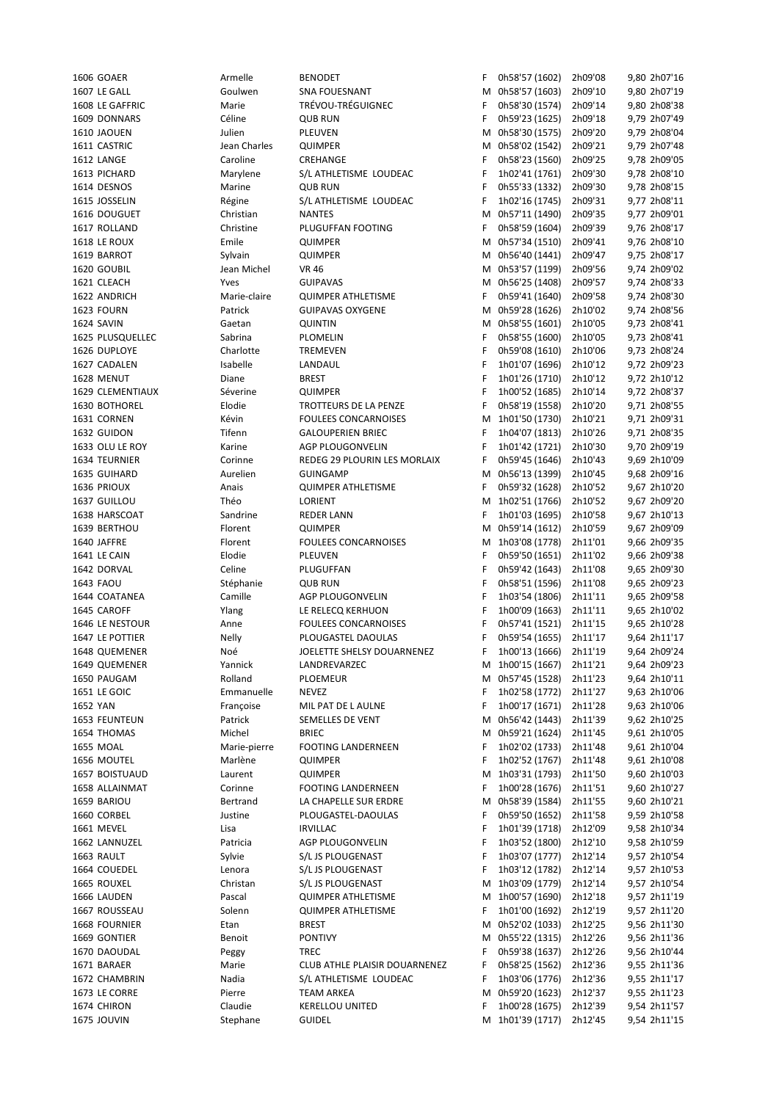| 1606 GOAER              | Armelle      | <b>BENODET</b>                | F | 0h58'57 (1602)   | 2h09'08 | 9,80 2h07'16 |
|-------------------------|--------------|-------------------------------|---|------------------|---------|--------------|
| 1607 LE GALL            | Goulwen      | <b>SNA FOUESNANT</b>          |   | M 0h58'57 (1603) | 2h09'10 | 9,80 2h07'19 |
| 1608 LE GAFFRIC         | Marie        | TRÉVOU-TRÉGUIGNEC             | F | 0h58'30 (1574)   | 2h09'14 | 9,80 2h08'38 |
| 1609 DONNARS            | Céline       | <b>QUB RUN</b>                | F | 0h59'23 (1625)   | 2h09'18 | 9,79 2h07'49 |
| 1610 JAOUEN             | Julien       | <b>PLEUVEN</b>                |   | M 0h58'30 (1575) | 2h09'20 | 9,79 2h08'04 |
| 1611 CASTRIC            | Jean Charles | QUIMPER                       |   | M 0h58'02 (1542) | 2h09'21 | 9,79 2h07'48 |
|                         |              |                               |   |                  |         |              |
| 1612 LANGE              | Caroline     | CREHANGE                      | F | 0h58'23 (1560)   | 2h09'25 | 9,78 2h09'05 |
| 1613 PICHARD            | Marylene     | S/L ATHLETISME LOUDEAC        | F | 1h02'41 (1761)   | 2h09'30 | 9,78 2h08'10 |
| 1614 DESNOS             | Marine       | <b>QUB RUN</b>                | F | 0h55'33 (1332)   | 2h09'30 | 9,78 2h08'15 |
| 1615 JOSSELIN           | Régine       | S/L ATHLETISME LOUDEAC        | F | 1h02'16 (1745)   | 2h09'31 | 9,77 2h08'11 |
| 1616 DOUGUET            | Christian    | <b>NANTES</b>                 | М | 0h57'11 (1490)   | 2h09'35 | 9,77 2h09'01 |
| 1617 ROLLAND            | Christine    | PLUGUFFAN FOOTING             | F | 0h58'59 (1604)   | 2h09'39 | 9,76 2h08'17 |
| <b>1618 LE ROUX</b>     | Emile        | <b>QUIMPER</b>                |   | M 0h57'34 (1510) | 2h09'41 | 9,76 2h08'10 |
| 1619 BARROT             | Sylvain      | <b>QUIMPER</b>                |   | M 0h56'40 (1441) | 2h09'47 | 9,75 2h08'17 |
|                         |              |                               |   |                  |         |              |
| 1620 GOUBIL             | Jean Michel  | <b>VR 46</b>                  |   | M 0h53'57 (1199) | 2h09'56 | 9,74 2h09'02 |
| 1621 CLEACH             | Yves         | <b>GUIPAVAS</b>               |   | M 0h56'25 (1408) | 2h09'57 | 9,74 2h08'33 |
| 1622 ANDRICH            | Marie-claire | <b>QUIMPER ATHLETISME</b>     | F | 0h59'41 (1640)   | 2h09'58 | 9,74 2h08'30 |
| 1623 FOURN              | Patrick      | <b>GUIPAVAS OXYGENE</b>       |   | M 0h59'28 (1626) | 2h10'02 | 9,74 2h08'56 |
| 1624 SAVIN              | Gaetan       | <b>QUINTIN</b>                |   | M 0h58'55 (1601) | 2h10'05 | 9,73 2h08'41 |
| 1625 PLUSQUELLEC        | Sabrina      | PLOMELIN                      | F | 0h58'55 (1600)   | 2h10'05 | 9,73 2h08'41 |
| 1626 DUPLOYE            | Charlotte    | TREMEVEN                      | F | 0h59'08 (1610)   | 2h10'06 | 9,73 2h08'24 |
| 1627 CADALEN            | Isabelle     | LANDAUL                       | F | 1h01'07 (1696)   | 2h10'12 | 9,72 2h09'23 |
| 1628 MENUT              | Diane        |                               |   |                  |         |              |
|                         |              | <b>BREST</b>                  | F | 1h01'26 (1710)   | 2h10'12 | 9,72 2h10'12 |
| <b>1629 CLEMENTIAUX</b> | Séverine     | QUIMPER                       | F | 1h00'52 (1685)   | 2h10'14 | 9,72 2h08'37 |
| 1630 BOTHOREL           | Elodie       | TROTTEURS DE LA PENZE         | F | 0h58'19 (1558)   | 2h10'20 | 9,71 2h08'55 |
| 1631 CORNEN             | Kévin        | FOULEES CONCARNOISES          | м | 1h01'50 (1730)   | 2h10'21 | 9,71 2h09'31 |
| 1632 GUIDON             | Tifenn       | <b>GALOUPERIEN BRIEC</b>      | F | 1h04'07 (1813)   | 2h10'26 | 9,71 2h08'35 |
| 1633 OLU LE ROY         | Karine       | AGP PLOUGONVELIN              | F | 1h01'42 (1721)   | 2h10'30 | 9,70 2h09'19 |
| 1634 TEURNIER           | Corinne      | REDEG 29 PLOURIN LES MORLAIX  | F | 0h59'45 (1646)   | 2h10'43 | 9,69 2h10'09 |
| 1635 GUIHARD            | Aurelien     | <b>GUINGAMP</b>               | М | 0h56'13 (1399)   | 2h10'45 | 9,68 2h09'16 |
| 1636 PRIOUX             | Anais        | <b>QUIMPER ATHLETISME</b>     | F | 0h59'32 (1628)   | 2h10'52 | 9,67 2h10'20 |
|                         |              |                               |   |                  |         |              |
| 1637 GUILLOU            | Théo         | LORIENT                       |   | M 1h02'51 (1766) | 2h10'52 | 9,67 2h09'20 |
| 1638 HARSCOAT           | Sandrine     | REDER LANN                    | F | 1h01'03 (1695)   | 2h10'58 | 9,67 2h10'13 |
| 1639 BERTHOU            | Florent      | <b>QUIMPER</b>                | Μ | 0h59'14 (1612)   | 2h10'59 | 9,67 2h09'09 |
| 1640 JAFFRE             | Florent      | FOULEES CONCARNOISES          |   | M 1h03'08 (1778) | 2h11'01 | 9,66 2h09'35 |
| 1641 LE CAIN            | Elodie       | <b>PLEUVEN</b>                | F | 0h59'50 (1651)   | 2h11'02 | 9,66 2h09'38 |
| 1642 DORVAL             | Celine       | PLUGUFFAN                     | F | 0h59'42 (1643)   | 2h11'08 | 9,65 2h09'30 |
| 1643 FAOU               | Stéphanie    | <b>QUB RUN</b>                | F | 0h58'51 (1596)   | 2h11'08 | 9,65 2h09'23 |
| 1644 COATANEA           | Camille      | AGP PLOUGONVELIN              | F | 1h03'54 (1806)   | 2h11'11 | 9,65 2h09'58 |
|                         |              |                               |   |                  |         |              |
| 1645 CAROFF             | Ylang        | LE RELECQ KERHUON             | F | 1h00'09 (1663)   | 2h11'11 | 9,65 2h10'02 |
| 1646 LE NESTOUR         | Anne         | <b>FOULEES CONCARNOISES</b>   | F | 0h57'41 (1521)   | 2h11'15 | 9,65 2h10'28 |
| 1647 LE POTTIER         | <b>Nelly</b> | PLOUGASTEL DAOULAS            | F | 0h59'54 (1655)   | 2h11'17 | 9,64 2h11'17 |
| 1648 QUEMENER           | Noé          | JOELETTE SHELSY DOUARNENEZ    | F | 1h00'13 (1666)   | 2h11'19 | 9,64 2h09'24 |
| 1649 QUEMENER           | Yannick      | LANDREVARZEC                  |   | M 1h00'15 (1667) | 2h11'21 | 9,64 2h09'23 |
| 1650 PAUGAM             | Rolland      | <b>PLOEMEUR</b>               |   | M 0h57'45 (1528) | 2h11'23 | 9,64 2h10'11 |
| 1651 LE GOIC            | Emmanuelle   | <b>NEVEZ</b>                  | F | 1h02'58 (1772)   | 2h11'27 | 9,63 2h10'06 |
| 1652 YAN                | Françoise    | MIL PAT DE L AULNE            | F | 1h00'17 (1671)   | 2h11'28 | 9,63 2h10'06 |
|                         |              |                               |   |                  |         |              |
| 1653 FEUNTEUN           | Patrick      | SEMELLES DE VENT              |   | M 0h56'42 (1443) | 2h11'39 | 9,62 2h10'25 |
| 1654 THOMAS             | Michel       | <b>BRIEC</b>                  | м | 0h59'21 (1624)   | 2h11'45 | 9,61 2h10'05 |
| 1655 MOAL               | Marie-pierre | <b>FOOTING LANDERNEEN</b>     | F | 1h02'02 (1733)   | 2h11'48 | 9,61 2h10'04 |
| 1656 MOUTEL             | Marlène      | <b>QUIMPER</b>                | F | 1h02'52 (1767)   | 2h11'48 | 9,61 2h10'08 |
| 1657 BOISTUAUD          | Laurent      | <b>QUIMPER</b>                | М | 1h03'31 (1793)   | 2h11'50 | 9,60 2h10'03 |
| 1658 ALLAINMAT          | Corinne      | FOOTING LANDERNEEN            | F | 1h00'28 (1676)   | 2h11'51 | 9,60 2h10'27 |
| 1659 BARIOU             | Bertrand     | LA CHAPELLE SUR ERDRE         | м | 0h58'39 (1584)   | 2h11'55 | 9,60 2h10'21 |
| 1660 CORBEL             | Justine      | PLOUGASTEL-DAOULAS            | F | 0h59'50 (1652)   | 2h11'58 | 9,59 2h10'58 |
|                         |              |                               |   |                  |         |              |
| 1661 MEVEL              | Lisa         | <b>IRVILLAC</b>               | F | 1h01'39 (1718)   | 2h12'09 | 9,58 2h10'34 |
| 1662 LANNUZEL           | Patricia     | AGP PLOUGONVELIN              | F | 1h03'52 (1800)   | 2h12'10 | 9,58 2h10'59 |
| 1663 RAULT              | Sylvie       | S/L JS PLOUGENAST             | F | 1h03'07 (1777)   | 2h12'14 | 9,57 2h10'54 |
| 1664 COUEDEL            | Lenora       | S/L JS PLOUGENAST             | F | 1h03'12 (1782)   | 2h12'14 | 9,57 2h10'53 |
| 1665 ROUXEL             | Christan     | S/L JS PLOUGENAST             |   | M 1h03'09 (1779) | 2h12'14 | 9,57 2h10'54 |
| 1666 LAUDEN             | Pascal       | <b>QUIMPER ATHLETISME</b>     |   | M 1h00'57 (1690) | 2h12'18 | 9,57 2h11'19 |
| 1667 ROUSSEAU           | Solenn       | <b>QUIMPER ATHLETISME</b>     | F | 1h01'00 (1692)   | 2h12'19 | 9,57 2h11'20 |
| 1668 FOURNIER           | Etan         | <b>BREST</b>                  | м | 0h52'02 (1033)   | 2h12'25 | 9,56 2h11'30 |
|                         |              |                               |   |                  |         |              |
| 1669 GONTIER            | Benoit       | <b>PONTIVY</b>                |   | M 0h55'22 (1315) | 2h12'26 | 9,56 2h11'36 |
| 1670 DAOUDAL            | Peggy        | <b>TREC</b>                   | F | 0h59'38 (1637)   | 2h12'26 | 9,56 2h10'44 |
| 1671 BARAER             | Marie        | CLUB ATHLE PLAISIR DOUARNENEZ | F | 0h58'25 (1562)   | 2h12'36 | 9,55 2h11'36 |
| 1672 CHAMBRIN           | Nadia        | S/L ATHLETISME LOUDEAC        | F | 1h03'06 (1776)   | 2h12'36 | 9,55 2h11'17 |
| 1673 LE CORRE           | Pierre       | TEAM ARKEA                    | м | 0h59'20 (1623)   | 2h12'37 | 9,55 2h11'23 |
| 1674 CHIRON             | Claudie      | <b>KERELLOU UNITED</b>        | F | 1h00'28 (1675)   | 2h12'39 | 9,54 2h11'57 |
| <b>1675 JOUVIN</b>      | Stephane     | <b>GUIDEL</b>                 |   | M 1h01'39 (1717) | 2h12'45 | 9,54 2h11'15 |
|                         |              |                               |   |                  |         |              |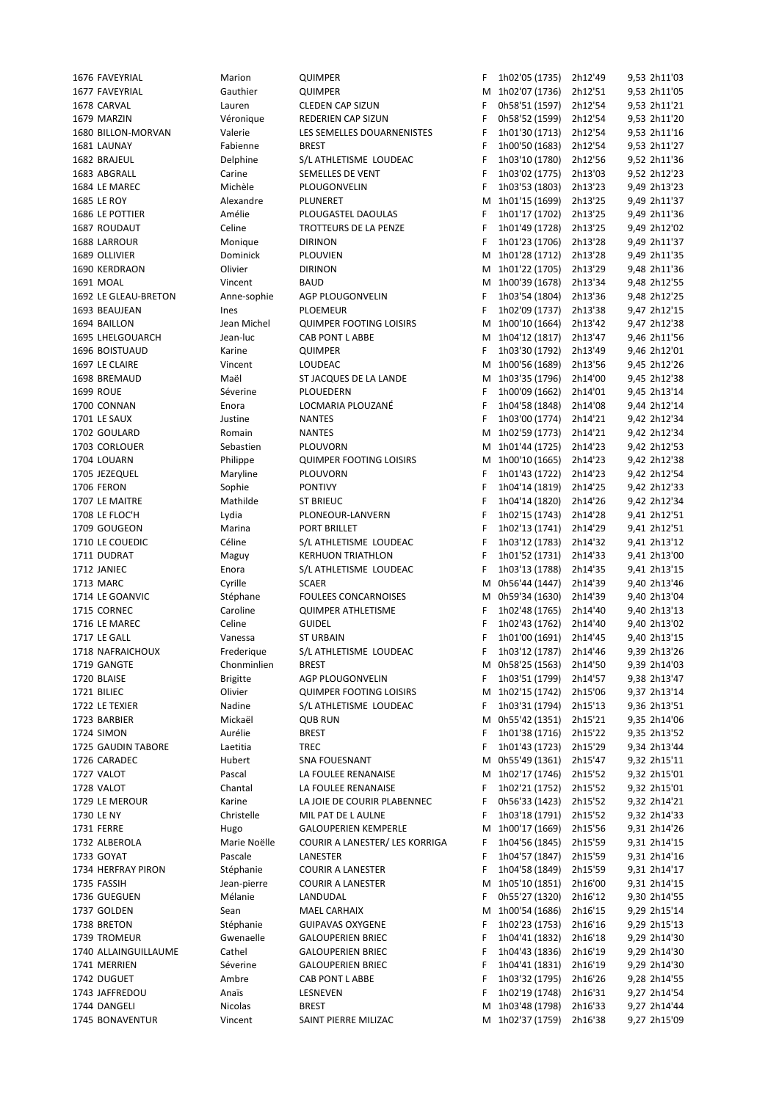| 1676 FAVEYRIAL       | Marion          | <b>QUIMPER</b>                 | F  | 1h02'05 (1735) 2h12'49   |         | 9,53 2h11'03 |  |
|----------------------|-----------------|--------------------------------|----|--------------------------|---------|--------------|--|
| 1677 FAVEYRIAL       | Gauthier        | <b>QUIMPER</b>                 |    | M 1h02'07 (1736)         | 2h12'51 | 9,53 2h11'05 |  |
| 1678 CARVAL          | Lauren          | <b>CLEDEN CAP SIZUN</b>        | F  | 0h58'51 (1597)           | 2h12'54 | 9,53 2h11'21 |  |
| 1679 MARZIN          | Véronique       | REDERIEN CAP SIZUN             | F  | 0h58'52 (1599)           | 2h12'54 | 9,53 2h11'20 |  |
| 1680 BILLON-MORVAN   | Valerie         | LES SEMELLES DOUARNENISTES     | F  | 1h01'30 (1713) 2h12'54   |         | 9,53 2h11'16 |  |
|                      |                 |                                |    |                          |         |              |  |
| 1681 LAUNAY          | Fabienne        | <b>BREST</b>                   | F  | 1h00'50 (1683) 2h12'54   |         | 9,53 2h11'27 |  |
| 1682 BRAJEUL         | Delphine        | S/L ATHLETISME LOUDEAC         | F  | 1h03'10 (1780)           | 2h12'56 | 9,52 2h11'36 |  |
| 1683 ABGRALL         | Carine          | SEMELLES DE VENT               | F  | 1h03'02 (1775)           | 2h13'03 | 9,52 2h12'23 |  |
| 1684 LE MAREC        | Michèle         | PLOUGONVELIN                   | F  | 1h03'53 (1803)           | 2h13'23 | 9,49 2h13'23 |  |
| <b>1685 LE ROY</b>   | Alexandre       | PLUNERET                       |    | M 1h01'15 (1699) 2h13'25 |         | 9,49 2h11'37 |  |
|                      |                 |                                |    |                          | 2h13'25 |              |  |
| 1686 LE POTTIER      | Amélie          | PLOUGASTEL DAOULAS             | F  | 1h01'17 (1702)           |         | 9,49 2h11'36 |  |
| 1687 ROUDAUT         | Celine          | TROTTEURS DE LA PENZE          | F  | 1h01'49 (1728) 2h13'25   |         | 9,49 2h12'02 |  |
| 1688 LARROUR         | Monique         | <b>DIRINON</b>                 | F  | 1h01'23 (1706) 2h13'28   |         | 9,49 2h11'37 |  |
| 1689 OLLIVIER        | Dominick        | <b>PLOUVIEN</b>                |    | M 1h01'28 (1712) 2h13'28 |         | 9,49 2h11'35 |  |
| 1690 KERDRAON        | Olivier         | <b>DIRINON</b>                 |    | M 1h01'22 (1705) 2h13'29 |         | 9,48 2h11'36 |  |
| 1691 MOAL            |                 | <b>BAUD</b>                    |    | M 1h00'39 (1678) 2h13'34 |         | 9,48 2h12'55 |  |
|                      | Vincent         |                                |    |                          |         |              |  |
| 1692 LE GLEAU-BRETON | Anne-sophie     | AGP PLOUGONVELIN               | F  | 1h03'54 (1804) 2h13'36   |         | 9,48 2h12'25 |  |
| 1693 BEAUJEAN        | Ines            | <b>PLOEMEUR</b>                | F  | 1h02'09 (1737)           | 2h13'38 | 9,47 2h12'15 |  |
| 1694 BAILLON         | Jean Michel     | <b>QUIMPER FOOTING LOISIRS</b> |    | M 1h00'10 (1664)         | 2h13'42 | 9,47 2h12'38 |  |
| 1695 LHELGOUARCH     | Jean-luc        | <b>CAB PONT L ABBE</b>         |    | M 1h04'12 (1817)         | 2h13'47 | 9,46 2h11'56 |  |
| 1696 BOISTUAUD       | Karine          | <b>QUIMPER</b>                 | F. | 1h03'30 (1792)           | 2h13'49 | 9,46 2h12'01 |  |
|                      |                 |                                |    |                          |         |              |  |
| 1697 LE CLAIRE       | Vincent         | LOUDEAC                        |    | M 1h00'56 (1689)         | 2h13'56 | 9,45 2h12'26 |  |
| 1698 BREMAUD         | Maël            | ST JACQUES DE LA LANDE         |    | M 1h03'35 (1796)         | 2h14'00 | 9,45 2h12'38 |  |
| <b>1699 ROUE</b>     | Séverine        | PLOUEDERN                      | F  | 1h00'09 (1662)           | 2h14'01 | 9,45 2h13'14 |  |
| 1700 CONNAN          | Enora           | LOCMARIA PLOUZANÉ              | F  | 1h04'58 (1848)           | 2h14'08 | 9,44 2h12'14 |  |
| 1701 LE SAUX         | Justine         | <b>NANTES</b>                  | F  | 1h03'00 (1774)           | 2h14'21 | 9,42 2h12'34 |  |
|                      |                 |                                |    |                          |         |              |  |
| 1702 GOULARD         | Romain          | <b>NANTES</b>                  |    | M 1h02'59 (1773)         | 2h14'21 | 9,42 2h12'34 |  |
| 1703 CORLOUER        | Sebastien       | PLOUVORN                       |    | M 1h01'44 (1725) 2h14'23 |         | 9,42 2h12'53 |  |
| 1704 LOUARN          | Philippe        | <b>QUIMPER FOOTING LOISIRS</b> |    | M 1h00'10 (1665) 2h14'23 |         | 9,42 2h12'38 |  |
| 1705 JEZEQUEL        | Maryline        | PLOUVORN                       | F  | 1h01'43 (1722)           | 2h14'23 | 9,42 2h12'54 |  |
|                      |                 |                                |    |                          |         |              |  |
| 1706 FERON           | Sophie          | <b>PONTIVY</b>                 | F  | 1h04'14 (1819)           | 2h14'25 | 9,42 2h12'33 |  |
| 1707 LE MAITRE       | Mathilde        | <b>ST BRIEUC</b>               | F  | 1h04'14 (1820) 2h14'26   |         | 9,42 2h12'34 |  |
| 1708 LE FLOC'H       | Lydia           | PLONEOUR-LANVERN               | F  | 1h02'15 (1743) 2h14'28   |         | 9,41 2h12'51 |  |
| 1709 GOUGEON         | Marina          | PORT BRILLET                   | F  | 1h02'13 (1741)           | 2h14'29 | 9,41 2h12'51 |  |
| 1710 LE COUEDIC      | Céline          | S/L ATHLETISME LOUDEAC         | F  | 1h03'12 (1783)           | 2h14'32 | 9,41 2h13'12 |  |
| 1711 DUDRAT          |                 | <b>KERHUON TRIATHLON</b>       | F  | 1h01'52 (1731) 2h14'33   |         | 9,41 2h13'00 |  |
|                      | Maguy           |                                |    |                          |         |              |  |
| 1712 JANIEC          | Enora           | S/L ATHLETISME LOUDEAC         | F  | 1h03'13 (1788) 2h14'35   |         | 9,41 2h13'15 |  |
| 1713 MARC            | Cyrille         | <b>SCAER</b>                   |    | M 0h56'44 (1447)         | 2h14'39 | 9,40 2h13'46 |  |
| 1714 LE GOANVIC      | Stéphane        | <b>FOULEES CONCARNOISES</b>    |    | M 0h59'34 (1630)         | 2h14'39 | 9,40 2h13'04 |  |
| 1715 CORNEC          | Caroline        | <b>QUIMPER ATHLETISME</b>      | F  | 1h02'48 (1765)           | 2h14'40 | 9,40 2h13'13 |  |
| 1716 LE MAREC        | Celine          | <b>GUIDEL</b>                  | F  | 1h02'43 (1762)           | 2h14'40 | 9,40 2h13'02 |  |
|                      |                 |                                |    |                          |         |              |  |
| 1717 LE GALL         | Vanessa         | <b>ST URBAIN</b>               | F  | 1h01'00 (1691)           | 2h14'45 | 9,40 2h13'15 |  |
| 1718 NAFRAICHOUX     | Frederique      | S/L ATHLETISME LOUDEAC         | F  | 1h03'12 (1787)           | 2h14'46 | 9,39 2h13'26 |  |
| 1719 GANGTE          | Chonminlien     | <b>BREST</b>                   |    | M 0h58'25 (1563)         | 2h14'50 | 9,39 2h14'03 |  |
| 1720 BLAISE          | <b>Brigitte</b> | AGP PLOUGONVELIN               | F  | 1h03'51 (1799)           | 2h14'57 | 9,38 2h13'47 |  |
| 1721 BILIEC          | Olivier         | <b>QUIMPER FOOTING LOISIRS</b> |    | M 1h02'15 (1742)         | 2h15'06 | 9,37 2h13'14 |  |
|                      |                 |                                |    |                          |         |              |  |
| 1722 LE TEXIER       | Nadine          | S/L ATHLETISME LOUDEAC         | F  | 1h03'31 (1794)           | 2h15'13 | 9,36 2h13'51 |  |
| 1723 BARBIER         | Mickaël         | <b>QUB RUN</b>                 |    | M 0h55'42 (1351)         | 2h15'21 | 9,35 2h14'06 |  |
| 1724 SIMON           | Aurélie         | <b>BREST</b>                   | F  | 1h01'38 (1716)           | 2h15'22 | 9,35 2h13'52 |  |
| 1725 GAUDIN TABORE   | Laetitia        | <b>TREC</b>                    | F  | 1h01'43 (1723)           | 2h15'29 | 9,34 2h13'44 |  |
| 1726 CARADEC         | Hubert          | SNA FOUESNANT                  | М  | 0h55'49 (1361)           | 2h15'47 | 9,32 2h15'11 |  |
|                      |                 |                                |    | M 1h02'17 (1746)         |         |              |  |
| 1727 VALOT           | Pascal          | LA FOULEE RENANAISE            |    |                          | 2h15'52 | 9,32 2h15'01 |  |
| 1728 VALOT           | Chantal         | LA FOULEE RENANAISE            | F  | 1h02'21 (1752)           | 2h15'52 | 9,32 2h15'01 |  |
| 1729 LE MEROUR       | Karine          | LA JOIE DE COURIR PLABENNEC    | F  | 0h56'33 (1423)           | 2h15'52 | 9,32 2h14'21 |  |
| 1730 LE NY           | Christelle      | MIL PAT DE L AULNE             | F  | 1h03'18 (1791)           | 2h15'52 | 9,32 2h14'33 |  |
| 1731 FERRE           | Hugo            | <b>GALOUPERIEN KEMPERLE</b>    | М  | 1h00'17 (1669)           | 2h15'56 | 9,31 2h14'26 |  |
|                      |                 |                                |    |                          |         |              |  |
| 1732 ALBEROLA        | Marie Noëlle    | COURIR A LANESTER/ LES KORRIGA | F  | 1h04'56 (1845)           | 2h15'59 | 9,31 2h14'15 |  |
| 1733 GOYAT           | Pascale         | LANESTER                       | F  | 1h04'57 (1847)           | 2h15'59 | 9,31 2h14'16 |  |
| 1734 HERFRAY PIRON   | Stéphanie       | <b>COURIR A LANESTER</b>       | F  | 1h04'58 (1849)           | 2h15'59 | 9,31 2h14'17 |  |
| 1735 FASSIH          | Jean-pierre     | <b>COURIR A LANESTER</b>       |    | M 1h05'10 (1851)         | 2h16'00 | 9,31 2h14'15 |  |
| 1736 GUEGUEN         | Mélanie         | LANDUDAL                       | F  | 0h55'27 (1320)           | 2h16'12 | 9,30 2h14'55 |  |
|                      |                 |                                |    |                          |         |              |  |
| 1737 GOLDEN          | Sean            | MAEL CARHAIX                   |    | M 1h00'54 (1686)         | 2h16'15 | 9,29 2h15'14 |  |
| 1738 BRETON          | Stéphanie       | <b>GUIPAVAS OXYGENE</b>        | F  | 1h02'23 (1753)           | 2h16'16 | 9,29 2h15'13 |  |
| 1739 TROMEUR         | Gwenaelle       | <b>GALOUPERIEN BRIEC</b>       | F  | 1h04'41 (1832)           | 2h16'18 | 9,29 2h14'30 |  |
| 1740 ALLAINGUILLAUME | Cathel          | <b>GALOUPERIEN BRIEC</b>       | F  | 1h04'43 (1836)           | 2h16'19 | 9,29 2h14'30 |  |
| 1741 MERRIEN         | Séverine        | <b>GALOUPERIEN BRIEC</b>       | F  | 1h04'41 (1831)           | 2h16'19 | 9,29 2h14'30 |  |
| 1742 DUGUET          | Ambre           | CAB PONT L ABBE                | F  | 1h03'32 (1795)           | 2h16'26 | 9,28 2h14'55 |  |
|                      |                 |                                |    |                          |         |              |  |
| 1743 JAFFREDOU       | Anaïs           | LESNEVEN                       | F  | 1h02'19 (1748)           | 2h16'31 | 9,27 2h14'54 |  |
| 1744 DANGELI         | Nicolas         | <b>BREST</b>                   |    | M 1h03'48 (1798)         | 2h16'33 | 9,27 2h14'44 |  |
| 1745 BONAVENTUR      | Vincent         | SAINT PIERRE MILIZAC           |    | M 1h02'37 (1759)         | 2h16'38 | 9,27 2h15'09 |  |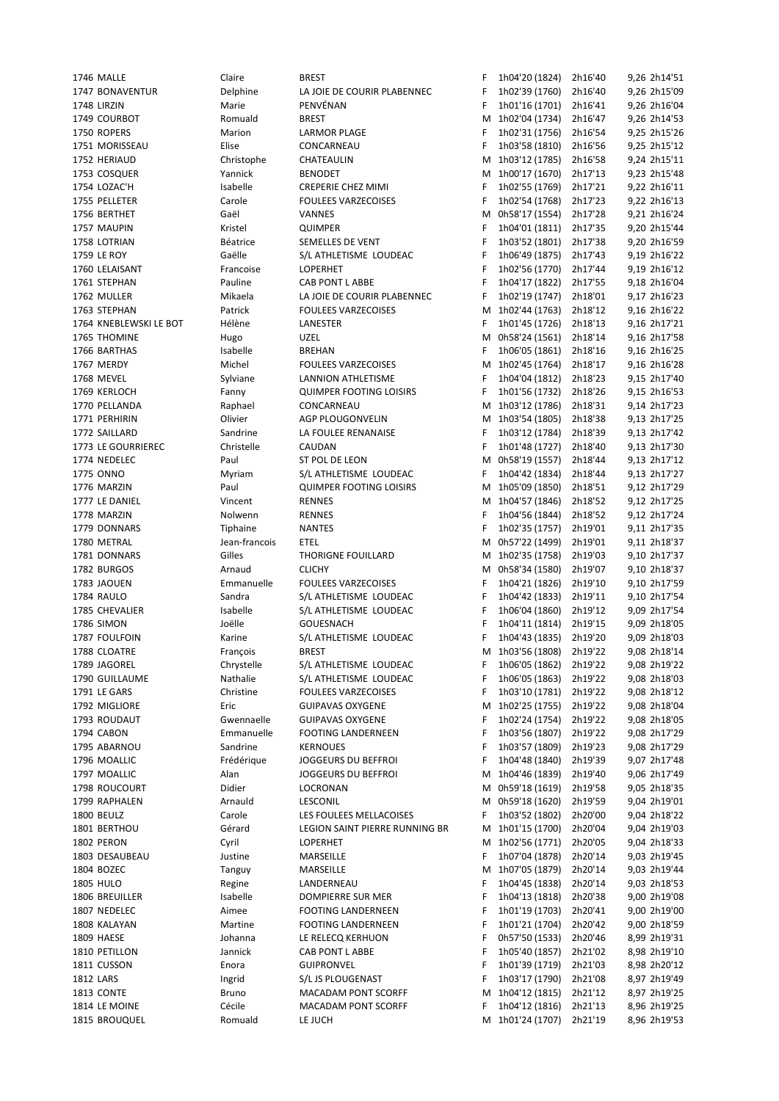1789 Chrystelle S/L ATHLETISME LOUDEAC

1746 MALLE Claire BREST F 1h04'20 (1824) 2h16'40 9,26 2h14'51 1747 BONAVENTUR Delphine LA JOIE DE COURIR PLABENNEC F 1h02'39 (1760) 2h16'40 9,26 2h15'09 1748 LIRZIN Marie PENVÉNAN F 1h01'16 (1701) 2h16'41 9,26 2h16'04 1749 COURBOT **Romuald** BREST M 1h02'04 (1734) 2h16'47 9,26 2h14'53 1750 ROPERS Marion LARMOR PLAGE F 1h02'31 (1756) 2h16'54 9,25 2h15'26 1751 MORISSEAU Elise CONCARNEAU F 1h03'58 (1810) 2h16'56 9,25 2h15'12 1752 HERIAUD Christophe CHATEAULIN M 1h03'12 (1785) 2h16'58 9,24 2h15'11 1753 COSQUER Yannick BENODET M 1h00'17 (1670) 2h17'13 9,23 2h15'48 1754 LOZAC'H Isabelle CREPERIE CHEZ MIMI F 1h02'55 (1769) 2h17'21 9,22 2h16'11 1755 PELLETER Carole FOULEES VARZECOISES F 1h02'54 (1768) 2h17'23 9,22 2h16'13 1756 BERTHET Gaël VANNES M 0h58'17 (1554) 2h17'28 9,21 2h16'24 1757 MAUPIN Kristel QUIMPER F 1h04'01 (1811) 2h17'35 9,20 2h15'44 1758 LOTRIAN Béatrice SEMELLES DE VENT F 1h03'52 (1801) 2h17'38 9,20 2h16'59 1759 LE ROY Gaëlle S/L ATHLETISME LOUDEAC F 1h06'49 (1875) 2h17'43 9,19 2h16'22 1760 LELAISANT Francoise LOPERHET F 1h02'56 (1770) 2h17'44 9,19 2h16'12 1761 STEPHAN Pauline CAB PONT L ABBE F 1h04'17 (1822) 2h17'55 9,18 2h16'04 1762 MULLER Mikaela LA JOIE DE COURIR PLABENNEC F 1h02'19 (1747) 2h18'01 9,17 2h16'23 1763 STEPHAN Patrick FOULEES VARZECOISES M 1h02'44 (1763) 2h18'12 9,16 2h16'22 1764 KNEBLEWSKI LE BOT Hélène LANESTER F 1h01'45 (1726) 2h18'13 9,16 2h17'21 1765 THOMINE Hugo UZEL M 0h58'24 (1561) 2h18'14 9,16 2h17'58 1766 BARTHAS Isabelle BREHAN F 1h06'05 (1861) 2h18'16 9,16 2h16'25 1767 MERDY Michel FOULEES VARZECOISES M 1h02'45 (1764) 2h18'17 9,16 2h16'28 1768 MEVEL Sylviane LANNION ATHLETISME F 1h04'04 (1812) 2h18'23 9,15 2h17'40 1769 KERLOCH Fanny QUIMPER FOOTING LOISIRS F 1h01'56 (1732) 2h18'26 9,15 2h16'53 1770 PELLANDA Raphael CONCARNEAU M 1h03'12 (1786) 2h18'31 9,14 2h17'23 1771 PERHIRIN Olivier AGP PLOUGONVELIN M 1h03'54 (1805) 2h18'38 9,13 2h17'25 1772 SAILLARD Sandrine LA FOULEE RENANAISE F 1h03'12 (1784) 2h18'39 9,13 2h17'42 1773 LE GOURRIEREC Christelle CAUDAN F 1h01'48 (1727) 2h18'40 9,13 2h17'30 1774 NEDELEC Paul ST POL DE LEON M 0h58'19 (1557) 2h18'44 9,13 2h17'12 1775 ONNO Myriam S/L ATHLETISME LOUDEAC F 1h04'42 (1834) 2h18'44 9,13 2h17'27 1776 MARZIN Paul QUIMPER FOOTING LOISIRS M 1h05'09 (1850) 2h18'51 9,12 2h17'29 1777 LE DANIEL Vincent RENNES M 1h04'57 (1846) 2h18'52 9,12 2h17'25 1778 MARZIN Nolwenn RENNES F 1h04'56 (1844) 2h18'52 9,12 2h17'24 1779 DONNARS Tiphaine NANTES F 1h02'35 (1757) 2h19'01 9,11 2h17'35 1780 METRAL Jean-francois ETEL M 0h57'22 (1499) 2h19'01 9,11 2h18'37 1781 DONNARS Gilles THORIGNE FOUILLARD M 1h02'35 (1758) 2h19'03 9,10 2h17'37 1782 BURGOS Arnaud CLICHY M 0h58'34 (1580) 2h19'07 9,10 2h18'37 1783 JAOUEN Emmanuelle FOULEES VARZECOISES F 1h04'21 (1826) 2h19'10 9,10 2h17'59<br>1784 RAIJIO Sandra S/I ATHIFTISME I OUDEAC F 1h04'42 (1833) 2h19'11 9.10 2h17'54 1784 RAULO Sandra S/L ATHLETISME LOUDEAC F 1h04'42 (1833) 2h19'11 9,10 2h17'54 1785 CHEVALIER Isabelle S/L ATHLETISME LOUDEAC F 1h06'04 (1860) 2h19'12 9,09 2h17'54 1786 SIMON Joëlle GOUESNACH F 1h04'11 (1814) 2h19'15 9,09 2h18'05 1787 FOULFOIN Karine S/L ATHLETISME LOUDEAC F 1h04'43 (1835) 2h19'20 9,09 2h18'03 1788 CLOATRE François BREST M 1h03'56 (1808) 2h19'22 9,08 2h18'14 1790 GUILLAUME Nathalie S/L ATHLETISME LOUDEAC F 1h06'05 (1863) 2h19'22 9,08 2h18'03 1791 LE GARS Christine FOULEES VARZECOISES F 1h03'10 (1781) 2h19'22 9,08 2h18'12 1792 MIGLIORE Eric GUIPAVAS OXYGENE M 1h02'25 (1755) 2h19'22 9,08 2h18'04 1793 ROUDAUT Gwennaelle GUIPAVAS OXYGENE F 1h02'24 (1754) 2h19'22 9,08 2h18'05 1794 CABON Emmanuelle FOOTING LANDERNEEN F 1h03'56 (1807) 2h19'22 9,08 2h17'29 1795 ABARNOU Sandrine KERNOUES F 1h03'57 (1809) 2h19'23 9,08 2h17'29 1796 MOALLIC Frédérique JOGGEURS DU BEFFROI F 1h04'48 (1840) 2h19'39 9,07 2h17'48 1797 MOALLIC Alan JOGGEURS DU BEFFROI M 1h04'46 (1839) 2h19'40 9,06 2h17'49 1798 ROUCOURT Didier LOCRONAN M 0h59'18 (1619) 2h19'58 9,05 2h18'35 1799 RAPHALEN Arnauld LESCONIL M 0h59'18 (1620) 2h19'59 9,04 2h19'01 1800 BEULZ Carole LES FOULEES MELLACOISES F 1h03'52 (1802) 2h20'00 9,04 2h18'22 1801 BERTHOU Gérard LEGION SAINT PIERRE RUNNING BR M 1h01'15 (1700) 2h20'04 9,04 2h19'03 1802 PERON Cyril LOPERHET M 1h02'56 (1771) 2h20'05 9,04 2h18'33 1803 DESAUBEAU Justine MARSEILLE F 1h07'04 (1878) 2h20'14 9,03 2h19'45 1804 BOZEC Tanguy MARSEILLE M 1h07'05 (1879) 2h20'14 9,03 2h19'44 1805 HULO Regine LANDERNEAU F 1h04'45 (1838) 2h20'14 9,03 2h18'53 1806 BREUILLER Isabelle DOMPIERRE SUR MER F 1h04'13 (1818) 2h20'38 9,00 2h19'08 1807 NEDELEC Aimee FOOTING LANDERNEEN F 1h01'19 (1703) 2h20'41 9,00 2h19'00 1808 KALAYAN Martine FOOTING LANDERNEEN F 1h01'21 (1704) 2h20'42 9,00 2h18'59 1809 HAESE Johanna LE RELECQ KERHUON F 0h57'50 (1533) 2h20'46 8,99 2h19'31 1810 PETILLON Jannick CAB PONT L ABBE F 1h05'40 (1857) 2h21'02 8,98 2h19'10 1811 CUSSON Enora GUIPRONVEL F 1h01'39 (1719) 2h21'03 8,98 2h20'12 1812 LARS Ingrid S/L JS PLOUGENAST F 1h03'17 (1790) 2h21'08 8,97 2h19'49 1813 CONTE Bruno MACADAM PONT SCORFF M 1h04'12 (1815) 2h21'12 8,97 2h19'25 1814 LE MOINE Cécile MACADAM PONT SCORFF F 1h04'12 (1816) 2h21'13 8,96 2h19'25 1815 BROUQUEL Romuald LE JUCH M 1h01'24 (1707) 2h21'19 8,96 2h19'53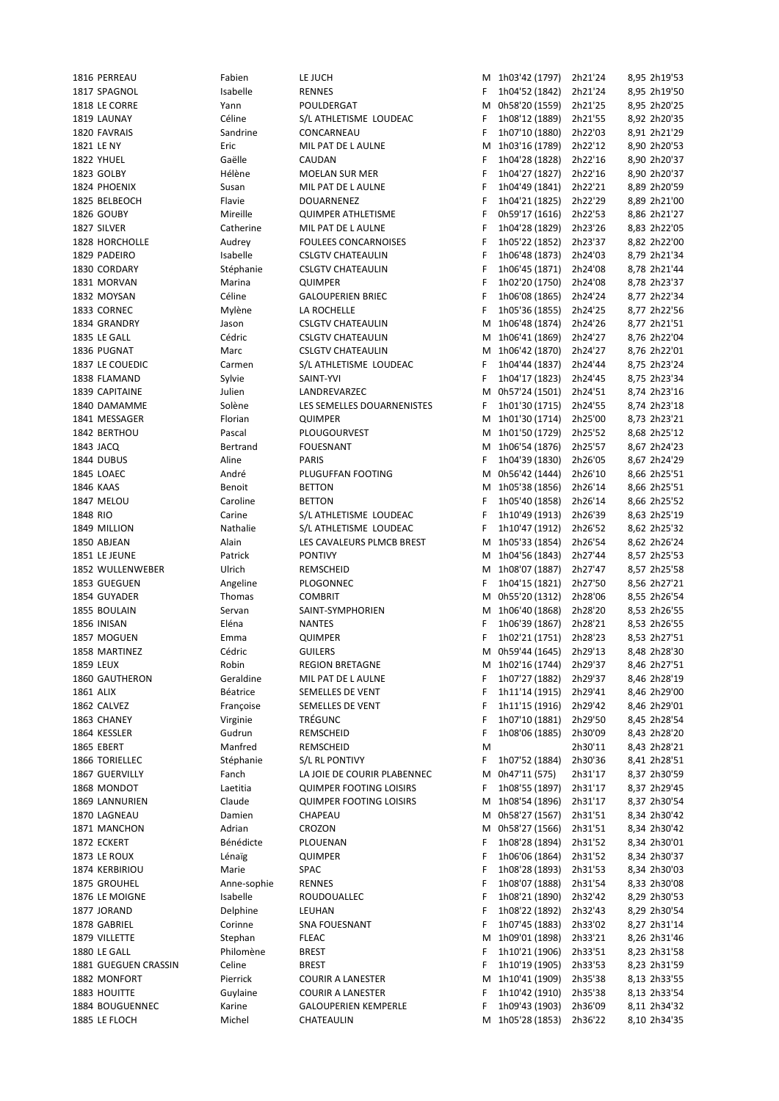|           | 1816 PERREAU         | Fabien      | LE JUCH                        |    | M 1h03'42 (1797) | 2h21'24 | 8,95 2h19'53 |
|-----------|----------------------|-------------|--------------------------------|----|------------------|---------|--------------|
|           | 1817 SPAGNOL         | Isabelle    | <b>RENNES</b>                  | F  | 1h04'52 (1842)   | 2h21'24 | 8,95 2h19'50 |
|           | 1818 LE CORRE        | Yann        | POULDERGAT                     | М  | 0h58'20 (1559)   | 2h21'25 | 8,95 2h20'25 |
|           | 1819 LAUNAY          | Céline      | S/L ATHLETISME LOUDEAC         | F  | 1h08'12 (1889)   | 2h21'55 | 8,92 2h20'35 |
|           |                      |             |                                |    |                  |         |              |
|           | 1820 FAVRAIS         | Sandrine    | CONCARNEAU                     | F  | 1h07'10 (1880)   | 2h22'03 | 8,91 2h21'29 |
|           | 1821 LE NY           | Eric        | MIL PAT DE L AULNE             | М  | 1h03'16 (1789)   | 2h22'12 | 8,90 2h20'53 |
|           | 1822 YHUEL           | Gaëlle      | CAUDAN                         | F  | 1h04'28 (1828)   | 2h22'16 | 8,90 2h20'37 |
|           | 1823 GOLBY           | Hélène      | MOELAN SUR MER                 | F  | 1h04'27 (1827)   | 2h22'16 | 8,90 2h20'37 |
|           | 1824 PHOENIX         | Susan       | MIL PAT DE L AULNE             | F  | 1h04'49 (1841)   | 2h22'21 | 8,89 2h20'59 |
|           | 1825 BELBEOCH        | Flavie      | DOUARNENEZ                     | F  | 1h04'21 (1825)   | 2h22'29 | 8,89 2h21'00 |
|           |                      | Mireille    |                                | F  |                  |         |              |
|           | 1826 GOUBY           |             | <b>QUIMPER ATHLETISME</b>      |    | 0h59'17 (1616)   | 2h22'53 | 8,86 2h21'27 |
|           | 1827 SILVER          | Catherine   | MIL PAT DE L AULNE             | F  | 1h04'28 (1829)   | 2h23'26 | 8,83 2h22'05 |
|           | 1828 HORCHOLLE       | Audrey      | <b>FOULEES CONCARNOISES</b>    | F  | 1h05'22 (1852)   | 2h23'37 | 8,82 2h22'00 |
|           | 1829 PADEIRO         | Isabelle    | <b>CSLGTV CHATEAULIN</b>       | F  | 1h06'48 (1873)   | 2h24'03 | 8,79 2h21'34 |
|           | 1830 CORDARY         | Stéphanie   | <b>CSLGTV CHATEAULIN</b>       | F  | 1h06'45 (1871)   | 2h24'08 | 8,78 2h21'44 |
|           | 1831 MORVAN          | Marina      | QUIMPER                        | F  | 1h02'20 (1750)   | 2h24'08 | 8,78 2h23'37 |
|           | 1832 MOYSAN          | Céline      | <b>GALOUPERIEN BRIEC</b>       | F  | 1h06'08 (1865)   | 2h24'24 | 8,77 2h22'34 |
|           |                      |             |                                |    |                  |         |              |
|           | 1833 CORNEC          | Mylène      | LA ROCHELLE                    | F  | 1h05'36 (1855)   | 2h24'25 | 8,77 2h22'56 |
|           | 1834 GRANDRY         | Jason       | <b>CSLGTV CHATEAULIN</b>       | М  | 1h06'48 (1874)   | 2h24'26 | 8,77 2h21'51 |
|           | 1835 LE GALL         | Cédric      | <b>CSLGTV CHATEAULIN</b>       | M  | 1h06'41 (1869)   | 2h24'27 | 8,76 2h22'04 |
|           | 1836 PUGNAT          | Marc        | <b>CSLGTV CHATEAULIN</b>       | М  | 1h06'42 (1870)   | 2h24'27 | 8,76 2h22'01 |
|           | 1837 LE COUEDIC      | Carmen      | S/L ATHLETISME LOUDEAC         | F  | 1h04'44 (1837)   | 2h24'44 | 8,75 2h23'24 |
|           | 1838 FLAMAND         |             |                                | F  |                  |         |              |
|           |                      | Sylvie      | SAINT-YVI                      |    | 1h04'17 (1823)   | 2h24'45 | 8,75 2h23'34 |
|           | 1839 CAPITAINE       | Julien      | LANDREVARZEC                   | м  | 0h57'24 (1501)   | 2h24'51 | 8,74 2h23'16 |
|           | 1840 DAMAMME         | Solène      | LES SEMELLES DOUARNENISTES     | F  | 1h01'30 (1715)   | 2h24'55 | 8,74 2h23'18 |
|           | 1841 MESSAGER        | Florian     | QUIMPER                        | М  | 1h01'30 (1714)   | 2h25'00 | 8,73 2h23'21 |
|           | 1842 BERTHOU         | Pascal      | PLOUGOURVEST                   |    | M 1h01'50 (1729) | 2h25'52 | 8,68 2h25'12 |
|           | 1843 JACQ            | Bertrand    | <b>FOUESNANT</b>               | М  | 1h06'54 (1876)   | 2h25'57 | 8,67 2h24'23 |
|           |                      |             |                                |    |                  |         |              |
|           | 1844 DUBUS           | Aline       | PARIS                          | F. | 1h04'39 (1830)   | 2h26'05 | 8,67 2h24'29 |
|           | <b>1845 LOAEC</b>    | André       | PLUGUFFAN FOOTING              | М  | 0h56'42 (1444)   | 2h26'10 | 8,66 2h25'51 |
|           | 1846 KAAS            | Benoit      | <b>BETTON</b>                  |    | M 1h05'38 (1856) | 2h26'14 | 8,66 2h25'51 |
|           | 1847 MELOU           | Caroline    | <b>BETTON</b>                  | F  | 1h05'40 (1858)   | 2h26'14 | 8,66 2h25'52 |
| 1848 RIO  |                      | Carine      | S/L ATHLETISME LOUDEAC         | F  | 1h10'49 (1913)   | 2h26'39 | 8,63 2h25'19 |
|           | 1849 MILLION         | Nathalie    | S/L ATHLETISME LOUDEAC         | F  | 1h10'47 (1912)   | 2h26'52 | 8,62 2h25'32 |
|           |                      |             | LES CAVALEURS PLMCB BREST      |    | 1h05'33 (1854)   |         |              |
|           | 1850 ABJEAN          | Alain       |                                | м  |                  | 2h26'54 | 8,62 2h26'24 |
|           | 1851 LE JEUNE        | Patrick     | <b>PONTIVY</b>                 | М  | 1h04'56 (1843)   | 2h27'44 | 8,57 2h25'53 |
|           | 1852 WULLENWEBER     | Ulrich      | REMSCHEID                      | М  | 1h08'07 (1887)   | 2h27'47 | 8,57 2h25'58 |
|           | 1853 GUEGUEN         | Angeline    | PLOGONNEC                      | F  | 1h04'15 (1821)   | 2h27'50 | 8,56 2h27'21 |
|           | 1854 GUYADER         | Thomas      | <b>COMBRIT</b>                 | M  | 0h55'20 (1312)   | 2h28'06 | 8,55 2h26'54 |
|           | 1855 BOULAIN         | Servan      | SAINT-SYMPHORIEN               | M  | 1h06'40 (1868)   | 2h28'20 | 8,53 2h26'55 |
|           | 1856 INISAN          | Eléna       | <b>NANTES</b>                  | F  |                  | 2h28'21 | 8,53 2h26'55 |
|           |                      |             |                                |    | 1h06'39 (1867)   |         |              |
|           | 1857 MOGUEN          | Emma        | QUIMPER                        | F  | 1h02'21 (1751)   | 2h28'23 | 8,53 2h27'51 |
|           | 1858 MARTINEZ        | Cédric      | <b>GUILERS</b>                 | М  | 0h59'44 (1645)   | 2h29'13 | 8,48 2h28'30 |
|           | 1859 LEUX            | Robin       | <b>REGION BRETAGNE</b>         |    | M 1h02'16 (1744) | 2h29'37 | 8,46 2h27'51 |
|           | 1860 GAUTHERON       | Geraldine   | MIL PAT DE L AULNE             | F  | 1h07'27 (1882)   | 2h29'37 | 8,46 2h28'19 |
| 1861 ALIX |                      | Béatrice    | SEMELLES DE VENT               | F  | 1h11'14 (1915)   | 2h29'41 | 8,46 2h29'00 |
|           | 1862 CALVEZ          | Françoise   | SEMELLES DE VENT               | F  | 1h11'15 (1916)   | 2h29'42 | 8,46 2h29'01 |
|           |                      |             |                                |    |                  |         |              |
|           | 1863 CHANEY          | Virginie    | TRÉGUNC                        | F  | 1h07'10 (1881)   | 2h29'50 | 8,45 2h28'54 |
|           | 1864 KESSLER         | Gudrun      | REMSCHEID                      | F  | 1h08'06 (1885)   | 2h30'09 | 8,43 2h28'20 |
|           | 1865 EBERT           | Manfred     | REMSCHEID                      | M  |                  | 2h30'11 | 8,43 2h28'21 |
|           | 1866 TORIELLEC       | Stéphanie   | S/L RL PONTIVY                 | F  | 1h07'52 (1884)   | 2h30'36 | 8,41 2h28'51 |
|           | 1867 GUERVILLY       | Fanch       | LA JOIE DE COURIR PLABENNEC    | M  | 0h47'11 (575)    | 2h31'17 | 8,37 2h30'59 |
|           | 1868 MONDOT          | Laetitia    | <b>QUIMPER FOOTING LOISIRS</b> | F  | 1h08'55 (1897)   | 2h31'17 | 8,37 2h29'45 |
|           | 1869 LANNURIEN       | Claude      | <b>QUIMPER FOOTING LOISIRS</b> | М  | 1h08'54 (1896)   | 2h31'17 | 8,37 2h30'54 |
|           |                      |             |                                |    |                  |         |              |
|           | 1870 LAGNEAU         | Damien      | CHAPEAU                        | м  | 0h58'27 (1567)   | 2h31'51 | 8,34 2h30'42 |
|           | 1871 MANCHON         | Adrian      | CROZON                         | М  | 0h58'27 (1566)   | 2h31'51 | 8,34 2h30'42 |
|           | 1872 ECKERT          | Bénédicte   | PLOUENAN                       | F  | 1h08'28 (1894)   | 2h31'52 | 8,34 2h30'01 |
|           | 1873 LE ROUX         | Lénaïg      | QUIMPER                        | F  | 1h06'06 (1864)   | 2h31'52 | 8,34 2h30'37 |
|           | 1874 KERBIRIOU       | Marie       | SPAC                           | F  | 1h08'28 (1893)   | 2h31'53 | 8,34 2h30'03 |
|           |                      |             |                                |    | 1h08'07 (1888)   |         | 8,33 2h30'08 |
|           | 1875 GROUHEL         | Anne-sophie | <b>RENNES</b>                  | F  |                  | 2h31'54 |              |
|           | 1876 LE MOIGNE       | Isabelle    | ROUDOUALLEC                    | F  | 1h08'21 (1890)   | 2h32'42 | 8,29 2h30'53 |
|           | 1877 JORAND          | Delphine    | LEUHAN                         | F  | 1h08'22 (1892)   | 2h32'43 | 8,29 2h30'54 |
|           | 1878 GABRIEL         | Corinne     | SNA FOUESNANT                  | F  | 1h07'45 (1883)   | 2h33'02 | 8,27 2h31'14 |
|           | 1879 VILLETTE        | Stephan     | <b>FLEAC</b>                   | М  | 1h09'01 (1898)   | 2h33'21 | 8,26 2h31'46 |
|           | 1880 LE GALL         | Philomène   | <b>BREST</b>                   | F  | 1h10'21 (1906)   | 2h33'51 | 8,23 2h31'58 |
|           | 1881 GUEGUEN CRASSIN | Celine      | <b>BREST</b>                   | F  | 1h10'19 (1905)   | 2h33'53 | 8,23 2h31'59 |
|           |                      |             |                                |    |                  |         |              |
|           | 1882 MONFORT         | Pierrick    | <b>COURIR A LANESTER</b>       | Μ  | 1h10'41 (1909)   | 2h35'38 | 8,13 2h33'55 |
|           | 1883 HOUITTE         | Guylaine    | <b>COURIR A LANESTER</b>       | F  | 1h10'42 (1910)   | 2h35'38 | 8,13 2h33'54 |
|           | 1884 BOUGUENNEC      | Karine      | <b>GALOUPERIEN KEMPERLE</b>    | F  | 1h09'43 (1903)   | 2h36'09 | 8,11 2h34'32 |
|           | 1885 LE FLOCH        | Michel      | CHATEAULIN                     |    | M 1h05'28 (1853) | 2h36'22 | 8,10 2h34'35 |